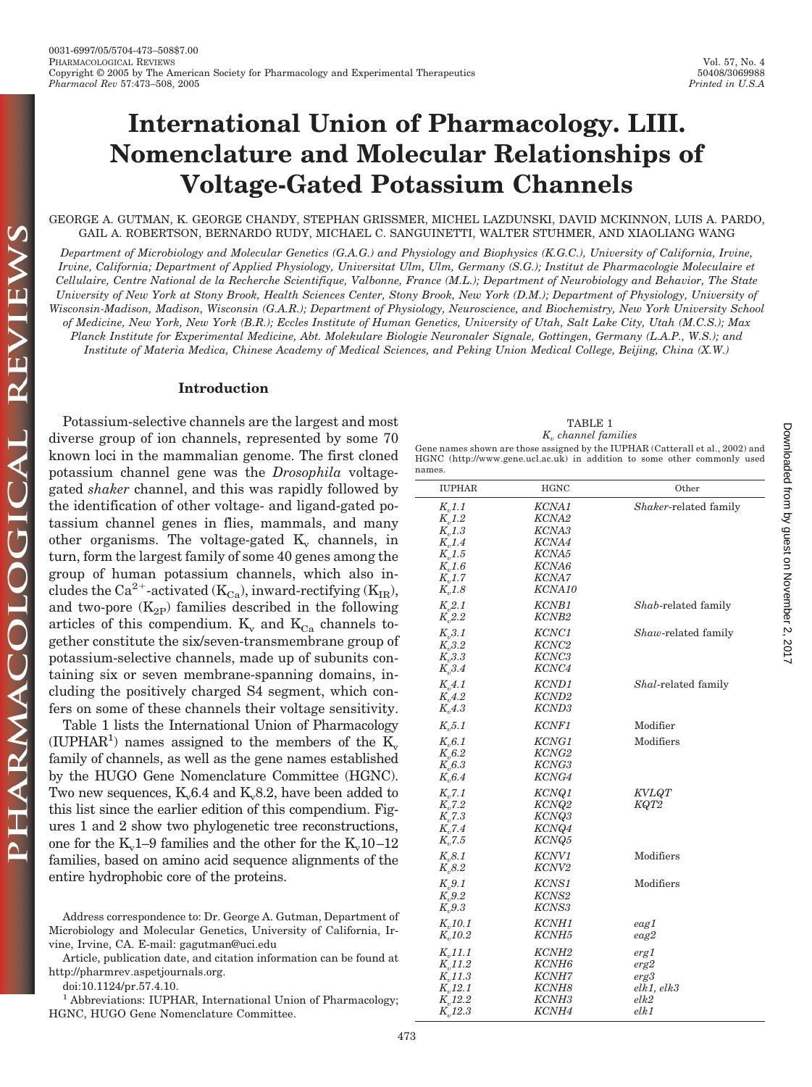GEORGE A. GUTMAN, K. GEORGE CHANDY, STEPHAN GRISSMER, MICHEL LAZDUNSKI, DAVID MCKINNON, LUIS A. PARDO, GAIL A. ROBERTSON, BERNARDO RUDY, MICHAEL C. SANGUINETTI, WALTER STUHMER, AND XIAOLIANG WANG

*Department of Microbiology and Molecular Genetics (G.A.G.) and Physiology and Biophysics (K.G.C.), University of California, Irvine, Irvine, California; Department of Applied Physiology, Universitat Ulm, Ulm, Germany (S.G.); Institut de Pharmacologie Moleculaire et Cellulaire, Centre National de la Recherche Scientifique, Valbonne, France (M.L.); Department of Neurobiology and Behavior, The State University of New York at Stony Brook, Health Sciences Center, Stony Brook, New York (D.M.); Department of Physiology, University of Wisconsin-Madison, Madison, Wisconsin (G.A.R.); Department of Physiology, Neuroscience, and Biochemistry, New York University School of Medicine, New York, New York (B.R.); Eccles Institute of Human Genetics, University of Utah, Salt Lake City, Utah (M.C.S.); Max Planck Institute for Experimental Medicine, Abt. Molekulare Biologie Neuronaler Signale, Gottingen, Germany (L.A.P., W.S.); and Institute of Materia Medica, Chinese Academy of Medical Sciences, and Peking Union Medical College, Beijing, China (X.W.)*

#### **Introduction**

THE L

PHARMACOLOGICAL

Potassium-selective channels are the largest and most diverse group of ion channels, represented by some 70 known loci in the mammalian genome. The first cloned potassium channel gene was the *Drosophila* voltagegated *shaker* channel, and this was rapidly followed by the identification of other voltage- and ligand-gated potassium channel genes in flies, mammals, and many other organisms. The voltage-gated  $K_{\nu}$  channels, in turn, form the largest family of some 40 genes among the group of human potassium channels, which also includes the Ca<sup>2+</sup>-activated ( $K_{Ca}$ ), inward-rectifying ( $K_{IR}$ ), and two-pore  $(K_{2P})$  families described in the following articles of this compendium.  $K_v$  and  $K_{Ca}$  channels together constitute the six/seven-transmembrane group of potassium-selective channels, made up of subunits containing six or seven membrane-spanning domains, including the positively charged S4 segment, which confers on some of these channels their voltage sensitivity.

Table 1 lists the International Union of Pharmacology (IUPHAR<sup>1</sup>) names assigned to the members of the  $\overline{K_v}$ family of channels, as well as the gene names established by the HUGO Gene Nomenclature Committee (HGNC). Two new sequences,  $K<sub>v</sub>6.4$  and  $K<sub>v</sub>8.2$ , have been added to this list since the earlier edition of this compendium. Figures 1 and 2 show two phylogenetic tree reconstructions, one for the  $K_v1-9$  families and the other for the  $K_v10-12$ families, based on amino acid sequence alignments of the entire hydrophobic core of the proteins.

Address correspondence to: Dr. George A. Gutman, Department of Microbiology and Molecular Genetics, University of California, Irvine, Irvine, CA. E-mail: gagutman@uci.edu

Article, publication date, and citation information can be found at http://pharmrev.aspetjournals.org.

doi:10.1124/pr.57.4.10.

<sup>1</sup> Abbreviations: IUPHAR, International Union of Pharmacology; HGNC, HUGO Gene Nomenclature Committee.

| TABLE 1 |                                 |
|---------|---------------------------------|
|         | K <sub>n</sub> channel families |
|         |                                 |

Gene names shown are those assigned by the IUPHAR (Catterall et al., 2002) and HGNC (http://www.gene.ucl.ac.uk) in addition to some other commonly used names.

| <b>IUPHAR</b>                                                                                                 | HGNC                                                                                                 | Other                                              |
|---------------------------------------------------------------------------------------------------------------|------------------------------------------------------------------------------------------------------|----------------------------------------------------|
| $K_{n}1.1$<br>$K_{v}1.2$<br>$K_{,1.3}$<br>$K_{n}$ 1.4<br>$K_v1.5$<br>$K_{n}$ 1.6<br>$K_{v}1.7$<br>$K_{n}$ 1.8 | KCNA1<br>KCNA2<br>KCNA3<br>KCNA4<br>KCNA5<br>KCNA6<br>KCNA7<br>KCNA10                                | Shaker-related family                              |
| $K_{1,2.1}$<br>$K_{,2.2}$                                                                                     | KCNB1<br>KCNB <sub>2</sub>                                                                           | Shab-related family                                |
| K, 3.1<br>$K_{0,0.2}$<br>$K_v3.3$<br>$K_{0,3.4}$                                                              | KCNC1<br>KCNC <sub>2</sub><br>KCNC3<br>KCNC4                                                         | Shaw-related family                                |
| $K_{n},4.1$<br>$K_{0.4.2}$<br>$K_{n},4.3$                                                                     | KCND1<br>KCND <sub>2</sub><br>KCND3                                                                  | Shal-related family                                |
| $K_v$ 5.1                                                                                                     | KCNF1                                                                                                | Modifier                                           |
| $K_{0.6.1}$<br>$K_{v}6.2$<br>$K_{0.}6.3$<br>$K_{0.64}$                                                        | KCNG1<br>KCNG2<br>KCNG3<br>KCNG4                                                                     | Modifiers                                          |
| $K_{n}$ 7.1<br>$K_{v}$ 7.2<br>$K_{n}$ 7.3<br>$K_{v}$ 7.4<br>$K_{0.7.5}$                                       | KCNQ1<br>KCNQ2<br>KCNQ3<br>KCNQ4<br>KCNQ5                                                            | <b>KVLQT</b><br>KQT2                               |
| $K_{0.8.1}$<br>$K_{0.}8.2$                                                                                    | KCNV1<br>KCNV <sub>2</sub>                                                                           | Modifiers                                          |
| $K_{0.}9.1$<br>$K_v9.2$<br>$K_{0.}9.3$                                                                        | KCNS1<br>KCNS2<br>KCNS3                                                                              | Modifiers                                          |
| $K_{n}10.1$<br>$K_{n}10.2$                                                                                    | KCNH1<br><b>KCNH5</b>                                                                                | eag1<br>eag2                                       |
| $K_{n}11.1$<br>$K_{n}11.2$<br>$K_{n}$ 11.3<br>$K_{n}12.1$<br>$K_{v}12.2$<br>$K_{n}12.3$                       | KCNH <sub>2</sub><br>KCNH <sub>6</sub><br><b>KCNH7</b><br>KCNH8<br>KCNH <sub>3</sub><br><b>KCNH4</b> | erg1<br>erg2<br>erg3<br>elk1, elk3<br>elk2<br>elk1 |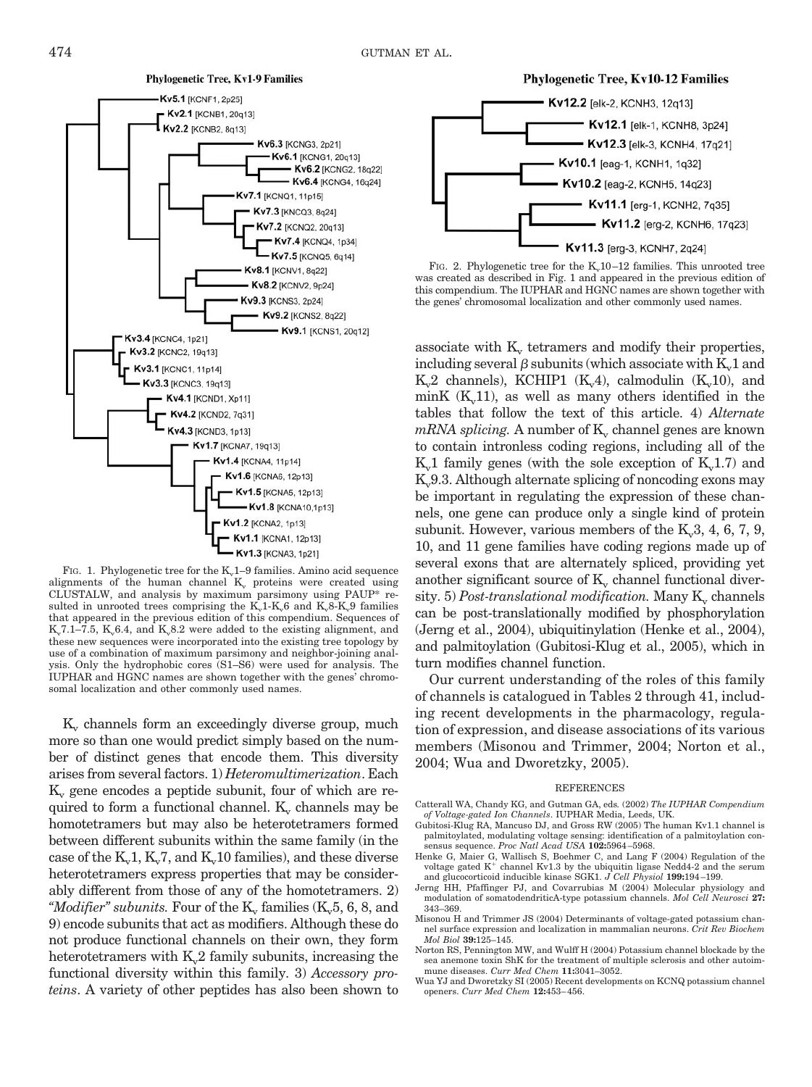

FIG. 1. Phylogenetic tree for the  $K_v$ 1–9 families. Amino acid sequence alignments of the human channel  $K_v$  proteins were created using CLUSTALW, and analysis by maximum parsimony using PAUP\* resulted in unrooted trees comprising the  $K_v1-K_v6$  and  $K_v8-K_v9$  families that appeared in the previous edition of this compendium. Sequences of K<sub>v</sub>7.1–7.5, K<sub>v</sub>6.4, and K<sub>v</sub> $8.2$  were added to the existing alignment, and these new sequences were incorporated into the existing tree topology by use of a combination of maximum parsimony and neighbor-joining analysis. Only the hydrophobic cores (S1–S6) were used for analysis. The IUPHAR and HGNC names are shown together with the genes' chromosomal localization and other commonly used names.

 $K_v$  channels form an exceedingly diverse group, much more so than one would predict simply based on the number of distinct genes that encode them. This diversity arises from several factors. 1) *Heteromultimerization*. Each  $K_v$  gene encodes a peptide subunit, four of which are required to form a functional channel.  $K_v$  channels may be homotetramers but may also be heterotetramers formed between different subunits within the same family (in the case of the  $K_v1$ ,  $K_v7$ , and  $K_v10$  families), and these diverse heterotetramers express properties that may be considerably different from those of any of the homotetramers. 2) "Modifier" subunits. Four of the  $K_v$  families  $(K_v, 5, 6, 8,$  and 9) encode subunits that act as modifiers. Although these do not produce functional channels on their own, they form heterotetramers with  $K<sub>v</sub>2$  family subunits, increasing the functional diversity within this family. 3) *Accessory proteins*. A variety of other peptides has also been shown to



FIG. 2. Phylogenetic tree for the  $K_v10-12$  families. This unrooted tree was created as described in Fig. 1 and appeared in the previous edition of this compendium. The IUPHAR and HGNC names are shown together with the genes' chromosomal localization and other commonly used names.

associate with  $K_v$  tetramers and modify their properties, including several  $\beta$  subunits (which associate with K<sub>v</sub>1 and  $K_v^2$  channels), KCHIP1 ( $K_v^4$ ), calmodulin ( $K_v^1$ 10), and minK  $(K_v11)$ , as well as many others identified in the tables that follow the text of this article. 4) *Alternate*  $mRNA$  *splicing*. A number of  $K_v$  channel genes are known to contain intronless coding regions, including all of the  $K_v1$  family genes (with the sole exception of  $K_v1.7$ ) and  $K_v9.3$ . Although alternate splicing of noncoding exons may be important in regulating the expression of these channels, one gene can produce only a single kind of protein subunit. However, various members of the  $K<sub>v</sub>3, 4, 6, 7, 9$ , 10, and 11 gene families have coding regions made up of several exons that are alternately spliced, providing yet another significant source of  $K_v$  channel functional diversity. 5) *Post-translational modification*. Many K<sub>y</sub> channels can be post-translationally modified by phosphorylation (Jerng et al., 2004), ubiquitinylation (Henke et al., 2004), and palmitoylation (Gubitosi-Klug et al., 2005), which in turn modifies channel function.

Our current understanding of the roles of this family of channels is catalogued in Tables 2 through 41, including recent developments in the pharmacology, regulation of expression, and disease associations of its various members (Misonou and Trimmer, 2004; Norton et al., 2004; Wua and Dworetzky, 2005).

#### **REFERENCES**

- Catterall WA, Chandy KG, and Gutman GA, eds*.* (2002) *The IUPHAR Compendium of Voltage-gated Ion Channels*. IUPHAR Media, Leeds, UK.
- Gubitosi-Klug RA, Mancuso DJ, and Gross RW (2005) The human Kv1.1 channel is palmitoylated, modulating voltage sensing: identification of a palmitoylation consensus sequence. *Proc Natl Acad USA* **102:**5964 –5968.
- Henke G, Maier G, Wallisch S, Boehmer C, and Lang F (2004) Regulation of the voltage gated  $K^+$  channel Kv1.3 by the ubiquitin ligase Nedd4-2 and the serum and glucocorticoid inducible kinase SGK1. *J Cell Physiol* **199:**194 –199.
- Jerng HH, Pfaffinger PJ, and Covarrubias M (2004) Molecular physiology and modulation of somatodendriticA-type potassium channels. *Mol Cell Neurosci* **27:** 343–369.
- Misonou H and Trimmer JS (2004) Determinants of voltage-gated potassium channel surface expression and localization in mammalian neurons. *Crit Rev Biochem Mol Biol* **39:**125–145.
- Norton RS, Pennington MW, and Wulff H (2004) Potassium channel blockade by the sea anemone toxin ShK for the treatment of multiple sclerosis and other autoimmune diseases. *Curr Med Chem* **11:**3041–3052.
- Wua YJ and Dworetzky SI (2005) Recent developments on KCNQ potassium channel openers. *Curr Med Chem* **12:**453– 456.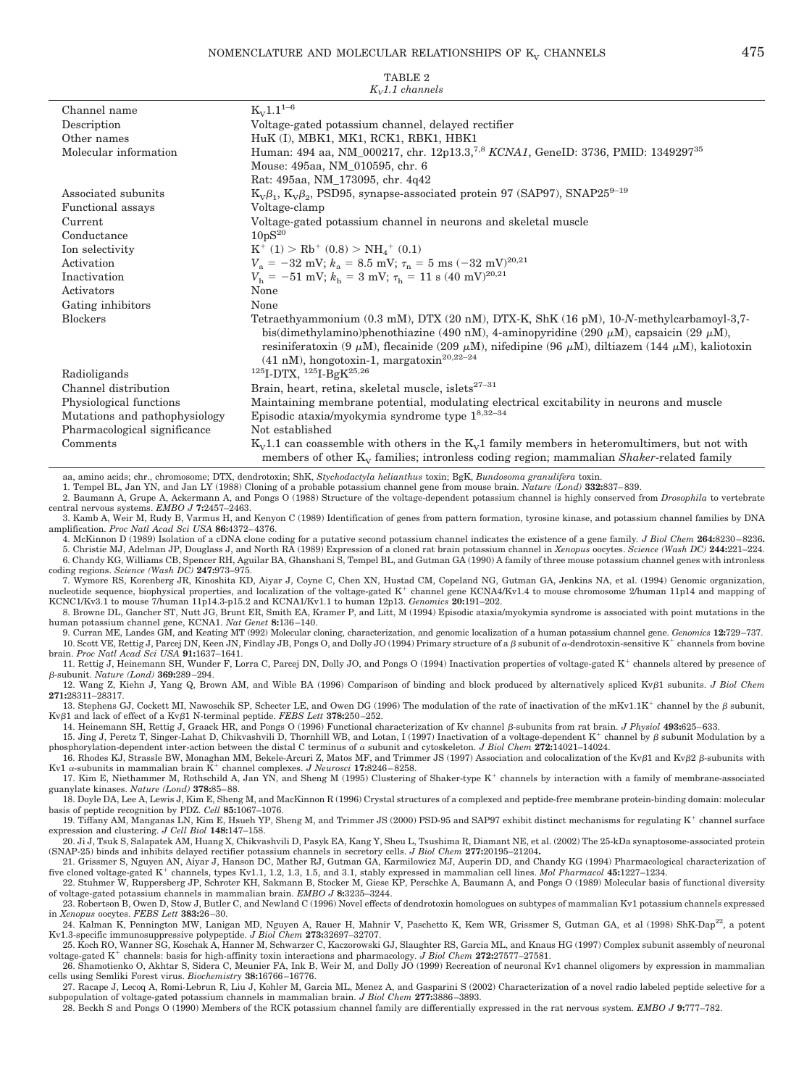| $K_V1.1$ channels             |                                                                                                                                                                                                                                                                                                                                                                                       |  |  |
|-------------------------------|---------------------------------------------------------------------------------------------------------------------------------------------------------------------------------------------------------------------------------------------------------------------------------------------------------------------------------------------------------------------------------------|--|--|
| Channel name                  | $K_V1.1^{1-6}$                                                                                                                                                                                                                                                                                                                                                                        |  |  |
| Description                   | Voltage-gated potassium channel, delayed rectifier                                                                                                                                                                                                                                                                                                                                    |  |  |
| Other names                   | HuK (I), MBK1, MK1, RCK1, RBK1, HBK1                                                                                                                                                                                                                                                                                                                                                  |  |  |
| Molecular information         | Human: 494 aa, NM_000217, chr. 12p13.3, <sup>7,8</sup> KCNA1, GeneID: 3736, PMID: 1349297 <sup>35</sup>                                                                                                                                                                                                                                                                               |  |  |
|                               | Mouse: 495aa, NM_010595, chr. 6                                                                                                                                                                                                                                                                                                                                                       |  |  |
|                               | Rat: 495aa, NM_173095, chr. 4q42                                                                                                                                                                                                                                                                                                                                                      |  |  |
| Associated subunits           | $K_v \beta_1$ , $K_v \beta_2$ , PSD95, synapse-associated protein 97 (SAP97), SNAP25 <sup>9-19</sup>                                                                                                                                                                                                                                                                                  |  |  |
| Functional assays             | Voltage-clamp                                                                                                                                                                                                                                                                                                                                                                         |  |  |
| Current                       | Voltage-gated potassium channel in neurons and skeletal muscle                                                                                                                                                                                                                                                                                                                        |  |  |
| Conductance                   | 10pS <sup>20</sup>                                                                                                                                                                                                                                                                                                                                                                    |  |  |
| Ion selectivity               | $K^+ (1) > Rb^+ (0.8) > NH_4^+ (0.1)$                                                                                                                                                                                                                                                                                                                                                 |  |  |
| Activation                    | $V_a = -32$ mV; $k_a = 8.5$ mV; $\tau_n = 5$ ms $(-32$ mV) <sup>20,21</sup>                                                                                                                                                                                                                                                                                                           |  |  |
| Inactivation                  | $V_{\rm b} = -51$ mV; $k_{\rm b} = 3$ mV; $\tau_{\rm b} = 11$ s (40 mV) <sup>20,21</sup>                                                                                                                                                                                                                                                                                              |  |  |
| Activators                    | None                                                                                                                                                                                                                                                                                                                                                                                  |  |  |
| Gating inhibitors             | None                                                                                                                                                                                                                                                                                                                                                                                  |  |  |
| <b>Blockers</b>               | Tetraethyammonium (0.3 mM), DTX (20 nM), DTX-K, ShK (16 pM), 10-N-methylcarbamoyl-3,7-<br>bis(dimethylamino)phenothiazine (490 nM), 4-aminopyridine (290 $\mu$ M), capsaicin (29 $\mu$ M),<br>resiniferatoxin (9 $\mu$ M), flecainide (209 $\mu$ M), nifedipine (96 $\mu$ M), diltiazem (144 $\mu$ M), kaliotoxin<br>$(41 \text{ nM})$ , hongotoxin-1, margatoxin <sup>20,22–24</sup> |  |  |
| Radioligands                  | $125$ <sub>I</sub> -DTX, $125$ <sub>I</sub> -Bg <sub>K</sub> $25,26$                                                                                                                                                                                                                                                                                                                  |  |  |
| Channel distribution          | Brain, heart, retina, skeletal muscle, islets $27-31$                                                                                                                                                                                                                                                                                                                                 |  |  |
| Physiological functions       | Maintaining membrane potential, modulating electrical excitability in neurons and muscle                                                                                                                                                                                                                                                                                              |  |  |
| Mutations and pathophysiology | Episodic ataxia/myokymia syndrome type 18,32-34                                                                                                                                                                                                                                                                                                                                       |  |  |
| Pharmacological significance  | Not established                                                                                                                                                                                                                                                                                                                                                                       |  |  |
| Comments                      | $K_v1.1$ can coassemble with others in the $K_v1$ family members in heteromultimers, but not with<br>members of other $K_v$ families; intronless coding region; mammalian <i>Shaker-related family</i>                                                                                                                                                                                |  |  |

aa, amino acids; chr., chromosome; DTX, dendrotoxin; ShK, *Stychodactyla helianthus* toxin; BgK, *Bundosoma granulifera* toxin.

1. Tempel BL, Jan YN, and Jan LY (1988) Cloning of a probable potassium channel gene from mouse brain. *Nature (Lond)* **332:**837– 839.

2. Baumann A, Grupe A, Ackermann A, and Pongs O (1988) Structure of the voltage-dependent potassium channel is highly conserved from *Drosophila* to vertebrate central nervous systems. *EMBO J* **7:**2457–2463.

3. Kamb A, Weir M, Rudy B, Varmus H, and Kenyon C (1989) Identification of genes from pattern formation, tyrosine kinase, and potassium channel families by DNA amplification. *Proc Natl Acad Sci USA* **86:**4372– 4376.

4. McKinnon D (1989) Isolation of a cDNA clone coding for a putative second potassium channel indicates the existence of a gene family*. J Biol Chem* **264:**8230 – 8236**.**

5. Christie MJ, Adelman JP, Douglass J, and North RA (1989) Expression of a cloned rat brain potassium channel in *Xenopus* oocytes. *Science (Wash DC)* **244:**221–224. 6. Chandy KG, Williams CB, Spencer RH, Aguilar BA, Ghanshani S, Tempel BL, and Gutman GA (1990) A family of three mouse potassium channel genes with intronless coding regions. *Science (Wash DC)* **247:**973–975.

7. Wymore RS, Korenberg JR, Kinoshita KD, Aiyar J, Coyne C, Chen XN, Hustad CM, Copeland NG, Gutman GA, Jenkins NA, et al. (1994) Genomic organization, nucleotide sequence, biophysical properties, and localization of the voltage-gated K<sup>+</sup> channel gene KCNA4/Kv1.4 to mouse chromosome 2/human 11p14 and mapping of KCNC1/Kv3.1 to mouse 7/human 11p14.3-p15.2 and KCNA1/Kv1.1 to human 12p13. *Genomics* **20:**191–202.

8. Browne DL, Gancher ST, Nutt JG, Brunt ER, Smith EA, Kramer P, and Litt, M (1994) Episodic ataxia/myokymia syndrome is associated with point mutations in the human potassium channel gene, KCNA1. *Nat Genet* **8:**136 –140.

9. Curran ME, Landes GM, and Keating MT (992) Molecular cloning, characterization, and genomic localization of a human potassium channel gene. *Genomics* **12:**729–737. 10. Scott VE, Rettig J, Parcej DN, Keen JN, Findlay JB, Pongs O, and Dolly JO (1994) Primary structure of a  $\beta$  subunit of  $\alpha$ -dendrotoxin-sensitive K<sup>+</sup> channels from bovine brain. *Proc Natl Acad Sci USA* **91:**1637–1641.

11. Rettig J, Heinemann SH, Wunder F, Lorra C, Parcej DN, Dolly JO, and Pongs O (1994) Inactivation properties of voltage-gated K<sup>+</sup> channels altered by presence of -subunit. *Nature (Lond)* **369:**289 –294.

12. Wang Z, Kiehn J, Yang Q, Brown AM, and Wible BA (1996) Comparison of binding and block produced by alternatively spliced Kv $\beta$ 1 subunits. *J Biol Chem* **271:**28311–28317.

13. Stephens GJ, Cockett MI, Nawoschik SP, Schecter LE, and Owen DG (1996) The modulation of the rate of inactivation of the mKv1.1K<sup>+</sup> channel by the  $\beta$  subunit,  $Kv\beta1$  and lack of effect of a  $Kv\beta1$  N-terminal peptide. *FEBS Lett* **378:**250-252.

14. Heinemann SH, Rettig J, Graack HR, and Pongs O (1996) Functional characterization of Kv channel β-subunits from rat brain. *J Physiol* 493:625–633.

15. Jing J, Peretz T, Singer-Lahat D, Chikvashvili D, Thornhill WB, and Lotan, I (1997) Inactivation of a voltage-dependent K<sup>+</sup> channel by  $\beta$  subunit Modulation by a phosphorylation-dependent inter-action between the distal C terminus of  $\alpha$  subunit and cytoskeleton. *J Biol Chem* 272:14021–14024.

16. Rhodes KJ, Strassle BW, Monaghan MM, Bekele-Arcuri Z, Matos MF, and Trimmer JS (1997) Association and colocalization of the Kv $\beta$ 1 and Kv $\beta$ 2  $\beta$ -subunits with Kv1  $\alpha$ -subunits in mammalian brain  $K^+$  channel complexes. *J Neurosci* 17:8246-8258.

17. Kim E, Niethammer M, Rothschild A, Jan YN, and Sheng M (1995) Clustering of Shaker-type K<sup>+</sup> channels by interaction with a family of membrane-associated guanylate kinases. *Nature (Lond)* **378:**85– 88.

18. Doyle DA, Lee A, Lewis J, Kim E, Sheng M, and MacKinnon R (1996) Crystal structures of a complexed and peptide-free membrane protein-binding domain: molecular basis of peptide recognition by PDZ. *Cell* **85:**1067–1076.

19. Tiffany AM, Manganas LN, Kim E, Hsueh YP, Sheng M, and Trimmer JS (2000) PSD-95 and SAP97 exhibit distinct mechanisms for regulating K<sup>+</sup> channel surface expression and clustering. *J Cell Biol* **148:**147–158.

20. Ji J, Tsuk S, Salapatek AM, Huang X, Chikvashvili D, Pasyk EA, Kang Y, Sheu L, Tsushima R, Diamant NE, et al. (2002) The 25-kDa synaptosome-associated protein (SNAP-25) binds and inhibits delayed rectifier potassium channels in secretory cells. *J Biol Chem* **277:**20195–21204**.**

21. Grissmer S, Nguyen AN, Aiyar J, Hanson DC, Mather RJ, Gutman GA, Karmilowicz MJ, Auperin DD, and Chandy KG (1994) Pharmacological characterization of five cloned voltage-gated K<sup>+</sup> channels, types Kv1.1, 1.2, 1.3, 1.5, and 3.1, stably expressed in mammalian cell lines. *Mol Pharmacol* 45:1227-1234.

22. Stuhmer W, Ruppersberg JP, Schroter KH, Sakmann B, Stocker M, Giese KP, Perschke A, Baumann A, and Pongs O (1989) Molecular basis of functional diversity of voltage-gated potassium channels in mammalian brain. *EMBO J* **8:**3235–3244. 23. Robertson B, Owen D, Stow J, Butler C, and Newland C (1996) Novel effects of dendrotoxin homologues on subtypes of mammalian Kv1 potassium channels expressed

in *Xenopus* oocytes. *FEBS Lett* **383:**26 –30. 24. Kalman K, Pennington MW, Lanigan MD, Nguyen A, Rauer H, Mahnir V, Paschetto K, Kem WR, Grissmer S, Gutman GA, et al (1998) ShK-Dap<sup>22</sup>, a potent

Kv1.3-specific immunosuppressive polypeptide. *J Biol Chem* **273:**32697–32707. 25. Koch RO, Wanner SG, Koschak A, Hanner M, Schwarzer C, Kaczorowski GJ, Slaughter RS, Garcia ML, and Knaus HG (1997) Complex subunit assembly of neuronal

voltage-gated K<sup>+</sup> channels: basis for high-affinity toxin interactions and pharmacology. *J Biol Chem* 272:27577-27581. 26. Shamotienko O, Akhtar S, Sidera C, Meunier FA, Ink B, Weir M, and Dolly JO (1999) Recreation of neuronal Kv1 channel oligomers by expression in mammalian

cells using Semliki Forest virus. *Biochemistry* **38:**16766 –16776. 27. Racape J, Lecoq A, Romi-Lebrun R, Liu J, Kohler M, Garcia ML, Menez A, and Gasparini S (2002) Characterization of a novel radio labeled peptide selective for a subpopulation of voltage-gated potassium channels in mammalian brain. *J Biol Chem* **277:**3886 –3893.

28. Beckh S and Pongs O (1990) Members of the RCK potassium channel family are differentially expressed in the rat nervous system. *EMBO J* **9:**777–782.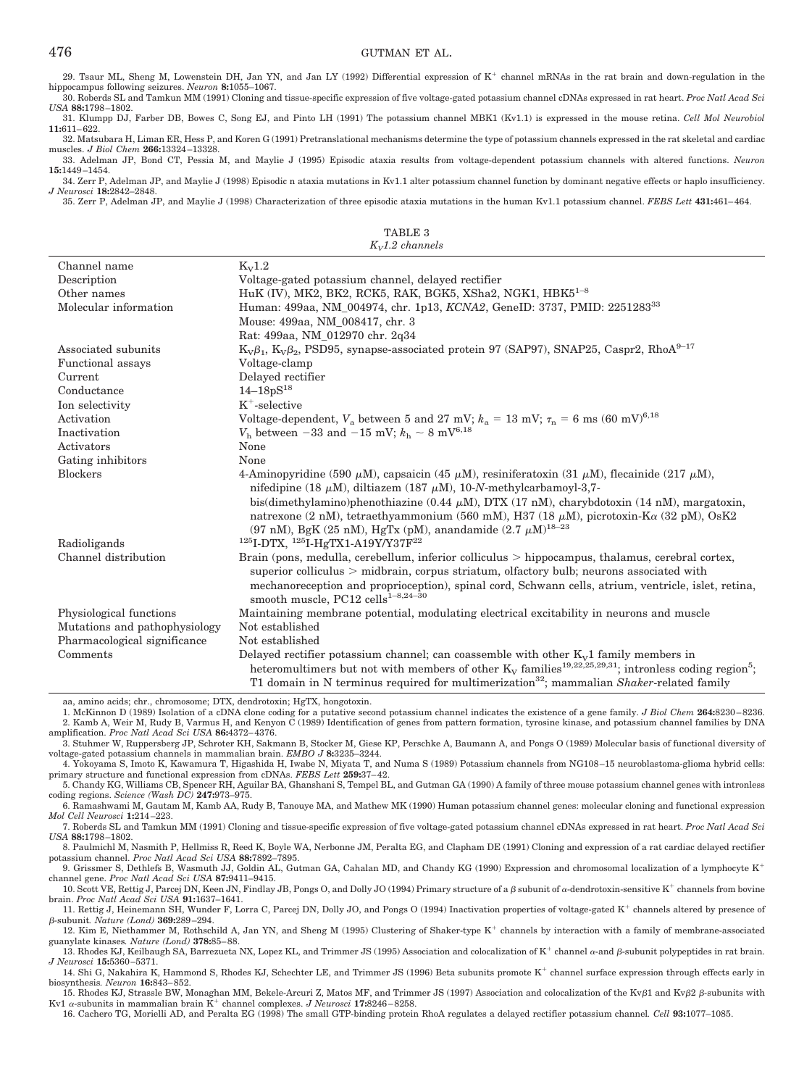29. Tsaur ML, Sheng M, Lowenstein DH, Jan YN, and Jan LY (1992) Differential expression of K<sup>+</sup> channel mRNAs in the rat brain and down-regulation in the hippocampus following seizures. *Neuron* **8:**1055–1067.

30. Roberds SL and Tamkun MM (1991) Cloning and tissue-specific expression of five voltage-gated potassium channel cDNAs expressed in rat heart. *Proc Natl Acad Sci USA* **88:**1798 –1802.

31. Klumpp DJ, Farber DB, Bowes C, Song EJ, and Pinto LH (1991) The potassium channel MBK1 (Kv1.1) is expressed in the mouse retina. *Cell Mol Neurobiol* **11:**611– 622.

32. Matsubara H, Liman ER, Hess P, and Koren G (1991) Pretranslational mechanisms determine the type of potassium channels expressed in the rat skeletal and cardiac muscles. *J Biol Chem* **266:**13324 –13328.

33. Adelman JP, Bond CT, Pessia M, and Maylie J (1995) Episodic ataxia results from voltage-dependent potassium channels with altered functions. *Neuron* **15:**1449 –1454.

34. Zerr P, Adelman JP, and Maylie J (1998) Episodic n ataxia mutations in Kv1.1 alter potassium channel function by dominant negative effects or haplo insufficiency. *J Neurosci* **18:**2842–2848.

35. Zerr P, Adelman JP, and Maylie J (1998) Characterization of three episodic ataxia mutations in the human Kv1.1 potassium channel. *FEBS Lett* **431:**461– 464.

TABLE 3 *KV1.2 channels*

| Channel name                  | $K_{v}1.2$                                                                                                                                                                                                                                                                                                                                               |
|-------------------------------|----------------------------------------------------------------------------------------------------------------------------------------------------------------------------------------------------------------------------------------------------------------------------------------------------------------------------------------------------------|
| Description                   | Voltage-gated potassium channel, delayed rectifier                                                                                                                                                                                                                                                                                                       |
| Other names                   | HuK (IV), MK2, BK2, RCK5, RAK, BGK5, XSha2, NGK1, HBK5 <sup>1-8</sup>                                                                                                                                                                                                                                                                                    |
| Molecular information         | Human: 499aa, NM_004974, chr. 1p13, KCNA2, GeneID: 3737, PMID: 225128333                                                                                                                                                                                                                                                                                 |
|                               | Mouse: 499aa, NM 008417, chr. 3                                                                                                                                                                                                                                                                                                                          |
|                               | Rat: 499aa, NM 012970 chr. 2q34                                                                                                                                                                                                                                                                                                                          |
| Associated subunits           | $K_v\beta_1$ , $K_v\beta_2$ , PSD95, synapse-associated protein 97 (SAP97), SNAP25, Caspr2, RhoA <sup>9-17</sup>                                                                                                                                                                                                                                         |
| Functional assays             | Voltage-clamp                                                                                                                                                                                                                                                                                                                                            |
| Current                       | Delayed rectifier                                                                                                                                                                                                                                                                                                                                        |
| Conductance                   | $14 - 18pS^{18}$                                                                                                                                                                                                                                                                                                                                         |
| Ion selectivity               | $K^+$ -selective                                                                                                                                                                                                                                                                                                                                         |
| Activation                    | Voltage-dependent, $V_a$ between 5 and 27 mV; $k_a = 13$ mV; $\tau_n = 6$ ms (60 mV) <sup>6,18</sup>                                                                                                                                                                                                                                                     |
| Inactivation                  | $V_{\rm h}$ between -33 and -15 mV; $k_{\rm h} \sim 8$ mV <sup>6,18</sup>                                                                                                                                                                                                                                                                                |
| Activators                    | None                                                                                                                                                                                                                                                                                                                                                     |
| Gating inhibitors             | None                                                                                                                                                                                                                                                                                                                                                     |
| <b>Blockers</b>               | 4-Aminopyridine (590 $\mu$ M), capsaicin (45 $\mu$ M), resiniferatoxin (31 $\mu$ M), flecainide (217 $\mu$ M),<br>nifedipine (18 $\mu$ M), diltiazem (187 $\mu$ M), 10-N-methylcarbamoyl-3,7-                                                                                                                                                            |
|                               | bis(dimethylamino)phenothiazine (0.44 µM), DTX (17 nM), charybdotoxin (14 nM), margatoxin,<br>natrexone (2 nM), tetraethyammonium (560 mM), H37 (18 $\mu$ M), picrotoxin-K $\alpha$ (32 pM), OsK2<br>(97 nM), BgK (25 nM), HgTx (pM), anandamide (2.7 $\mu$ M) <sup>18-23</sup>                                                                          |
| Radioligands                  | $125$ I-DTX, $125$ I-HgTX1-A19Y/Y37F <sup>22</sup>                                                                                                                                                                                                                                                                                                       |
| Channel distribution          | Brain (pons, medulla, cerebellum, inferior colliculus $>$ hippocampus, thalamus, cerebral cortex,<br>superior colliculus $>$ midbrain, corpus striatum, olfactory bulb; neurons associated with<br>mechanoreception and proprioception), spinal cord, Schwann cells, atrium, ventricle, islet, retina,<br>smooth muscle, PC12 cells <sup>1-8,24-30</sup> |
| Physiological functions       | Maintaining membrane potential, modulating electrical excitability in neurons and muscle                                                                                                                                                                                                                                                                 |
| Mutations and pathophysiology | Not established                                                                                                                                                                                                                                                                                                                                          |
| Pharmacological significance  | Not established                                                                                                                                                                                                                                                                                                                                          |
| Comments                      | Delayed rectifier potassium channel; can coassemble with other $K_v1$ family members in                                                                                                                                                                                                                                                                  |
|                               | heteromultimers but not with members of other $K_V$ families <sup>19,22,25,29,31</sup> ; intronless coding region <sup>5</sup> ;<br>T1 domain in N terminus required for multimerization <sup>32</sup> ; mammalian <i>Shaker-related</i> family                                                                                                          |

aa, amino acids; chr., chromosome; DTX, dendrotoxin; HgTX, hongotoxin.

1. McKinnon D (1989) Isolation of a cDNA clone coding for a putative second potassium channel indicates the existence of a gene family. *J Biol Chem* **264:**8230 – 8236. 2. Kamb A, Weir M, Rudy B, Varmus H, and Kenyon C (1989) Identification of genes from pattern formation, tyrosine kinase, and potassium channel families by DNA amplification. *Proc Natl Acad Sci USA* **86:**4372– 4376.

3. Stuhmer W, Ruppersberg JP, Schroter KH, Sakmann B, Stocker M, Giese KP, Perschke A, Baumann A, and Pongs O (1989) Molecular basis of functional diversity of voltage-gated potassium channels in mammalian brain. *EMBO J* **8:**3235–3244.

4. Yokoyama S, Imoto K, Kawamura T, Higashida H, Iwabe N, Miyata T, and Numa S (1989) Potassium channels from NG108 –15 neuroblastoma-glioma hybrid cells: primary structure and functional expression from cDNAs. *FEBS Lett* **259:**37– 42.

5. Chandy KG, Williams CB, Spencer RH, Aguilar BA, Ghanshani S, Tempel BL, and Gutman GA (1990) A family of three mouse potassium channel genes with intronless coding regions. *Science (Wash DC)* **247:**973–975.

6. Ramashwami M, Gautam M, Kamb AA, Rudy B, Tanouye MA, and Mathew MK (1990) Human potassium channel genes: molecular cloning and functional expression *Mol Cell Neurosci* **1:**214 –223.

7. Roberds SL and Tamkun MM (1991) Cloning and tissue-specific expression of five voltage-gated potassium channel cDNAs expressed in rat heart. *Proc Natl Acad Sci USA* **88:**1798 –1802.

8. Paulmichl M, Nasmith P, Hellmiss R, Reed K, Boyle WA, Nerbonne JM, Peralta EG, and Clapham DE (1991) Cloning and expression of a rat cardiac delayed rectifier potassium channel. *Proc Natl Acad Sci USA* **88:**7892–7895.

9. Grissmer S, Dethlefs B, Wasmuth JJ, Goldin AL, Gutman GA, Cahalan MD, and Chandy KG (1990) Expression and chromosomal localization of a lymphocyte K channel gene. *Proc Natl Acad Sci USA* **87:**9411–9415.

10. Scott VE, Rettig J, Parcej DN, Keen JN, Findlay JB, Pongs O, and Dolly JO (1994) Primary structure of a  $\beta$  subunit of  $\alpha$ -dendrotoxin-sensitive K<sup>+</sup> channels from bovine brain. *Proc Natl Acad Sci USA* **91:**1637–1641.

11. Rettig J, Heinemann SH, Wunder F, Lorra C, Parcej DN, Dolly JO, and Pongs O (1994) Inactivation properties of voltage-gated K<sup>+</sup> channels altered by presence of -subunit*. Nature (Lond)* **369:**289 –294.

12. Kim E, Niethammer M, Rothschild A, Jan YN, and Sheng M (1995) Clustering of Shaker-type K<sup>+</sup> channels by interaction with a family of membrane-associated guanylate kinases*. Nature (Lond)* **378:**85– 88.

13. Rhodes KJ, Keilbaugh SA, Barrezueta NX, Lopez KL, and Trimmer JS (1995) Association and colocalization of  $K^+$  channel  $\alpha$ -and  $\beta$ -subunit polypeptides in rat brain. *J Neurosci* **15:**5360 –5371.

14. Shi G, Nakahira K, Hammond S, Rhodes KJ, Schechter LE, and Trimmer JS (1996) Beta subunits promote K<sup>+</sup> channel surface expression through effects early in biosynthesis*. Neuron* **16:**843– 852.

15. Rhodes KJ, Strassle BW, Monaghan MM, Bekele-Arcuri Z, Matos MF, and Trimmer JS (1997) Association and colocalization of the Kv $\beta$ 1 and Kv $\beta$ 2  $\beta$ -subunits with Kv1  $\alpha$ -subunits in mammalian brain  $K^+$  channel complexes. *J Neurosci* 17:8246-8258.

16. Cachero TG, Morielli AD, and Peralta EG (1998) The small GTP-binding protein RhoA regulates a delayed rectifier potassium channel*. Cell* **93:**1077–1085.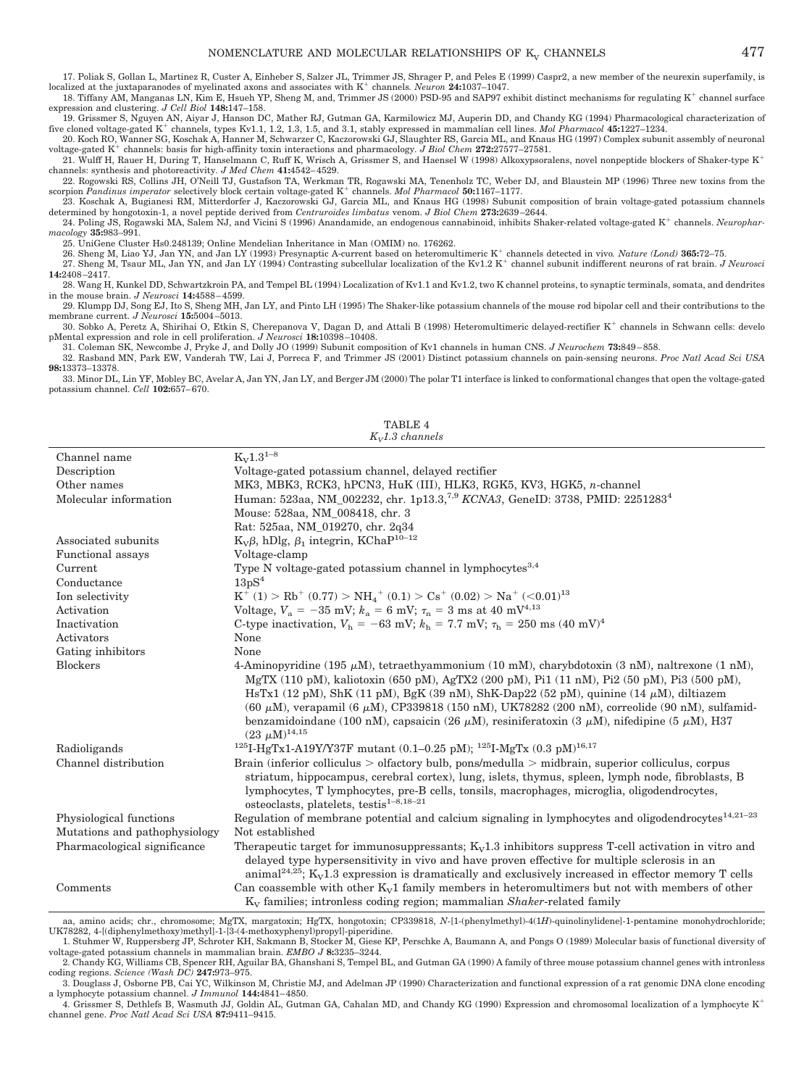17. Poliak S, Gollan L, Martinez R, Custer A, Einheber S, Salzer JL, Trimmer JS, Shrager P, and Peles E (1999) Caspr2, a new member of the neurexin superfamily, is localized at the juxtaparanodes of myelinated axons and associates with K<sup>+</sup> channels. Neuron 24:1037-1047.

18. Tiffany AM, Manganas LN, Kim E, Hsueh YP, Sheng M, and, Trimmer JS (2000) PSD-95 and SAP97 exhibit distinct mechanisms for regulating K<sup>+</sup> channel surface expression and clustering. *J Cell Biol* **148:**147–158.

19. Grissmer S, Nguyen AN, Aiyar J, Hanson DC, Mather RJ, Gutman GA, Karmilowicz MJ, Auperin DD, and Chandy KG (1994) Pharmacological characterization of five cloned voltage-gated K<sup>+</sup> channels, types Kv1.1, 1.2, 1.3, 1.5,

20. Koch RO, Wanner SG, Koschak A, Hanner M, Schwarzer C, Kaczorowski GJ, Slaughter RS, Garcia ML, and Knaus HG (1997) Complex subunit assembly of neuronal voltage-gated K<sup>+</sup> channels: basis for high-affinity toxin intera

21. Wulff H, Rauer H, During T, Hanselmann C, Ruff K, Wrisch A, Grissmer S, and Haensel W (1998) Alkoxypsoralens, novel nonpeptide blockers of Shaker-type K channels: synthesis and photoreactivity. *J Med Chem* **41:**4542– 4529.

22. Rogowski RS, Collins JH, O'Neill TJ, Gustafson TA, Werkman TR, Rogawski MA, Tenenholz TC, Weber DJ, and Blaustein MP (1996) Three new toxins from the scorpion *Pandinus imperator* selectively block certain voltage-gated K<sup>+</sup> channels. Mol Pharmacol 50:1167-1177.

23. Koschak A, Bugianesi RM, Mitterdorfer J, Kaczorowski GJ, Garcia ML, and Knaus HG (1998) Subunit composition of brain voltage-gated potassium channels determined by hongotoxin-1, a novel peptide derived from *Centruroides limbatus* venom. *J Biol Chem* **273:**2639 –2644. 24. Poling JS, Rogawski MA, Salem NJ, and Vicini S (1996) Anandamide, an endogenous cannabinoid, inhibits Shaker-related voltage-gated K<sup>+</sup> channels. *Neurophar-*

*macology* **35:**983–991.

25. UniGene Cluster Hs0.248139; Online Mendelian Inheritance in Man (OMIM) no. 176262.

26. Sheng M, Liao YJ, Jan YN, and Jan LY (1993) Presynaptic A-current based on heteromultimeric K<sup>+</sup> channels detected in vivo. Nature (Lond) 365:72-75.

27. Sheng M, Tsaur ML, Jan YN, and Jan LY (1994) Contrasting subcellular localization of the Kv1.2 K<sup>+</sup> channel subunit indifferent neurons of rat brain. *J Neurosci* **14:**2408 –2417.

28. Wang H, Kunkel DD, Schwartzkroin PA, and Tempel BL (1994) Localization of Kv1.1 and Kv1.2, two K channel proteins, to synaptic terminals, somata, and dendrites in the mouse brain. *J Neurosci* **14:**4588 – 4599.

29. Klumpp DJ, Song EJ, Ito S, Sheng MH, Jan LY, and Pinto LH (1995) The Shaker-like potassium channels of the mouse rod bipolar cell and their contributions to the membrane current. *J Neurosci* **15:**5004 –5013.

30. Sobko A, Peretz A, Shirihai O, Etkin S, Cherepanova V, Dagan D, and Attali B (1998) Heteromultimeric delayed-rectifier K<sup>+</sup> channels in Schwann cells: develo pMental expression and role in cell proliferation. *J Neurosci* **18:**10398 –10408.

31. Coleman SK, Newcombe J, Pryke J, and Dolly JO (1999) Subunit composition of Kv1 channels in human CNS. *J Neurochem* **73:**849 – 858.

32. Rasband MN, Park EW, Vanderah TW, Lai J, Porreca F, and Trimmer JS (2001) Distinct potassium channels on pain-sensing neurons. *Proc Natl Acad Sci USA* **98:**13373–13378.

33. Minor DL, Lin YF, Mobley BC, Avelar A, Jan YN, Jan LY, and Berger JM (2000) The polar T1 interface is linked to conformational changes that open the voltage-gated potassium channel. *Cell* **102:**657– 670.

Channel name  $K_V 1.3^{1-8}$ <br>Description Voltage-Voltage-gated potassium channel, delayed rectifier Other names MK3, MBK3, RCK3, hPCN3, HuK (III), HLK3, RGK5, KV3, HGK5, *n*-channel Molecular information Human: 523aa, NM\_002232, chr. 1p13.3,7,9 *KCNA3*, GeneID: 3738, PMID: 22512834 Mouse: 528aa, NM\_008418, chr. 3 Rat: 525aa, NM\_019270, chr. 2q34 Associated subunits  $K_v\beta$ , hDlg,  $\beta_1$  integrin, KChaP<sup>10–12</sup><br>Functional assays Voltage-clamp Functional assays Current Type N voltage-gated potassium channel in lymphocytes<sup>3,4</sup> Conductance  $13pS<sup>4</sup>$ Ion selectivity  $>$  Rb<sup>+</sup> (0.77)  $>$  NH<sub>4</sub><sup>+</sup> (0.1)  $>$  Cs<sup>+</sup> (0.02)  $>$  Na<sup>+</sup> (<0.01)<sup>13</sup> Activation Voltage,  $V_a = -35$  mV;  $k_a = 6$  mV;  $\tau_n = 3$  ms at 40 mV<sup>4,13</sup> Inactivation C-type inactivation,  $V_h = -63$  mV;  $k_h = 7.7$  mV;  $\tau_h = 250$  ms (40 mV)<sup>4</sup> Activators None Gating inhibitors None Blockers 4-Aminopyridine (195  $\mu$ M), tetraethyammonium (10 mM), charybdotoxin (3 nM), naltrexone (1 nM), MgTX (110 pM), kaliotoxin (650 pM), AgTX2 (200 pM), Pi1 (11 nM), Pi2 (50 pM), Pi3 (500 pM), HsTx1 (12 pM), ShK (11 pM), BgK (39 nM), ShK-Dap22 (52 pM), quinine (14  $\mu$ M), diltiazem (60  $\mu$ M), verapamil (6  $\mu$ M), CP339818 (150 nM), UK78282 (200 nM), correolide (90 nM), sulfamidbenzamidoindane (100 nM), capsaicin (26  $\mu$ M), resiniferatoxin (3  $\mu$ M), nifedipine (5  $\mu$ M), H37  $(23 \mu M)^{14,15}$ Radioligands 125I-HgTx1-A19Y/Y37F mutant  $(0.1-0.25 \text{ pM})$ ;  $^{125}$ I-MgTx  $(0.3 \text{ pM})^{16,17}$ <br>Channel distribution Brain (inferior colliculus > olfactory bulb, pons/medulla > midbrain, s Channel distribution Brain (inferior colliculus > olfactory bulb, pons/medulla > midbrain, superior colliculus, corpus striatum, hippocampus, cerebral cortex), lung, islets, thymus, spleen, lymph node, fibroblasts, B lymphocytes, T lymphocytes, pre-B cells, tonsils, macrophages, microglia, oligodendrocytes, osteoclasts, platelets, testis<sup>1-8,18-21</sup> Physiological functions Regulation of membrane potential and calcium signaling in lymphocytes and oligodendrocytes<sup>14,21–23</sup> Mutations and pathophysiology Not established Pharmacological significance Therapeutic target for immunosuppressants;  $K_v1.3$  inhibitors suppress T-cell activation in vitro and delayed type hypersensitivity in vivo and have proven effective for multiple sclerosis in an animal<sup>24,25</sup>;  $K_v1.3$  expression is dramatically and exclusively increased in effector memory T cells Comments Can coassemble with other  $K_v1$  family members in heteromultimers but not with members of other KV families; intronless coding region; mammalian *Shaker*-related family

TABLE 4 *KV1.3 channels*

aa, amino acids; chr., chromosome; MgTX, margatoxin; HgTX, hongotoxin; CP339818, N-[1-(phenylmethyl)-4(1H)-quinolinylidene]-1-pentamine monohydrochloride; UK78282, 4-[(diphenylmethoxy)methyl]-1-[3-(4-methoxyphenyl)propyl]-piperidine. 1. Stuhmer W, Ruppersberg JP, Schroter KH, Sakmann B, Stocker M, Giese KP, Perschke A, Baumann A, and Pongs O (1989) Molecular basis of functional diversity of

voltage-gated potassium channels in mammalian brain. *EMBO J* **8:**3235–3244.

coding regions. *Science (Wash DC)* **247:**973–975. 3. Douglass J, Osborne PB, Cai YC, Wilkinson M, Christie MJ, and Adelman JP (1990) Characterization and functional expression of a rat genomic DNA clone encoding a lymphocyte potassium channel. *J Immunol* **144:**4841– 4850.

4. Grissmer S, Dethlefs B, Wasmuth JJ, Goldin AL, Gutman GA, Cahalan MD, and Chandy KG (1990) Expression and chromosomal localization of a lymphocyte K channel gene. *Proc Natl Acad Sci USA* **87:**9411–9415.

<sup>2.</sup> Chandy KG, Williams CB, Spencer RH, Aguilar BA, Ghanshani S, Tempel BL, and Gutman GA (1990) A family of three mouse potassium channel genes with intronless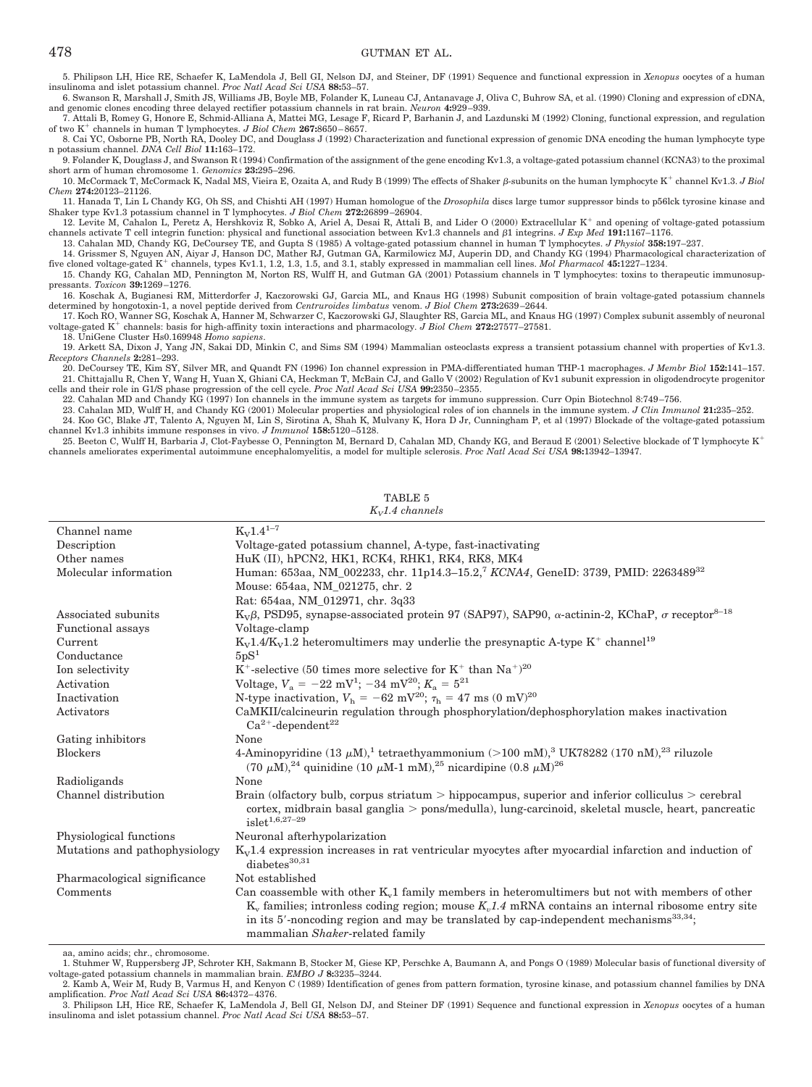5. Philipson LH, Hice RE, Schaefer K, LaMendola J, Bell GI, Nelson DJ, and Steiner, DF (1991) Sequence and functional expression in *Xenopus* oocytes of a human insulinoma and islet potassium channel. *Proc Natl Acad Sci USA* **88:**53–57.

6. Swanson R, Marshall J, Smith JS, Williams JB, Boyle MB, Folander K, Luneau CJ, Antanavage J, Oliva C, Buhrow SA, et al. (1990) Cloning and expression of cDNA, and genomic clones encoding three delayed rectifier potassium channels in rat brain. *Neuron* **4:**929 –939.

7. Attali B, Romey G, Honore E, Schmid-Alliana A, Mattei MG, Lesage F, Ricard P, Barhanin J, and Lazdunski M (1992) Cloning, functional expression, and regulation of two K<sup>+</sup> channels in human T lymphocytes. *J Biol Chem* 267:8650-8657.

8. Cai YC, Osborne PB, North RA, Dooley DC, and Douglass J (1992) Characterization and functional expression of genomic DNA encoding the human lymphocyte type n potassium channel. *DNA Cell Biol* **11:**163–172.

9. Folander K, Douglass J, and Swanson R (1994) Confirmation of the assignment of the gene encoding Kv1.3, a voltage-gated potassium channel (KCNA3) to the proximal short arm of human chromosome 1. *Genomics* **23:**295–296.

10. McCormack T, McCormack K, Nadal MS, Vieira E, Ozaita A, and Rudy B (1999) The effects of Shaker  $\beta$ -subunits on the human lymphocyte K<sup>+</sup> channel Kv1.3. *J Biol Chem* **274:**20123–21126.

11. Hanada T, Lin L Chandy KG, Oh SS, and Chishti AH (1997) Human homologue of the *Drosophila* discs large tumor suppressor binds to p56lck tyrosine kinase and Shaker type Kv1.3 potassium channel in T lymphocytes. *J Biol Chem 2*72:26899–26904.<br>12. Levite M, Cahalon L, Peretz A, Hershkoviz R, Sobko A, Ariel A, Desai R, Attali B, and Lider O (2000) Extracellular K<sup>+</sup> and opening o

channels activate T cell integrin function: physical and functional association between Kv1.3 channels and β1 integrins. *J Exp Med* 191:1167-1176. 13. Cahalan MD, Chandy KG, DeCoursey TE, and Gupta S (1985) A voltage-gated potassium channel in human T lymphocytes. *J Physiol* **358:**197–237.

14. Grissmer S, Nguyen AN, Aiyar J, Hanson DC, Mather RJ, Gutman GA, Karmilowicz MJ, Auperin DD, and Chandy KG (1994) Pharmacological characterization of five cloned voltage-gated K<sup>+</sup> channels, types Kv1.1, 1.2, 1.3, 1.5, and 3.1, stably expressed in mammalian cell lines. *Mol Pharmacol* 45:1227-1234.

15. Chandy KG, Cahalan MD, Pennington M, Norton RS, Wulff H, and Gutman GA (2001) Potassium channels in T lymphocytes: toxins to therapeutic immunosuppressants. *Toxicon* **39:**1269 –1276.

16. Koschak A, Bugianesi RM, Mitterdorfer J, Kaczorowski GJ, Garcia ML, and Knaus HG (1998) Subunit composition of brain voltage-gated potassium channels determined by hongotoxin-1, a novel peptide derived from *Centruroides limbatus* venom. *J Biol Chem 2*73:2639–2644.<br>17. Koch RO, Wanner SG, Koschak A, Hanner M, Schwarzer C, Kaczorowski GJ, Slaughter RS, Garcia ML, and Kn

voltage-gated K<sup>+</sup> channels: basis for high-affinity toxin interactions and pharmacology. *J Biol Chem* 272:27577-27581.

18. UniGene Cluster Hs0.169948 *Homo sapiens*.

19. Arkett SA, Dixon J, Yang JN, Sakai DD, Minkin C, and Sims SM (1994) Mammalian osteoclasts express a transient potassium channel with properties of Kv1.3. *Receptors Channels* **2:**281–293.

20. DeCoursey TE, Kim SY, Silver MR, and Quandt FN (1996) Ion channel expression in PMA-differentiated human THP-1 macrophages. *J Membr Biol* **152:**141–157. 21. Chittajallu R, Chen Y, Wang H, Yuan X, Ghiani CA, Heckman T, McBain CJ, and Gallo V (2002) Regulation of Kv1 subunit expression in oligodendrocyte progenitor cells and their role in G1/S phase progression of the cell cycle. *Proc Natl Acad Sci USA* **99:**2350 –2355.

22. Cahalan MD and Chandy KG (1997) Ion channels in the immune system as targets for immuno suppression. Curr Opin Biotechnol 8:749–756.<br>23. Cahalan MD, Wulff H, and Chandy KG (2001) Molecular properties and physiological 24. Koo GC, Blake JT, Talento A, Nguyen M, Lin S, Sirotina A, Shah K, Mulvany K, Hora D Jr, Cunningham P, et al (1997) Blockade of the voltage-gated potassium

channel Kv1.3 inhibits immune responses in vivo. *J Immunol* **158:**5120 –5128. 25. Beeton C, Wulff H, Barbaria J, Clot-Faybesse O, Pennington M, Bernard D, Cahalan MD, Chandy KG, and Beraud E (2001) Selective blockade of T lymphocyte K<sup>+</sup>

channels ameliorates experimental autoimmune encephalomyelitis, a model for multiple sclerosis. *Proc Natl Acad Sci USA* **98:**13942–13947.

Channel name  $K_V 1.4^{1-7}$ Description Voltage-gated potassium channel, A-type, fast-inactivating Other names HuK (II), hPCN2, HK1, RCK4, RHK1, RK4, RK8, MK4 Molecular information Human: 653aa, NM\_002233, chr. 11p14.3–15.2,7 *KCNA4*, GeneID: 3739, PMID: 2263489<sup>32</sup> Mouse: 654aa, NM\_021275, chr. 2 Rat: 654aa, NM\_012971, chr. 3q33 Associated subunits K<sub>V</sub> $\beta$ , PSD95, synapse-associated protein 97 (SAP97), SAP90,  $\alpha$ -actinin-2, KChaP,  $\sigma$  receptor<sup>8–18</sup> Functional assays Voltage-clamp Current  $K_V1.4/K_V1.2$  heteromultimers may underlie the presynaptic A-type  $K^+$  channel<sup>19</sup><br>Conductance  $5pS^1$  $Conductance$ Ion selectivity  $K^+$ -selective (50 times more selective for  $K^+$  than  $Na^+$ )<sup>20</sup> Activation Voltage,  $V_a = -22 \text{ mV}^1$ ;  $-34 \text{ mV}^{20}$ ;  $K_a = 5^{21}$ Inactivation M-type inactivation,  $V_h = -62 \text{ mV}^{20}$ ;  $\tau_h = 47 \text{ ms } (0 \text{ mV})^{20}$ Activators CaMKII/calcineurin regulation through phosphorylation/dephosphorylation makes inactivation  $Ca^{2+}$ -dependent<sup>22</sup> Gating inhibitors None Blockers and the 4-Aminopyridine  $(13 \mu M)^1$  tetraethyammonium ( $>$ 100 mM), $^3$  UK78282 (170 nM), $^{23}$  riluzole (70  $\mu$ M),<sup>24</sup> quinidine (10  $\mu$ M-1 mM),<sup>25</sup> nicardipine (0.8  $\mu$ M)<sup>26</sup> Radioligands None Channel distribution Brain (olfactory bulb, corpus striatum > hippocampus, superior and inferior colliculus > cerebral cortex, midbrain basal ganglia > pons/medulla), lung-carcinoid, skeletal muscle, heart, pancreatic  $islet^{1,6,27-29}$ Physiological functions Neuronal afterhypolarization Mutations and pathophysiology  $K_V1.4$  expression increases in rat ventricular myocytes after myocardial infarction and induction of  $diabetes^{30,31}$ Pharmacological significance Not established  $Comments$  Can coassemble with other  $K_v1$  family members in heteromultimers but not with members of other  $K_v$  families; intronless coding region; mouse  $K_v1.4$  mRNA contains an internal ribosome entry site in its 5'-noncoding region and may be translated by cap-independent mechanisms $^{33,34}$ ; mammalian *Shaker*-related family

TABLE 5 *KV1.4 channels*

aa, amino acids; chr., chromosome.

1. Stuhmer W, Ruppersberg JP, Schroter KH, Sakmann B, Stocker M, Giese KP, Perschke A, Baumann A, and Pongs O (1989) Molecular basis of functional diversity of voltage-gated potassium channels in mammalian brain. *EMBO J* **8:**3235–3244.

2. Kamb A, Weir M, Rudy B, Varmus H, and Kenyon C (1989) Identification of genes from pattern formation, tyrosine kinase, and potassium channel families by DNA amplification. *Proc Natl Acad Sci USA* **86:**4372– 4376.

3. Philipson LH, Hice RE, Schaefer K, LaMendola J, Bell GI, Nelson DJ, and Steiner DF (1991) Sequence and functional expression in *Xenopus* oocytes of a human insulinoma and islet potassium channel. *Proc Natl Acad Sci USA* **88:**53–57.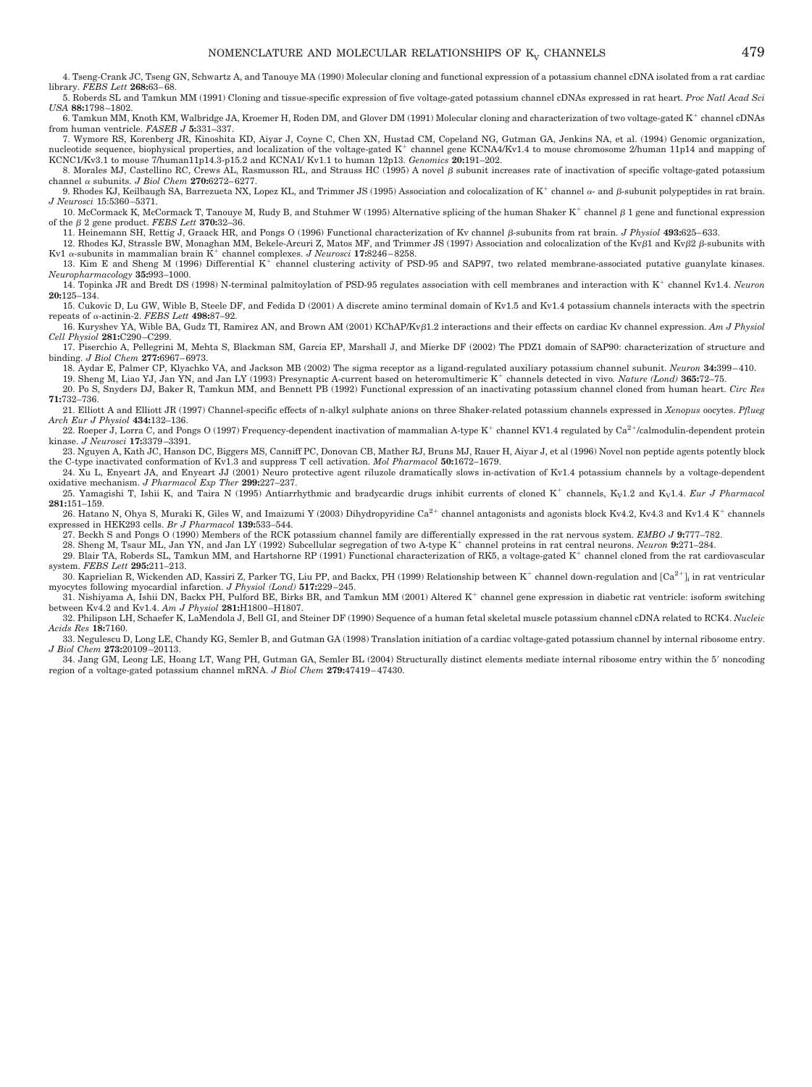5. Roberds SL and Tamkun MM (1991) Cloning and tissue-specific expression of five voltage-gated potassium channel cDNAs expressed in rat heart. *Proc Natl Acad Sci USA* **88:**1798 –1802.

6. Tamkun MM, Knoth KM, Walbridge JA, Kroemer H, Roden DM, and Glover DM (1991) Molecular cloning and characterization of two voltage-gated K<sup>+</sup> channel cDNAs from human ventricle. *FASEB J* **5:**331–337.

7. Wymore RS, Korenberg JR, Kinoshita KD, Aiyar J, Coyne C, Chen XN, Hustad CM, Copeland NG, Gutman GA, Jenkins NA, et al. (1994) Genomic organization, nucleotide sequence, biophysical properties, and localization of the voltage-gated  $K^+$  channel gene KCNA4/Kv1.4 to mouse chromosome 2/human 11p14 and mapping of KCNC1/Kv3.1 to mouse 7/human11p14.3-p15.2 and KCNA1/ Kv1.1 to human 12p13. *Genomics* **20:**191–202.

8. Morales MJ, Castellino RC, Crews AL, Rasmusson RL, and Strauss HC (1995) A novel  $\beta$  subunit increases rate of inactivation of specific voltage-gated potassium channel  $\alpha$  subunits. *J Biol Chem* 270:6272-6277.

9. Rhodes KJ, Keilbaugh SA, Barrezueta NX, Lopez KL, and Trimmer JS (1995) Association and colocalization of  $K^+$  channel  $\alpha$ - and  $\beta$ -subunit polypeptides in rat brain. *J Neurosci* 15:5360 –5371.

10. McCormack K, McCormack T, Tanouye M, Rudy B, and Stuhmer W (1995) Alternative splicing of the human Shaker  $K^+$  channel  $\beta$  1 gene and functional expression of the  $\beta$  2 gene product. *FEBS Lett* **370:**32-36.

11. Heinemann SH, Rettig J, Graack HR, and Pongs O (1996) Functional characterization of Kv channel  $\beta$ -subunits from rat brain. *J Physiol* 493:625–633. 12. Rhodes KJ, Strassle BW, Monaghan MM, Bekele-Arcuri Z, Matos MF, and Trimmer JS (1997) Association and colocalization of the Kvβ1 and Kvβ2 β-subunits with

Kv1  $\alpha$ -subunits in mammalian brain  $K^+$  channel complexes. *J Neurosci* 17:8246-8258.

13. Kim E and Sheng M (1996) Differential K<sup>+</sup> channel clustering activity of PSD-95 and SAP97, two related membrane-associated putative guanylate kinases. *Neuropharmacology* **35:**993–1000.

14. Topinka JR and Bredt DS (1998) N-terminal palmitoylation of PSD-95 regulates association with cell membranes and interaction with K channel Kv1.4. *Neuron* **20:**125–134.

15. Cukovic D, Lu GW, Wible B, Steele DF, and Fedida D (2001) A discrete amino terminal domain of Kv1.5 and Kv1.4 potassium channels interacts with the spectrin repeats of  $\alpha$ -actinin-2. *FEBS Lett* **498:**87-92.

16. Kuryshev YA, Wible BA, Gudz TI, Ramirez AN, and Brown AM (2001) KChAP/Kv<sub>B1.2</sub> interactions and their effects on cardiac Ky channel expression. *Am J Physiol Cell Physiol* **281:**C290 –C299.

17. Piserchio A, Pellegrini M, Mehta S, Blackman SM, Garcia EP, Marshall J, and Mierke DF (2002) The PDZ1 domain of SAP90: characterization of structure and binding. *J Biol Chem* **277:**6967– 6973.

18. Aydar E, Palmer CP, Klyachko VA, and Jackson MB (2002) The sigma receptor as a ligand-regulated auxiliary potassium channel subunit. *Neuron* **34:**399 – 410.

19. Sheng M, Liao YJ, Jan YN, and Jan LY (1993) Presynaptic A-current based on heteromultimeric K channels detected in vivo*. Nature (Lond)* **365:**72–75. 20. Po S, Snyders DJ, Baker R, Tamkun MM, and Bennett PB (1992) Functional expression of an inactivating potassium channel cloned from human heart. *Circ Res* **71:**732–736.

21. Elliott A and Elliott JR (1997) Channel-specific effects of n-alkyl sulphate anions on three Shaker-related potassium channels expressed in *Xenopus* oocytes. *Pflueg Arch Eur J Physiol* **434:**132–136.

22. Roeper J, Lorra C, and Pongs O (1997) Frequency-dependent inactivation of mammalian A-type K<sup>+</sup> channel KV1.4 regulated by Ca<sup>2+</sup>/calmodulin-dependent protein kinase. *J Neurosci* **17:**3379 –3391.

23. Nguyen A, Kath JC, Hanson DC, Biggers MS, Canniff PC, Donovan CB, Mather RJ, Bruns MJ, Rauer H, Aiyar J, et al (1996) Novel non peptide agents potently block the C-type inactivated conformation of Kv1.3 and suppress T cell activation. *Mol Pharmacol* **50:**1672–1679.

24. Xu L, Enyeart JA, and Enyeart JJ (2001) Neuro protective agent riluzole dramatically slows in-activation of Kv1.4 potassium channels by a voltage-dependent oxidative mechanism. *J Pharmacol Exp Ther* **299:**227–237.

25. Yamagishi T, Ishii K, and Taira N (1995) Antiarrhythmic and bradycardic drugs inhibit currents of cloned K<sup>+</sup> channels, K<sub>V</sub>1.2 and K<sub>V</sub>1.4. *Eur J Pharmacol* **281:**151–159.

26. Hatano N, Ohya S, Muraki K, Giles W, and Imaizumi Y (2003) Dihydropyridine Ca<sup>2+</sup> channel antagonists and agonists block Kv4.2, Kv4.3 and Kv1.4 K<sup>+</sup> channels expressed in HEK293 cells. *Br J Pharmacol* **139:**533–544.

27. Beckh S and Pongs O (1990) Members of the RCK potassium channel family are differentially expressed in the rat nervous system. *EMBO J* **9:**777–782.

28. Sheng M, Tsaur ML, Jan YN, and Jan LY (1992) Subcellular segregation of two A-type K<sup>+</sup> channel proteins in rat central neurons. *Neuron* 9:271-284.

29. Blair TA, Roberds SL, Tamkun MM, and Hartshorne RP (1991) Functional characterization of RK5, a voltage-gated K<sup>+</sup> channel cloned from the rat cardiovascular system. *FEBS Lett* **295:**211–213.

30. Kaprielian R, Wickenden AD, Kassiri Z, Parker TG, Liu PP, and Backx, PH (1999) Relationship between K<sup>+</sup> channel down-regulation and  $\lceil Ca^{2+}\rceil$  in rat ventricular myocytes following myocardial infarction. *J Physiol (Lond)* **517:**229 –245.

31. Nishiyama A, Ishii DN, Backx PH, Pulford BE, Birks BR, and Tamkun MM (2001) Altered K<sup>+</sup> channel gene expression in diabetic rat ventricle: isoform switching between Kv4.2 and Kv1.4. *Am J Physiol* **281:**H1800 –H1807.

32. Philipson LH, Schaefer K, LaMendola J, Bell GI, and Steiner DF (1990) Sequence of a human fetal skeletal muscle potassium channel cDNA related to RCK4. *Nucleic Acids Res* **18:**7160.

33. Negulescu D, Long LE, Chandy KG, Semler B, and Gutman GA (1998) Translation initiation of a cardiac voltage-gated potassium channel by internal ribosome entry. *J Biol Chem* **273:**20109 –20113.

34. Jang GM, Leong LE, Hoang LT, Wang PH, Gutman GA, Semler BL (2004) Structurally distinct elements mediate internal ribosome entry within the 5 noncoding region of a voltage-gated potassium channel mRNA. *J Biol Chem* **279:**47419 – 47430.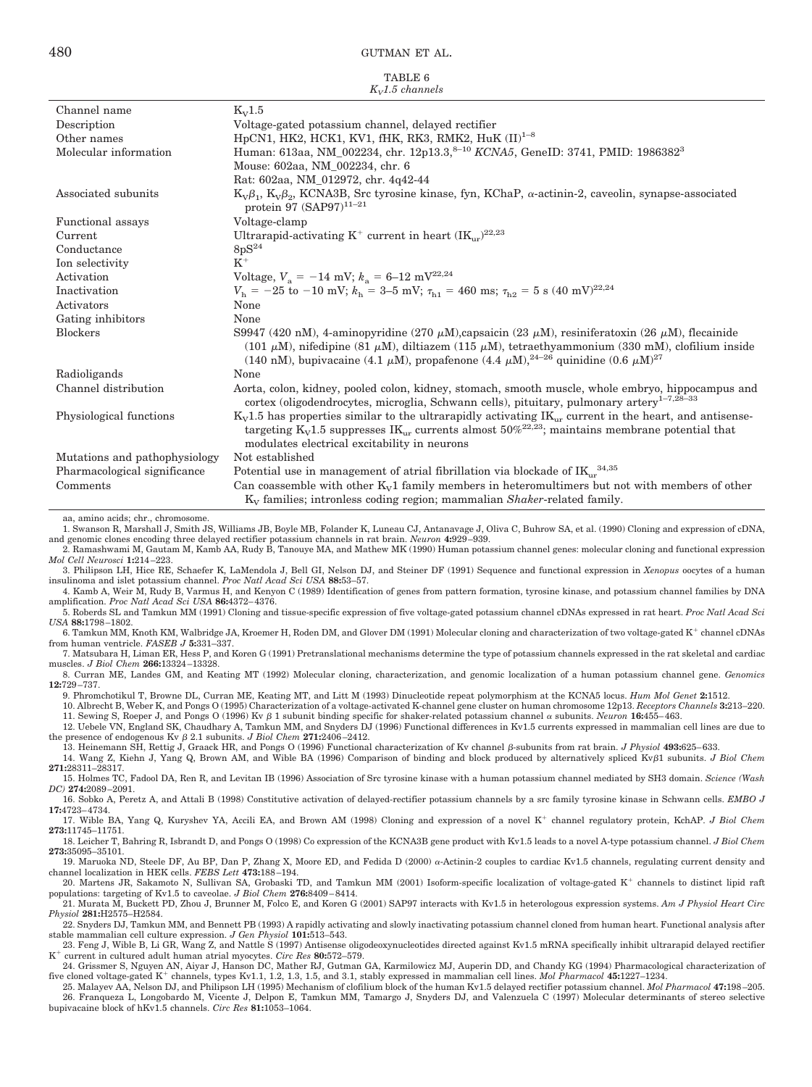TABLE 6

| $K_v1.5$ channels             |                                                                                                                                                                                                                                                                                                                                                            |  |
|-------------------------------|------------------------------------------------------------------------------------------------------------------------------------------------------------------------------------------------------------------------------------------------------------------------------------------------------------------------------------------------------------|--|
| Channel name                  | $K_V1.5$                                                                                                                                                                                                                                                                                                                                                   |  |
| Description                   | Voltage-gated potassium channel, delayed rectifier                                                                                                                                                                                                                                                                                                         |  |
| Other names                   | HpCN1, HK2, HCK1, KV1, fHK, RK3, RMK2, HuK $(II)^{1-8}$                                                                                                                                                                                                                                                                                                    |  |
| Molecular information         | Human: 613aa, NM_002234, chr. 12p13.3, <sup>8-10</sup> KCNA5, GeneID: 3741, PMID: 1986382 <sup>3</sup>                                                                                                                                                                                                                                                     |  |
|                               | Mouse: 602aa, NM_002234, chr. 6                                                                                                                                                                                                                                                                                                                            |  |
|                               | Rat: 602aa, NM_012972, chr. 4q42-44                                                                                                                                                                                                                                                                                                                        |  |
| Associated subunits           | $K_v\beta_1$ , $K_v\beta_2$ , KCNA3B, Src tyrosine kinase, fyn, KChaP, $\alpha$ -actinin-2, caveolin, synapse-associated<br>protein 97 $(SAP97)^{11-21}$                                                                                                                                                                                                   |  |
| Functional assays             | Voltage-clamp                                                                                                                                                                                                                                                                                                                                              |  |
| Current                       | Ultrarapid-activating $K^+$ current in heart $(K_{\text{ur}})^{22,23}$                                                                                                                                                                                                                                                                                     |  |
| Conductance                   | 8pS <sup>24</sup>                                                                                                                                                                                                                                                                                                                                          |  |
| Ion selectivity               | $K^+$                                                                                                                                                                                                                                                                                                                                                      |  |
| Activation                    | Voltage, $V_a = -14$ mV; $k_a = 6-12$ mV <sup>22,24</sup>                                                                                                                                                                                                                                                                                                  |  |
| Inactivation                  | $V_{\rm b} = -25$ to $-10$ mV; $k_{\rm b} = 3-5$ mV; $\tau_{\rm b1} = 460$ ms; $\tau_{\rm b2} = 5$ s (40 mV) <sup>22,24</sup>                                                                                                                                                                                                                              |  |
| Activators                    | None                                                                                                                                                                                                                                                                                                                                                       |  |
| Gating inhibitors             | None                                                                                                                                                                                                                                                                                                                                                       |  |
| <b>Blockers</b>               | S9947 (420 nM), 4-aminopyridine (270 $\mu$ M), capsaicin (23 $\mu$ M), resiniferatoxin (26 $\mu$ M), flecainide<br>(101 $\mu$ M), nifedipine (81 $\mu$ M), diltiazem (115 $\mu$ M), tetraethyammonium (330 mM), clofilium inside<br>(140 nM), bupivacaine (4.1 $\mu$ M), propafenone (4.4 $\mu$ M), <sup>24-26</sup> quinidine (0.6 $\mu$ M) <sup>27</sup> |  |
| Radioligands                  | None                                                                                                                                                                                                                                                                                                                                                       |  |
| Channel distribution          | Aorta, colon, kidney, pooled colon, kidney, stomach, smooth muscle, whole embryo, hippocampus and<br>cortex (oligodendrocytes, microglia, Schwann cells), pituitary, pulmonary artery <sup>1-7,28-33</sup>                                                                                                                                                 |  |
| Physiological functions       | $K_v1.5$ has properties similar to the ultrarapidly activating $IK_{ur}$ current in the heart, and antisense-<br>targeting $K_v1.5$ suppresses $IK_{ur}$ currents almost $50\%^{22,23}$ ; maintains membrane potential that<br>modulates electrical excitability in neurons                                                                                |  |
| Mutations and pathophysiology | Not established                                                                                                                                                                                                                                                                                                                                            |  |
| Pharmacological significance  | Potential use in management of atrial fibrillation via blockade of $IK_{\text{ur}}^{34,35}$                                                                                                                                                                                                                                                                |  |
| Comments                      | Can coassemble with other $K_v1$ family members in heteromultimers but not with members of other<br>K <sub>V</sub> families; intronless coding region; mammalian Shaker-related family.                                                                                                                                                                    |  |

aa, amino acids; chr., chromosome.

1. Swanson R, Marshall J, Smith JS, Williams JB, Boyle MB, Folander K, Luneau CJ, Antanavage J, Oliva C, Buhrow SA, et al. (1990) Cloning and expression of cDNA, and genomic clones encoding three delayed rectifier potassium channels in rat brain. *Neuron* **4:**929 –939.

2. Ramashwami M, Gautam M, Kamb AA, Rudy B, Tanouye MA, and Mathew MK (1990) Human potassium channel genes: molecular cloning and functional expression *Mol Cell Neurosci* **1:**214 –223.

3. Philipson LH, Hice RE, Schaefer K, LaMendola J, Bell GI, Nelson DJ, and Steiner DF (1991) Sequence and functional expression in *Xenopus* oocytes of a human insulinoma and islet potassium channel. *Proc Natl Acad Sci USA* **88:**53–57.

4. Kamb A, Weir M, Rudy B, Varmus H, and Kenyon C (1989) Identification of genes from pattern formation, tyrosine kinase, and potassium channel families by DNA amplification. *Proc Natl Acad Sci USA* **86:**4372– 4376.

5. Roberds SL and Tamkun MM (1991) Cloning and tissue-specific expression of five voltage-gated potassium channel cDNAs expressed in rat heart. *Proc Natl Acad Sci USA* **88:**1798 –1802.

6. Tamkun MM, Knoth KM, Walbridge JA, Kroemer H, Roden DM, and Glover DM (1991) Molecular cloning and characterization of two voltage-gated K+ channel cDNAs from human ventricle. *FASEB J* **5:**331–337. 7. Matsubara H, Liman ER, Hess P, and Koren G (1991) Pretranslational mechanisms determine the type of potassium channels expressed in the rat skeletal and cardiac

muscles. *J Biol Chem* **266:**13324 –13328.

8. Curran ME, Landes GM, and Keating MT (1992) Molecular cloning, characterization, and genomic localization of a human potassium channel gene. *Genomics* **12:**729 –737.

9. Phromchotikul T, Browne DL, Curran ME, Keating MT, and Litt M (1993) Dinucleotide repeat polymorphism at the KCNA5 locus. *Hum Mol Genet* **2:**1512.

10. Albrecht B, Weber K, and Pongs O (1995) Characterization of a voltage-activated K-channel gene cluster on human chromosome 12p13. *Receptors Channels* **3:**213–220. 11. Sewing S, Roeper J, and Pongs O (1996) Kv  $\beta$  1 subunit binding specific for shaker-related potassium channel  $\alpha$  subunits. *Neuron* 16:455–463.

12. Uebele VN, England SK, Chaudhary A, Tamkun MM, and Snyders DJ (1996) Functional differences in Kv1.5 currents expressed in mammalian cell lines are due to the presence of endogenous Kv  $\beta$  2.1 subunits. *J Biol Chem* 271:2406-2412.

13. Heinemann SH, Rettig J, Graack HR, and Pongs O (1996) Functional characterization of Kv channel β-subunits from rat brain. *J Physiol* 493:625-633. 14. Wang Z, Kiehn J, Yang Q, Brown AM, and Wible BA (1996) Comparison of binding and block produced by alternatively spliced Kv1 subunits. *J Biol Chem* **271:**28311–28317.

15. Holmes TC, Fadool DA, Ren R, and Levitan IB (1996) Association of Src tyrosine kinase with a human potassium channel mediated by SH3 domain. *Science (Wash DC)* **274:**2089 –2091.

16. Sobko A, Peretz A, and Attali B (1998) Constitutive activation of delayed-rectifier potassium channels by a src family tyrosine kinase in Schwann cells. *EMBO J* **17:**4723– 4734.

17. Wible BA, Yang Q, Kuryshev YA, Accili EA, and Brown AM (1998) Cloning and expression of a novel K<sup>+</sup> channel regulatory protein, KchAP. *J Biol Chem* **273:**11745–11751.

18. Leicher T, Bahring R, Isbrandt D, and Pongs O (1998) Co expression of the KCNA3B gene product with Kv1.5 leads to a novel A-type potassium channel. *J Biol Chem* **273:**35095–35101.

19. Maruoka ND, Steele DF, Au BP, Dan P, Zhang X, Moore ED, and Fedida D (2000) a-Actinin-2 couples to cardiac Kv1.5 channels, regulating current density and channel localization in HEK cells. *FEBS Lett* **473:**188 –194.

20. Martens JR, Sakamoto N, Sullivan SA, Grobaski TD, and Tamkun MM (2001) Isoform-specific localization of voltage-gated K<sup>+</sup> channels to distinct lipid raft populations: targeting of Kv1.5 to caveolae. *J Biol Chem* **276:**8409 – 8414.

21. Murata M, Buckett PD, Zhou J, Brunner M, Folco E, and Koren G (2001) SAP97 interacts with Kv1.5 in heterologous expression systems. *Am J Physiol Heart Circ Physiol* **281:**H2575–H2584.

22. Snyders DJ, Tamkun MM, and Bennett PB (1993) A rapidly activating and slowly inactivating potassium channel cloned from human heart. Functional analysis after stable mammalian cell culture expression. *J Gen Physiol* **101:**513–543.

23. Feng J, Wible B, Li GR, Wang Z, and Nattle S (1997) Antisense oligodeoxynucleotides directed against Kv1.5 mRNA specifically inhibit ultrarapid delayed rectifier K current in cultured adult human atrial myocytes. *Circ Res* **80:**572–579.

24. Grissmer S, Nguyen AN, Aiyar J, Hanson DC, Mather RJ, Gutman GA, Karmilowicz MJ, Auperin DD, and Chandy KG (1994) Pharmacological characterization of five cloned voltage-gated K<sup>+</sup> channels, types Kv1.1, 1.2, 1.3, 1.5, and 3.1, stably expressed in mammalian cell lines. *Mol Pharmacol* 45:1227-1234.

25. Malayev AA, Nelson DJ, and Philipson LH (1995) Mechanism of clofilium block of the human Kv1.5 delayed rectifier potassium channel. *Mol Pharmacol* **47:**198 –205. 26. Franqueza L, Longobardo M, Vicente J, Delpon E, Tamkun MM, Tamargo J, Snyders DJ, and Valenzuela C (1997) Molecular determinants of stereo selective bupivacaine block of hKv1.5 channels. *Circ Res* **81:**1053–1064.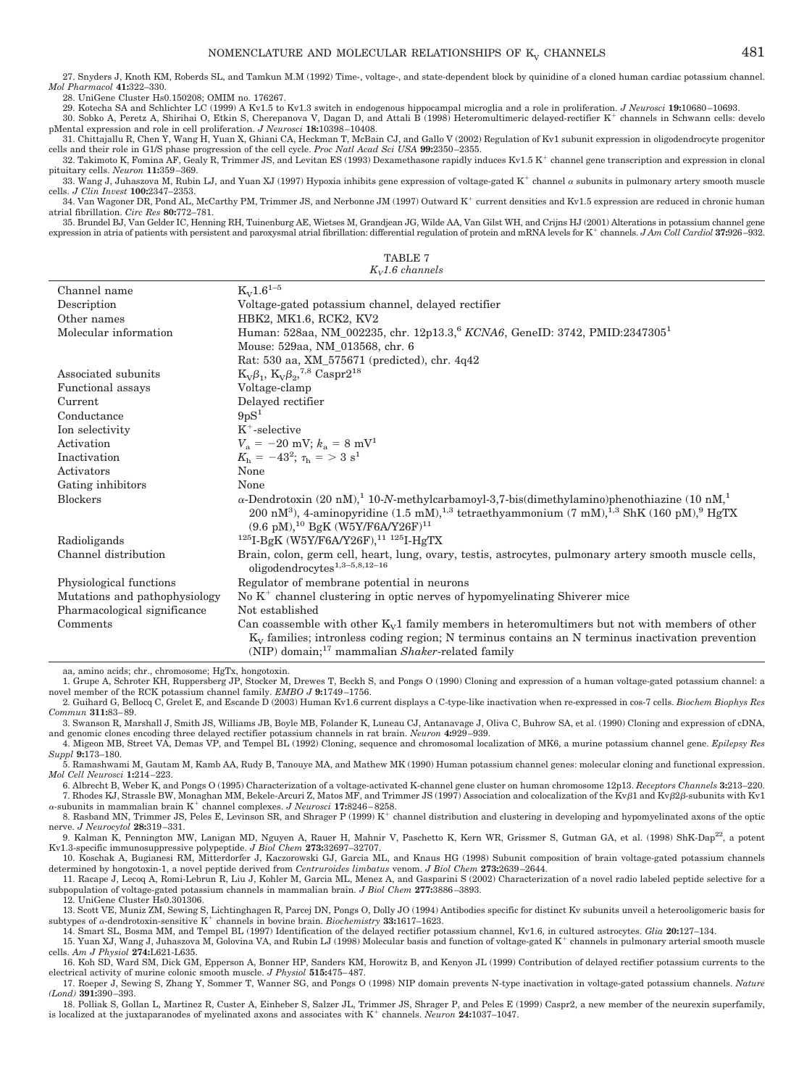#### NOMENCLATURE AND MOLECULAR RELATIONSHIPS OF  $K_v$  CHANNELS  $481$

27. Snyders J, Knoth KM, Roberds SL, and Tamkun M.M (1992) Time-, voltage-, and state-dependent block by quinidine of a cloned human cardiac potassium channel. *Mol Pharmacol* **41:**322–330.

28. UniGene Cluster Hs0.150208; OMIM no. 176267.

29. Kotecha SA and Schlichter LC (1999) A Kv1.5 to Kv1.3 switch in endogenous hippocampal microglia and a role in proliferation. *J Neurosci* **19:**10680 –10693. 30. Sobko A, Peretz A, Shirihai O, Etkin S, Cherepanova V, Dagan D, and Attali B (1998) Heteromultimeric delayed-rectifier K<sup>+</sup> channels in Schwann cells: develo pMental expression and role in cell proliferation. *J Neurosci* **18:**10398 –10408.

31. Chittajallu R, Chen Y, Wang H, Yuan X, Ghiani CA, Heckman T, McBain CJ, and Gallo V (2002) Regulation of Kv1 subunit expression in oligodendrocyte progenitor cells and their role in G1/S phase progression of the cell cycle. *Proc Natl Acad Sci USA* **99:**2350 –2355.

32. Takimoto K, Fomina AF, Gealy R, Trimmer JS, and Levitan ES (1993) Dexamethasone rapidly induces Kv1.5 K<sup>+</sup> channel gene transcription and expression in clonal pituitary cells. *Neuron* **11:**359 –369.

33. Wang J, Juhaszova M, Rubin LJ, and Yuan XJ (1997) Hypoxia inhibits gene expression of voltage-gated K<sup>+</sup> channel  $\alpha$  subunits in pulmonary artery smooth muscle cells. *J Clin Invest* **100:**2347–2353.

34. Van Wagoner DR, Pond AL, McCarthy PM, Trimmer JS, and Nerbonne JM (1997) Outward K<sup>+</sup> current densities and Kv1.5 expression are reduced in chronic human atrial fibrillation. *Circ Res* **80:**772–781.

TABLE 7 35. Brundel BJ, Van Gelder IC, Henning RH, Tuinenburg AE, Wietses M, Grandjean JG, Wilde AA, Van Gilst WH, and Crijns HJ (2001) Alterations in potassium channel gene expression in atria of patients with persistent and paroxysmal atrial fibrillation: differential regulation of protein and mRNA levels for K<sup>+</sup> channels. *J Am Coll Cardiol* 37:926-932.

| $K_{V}1.6$ channels           |                                                                                                                                          |  |  |
|-------------------------------|------------------------------------------------------------------------------------------------------------------------------------------|--|--|
| Channel name                  | $K_V 1.6^{1-5}$                                                                                                                          |  |  |
| Description                   | Voltage-gated potassium channel, delayed rectifier                                                                                       |  |  |
| Other names                   | HBK2, MK1.6, RCK2, KV2                                                                                                                   |  |  |
| Molecular information         | Human: 528aa, NM_002235, chr. 12p13.3, <sup>6</sup> KCNA6, GeneID: 3742, PMID:2347305 <sup>1</sup>                                       |  |  |
|                               | Mouse: 529aa, NM_013568, chr. 6                                                                                                          |  |  |
|                               | Rat: 530 aa, XM_575671 (predicted), chr. 4q42                                                                                            |  |  |
| Associated subunits           | $K_v \beta_1$ , $K_v \beta_2$ , $^{7,8}$ Caspr2 <sup>18</sup>                                                                            |  |  |
| <b>Functional</b> assays      | Voltage-clamp                                                                                                                            |  |  |
| Current                       | Delayed rectifier                                                                                                                        |  |  |
| Conductance                   | $9pS^1$                                                                                                                                  |  |  |
| Ion selectivity               | $K^+$ -selective                                                                                                                         |  |  |
| Activation                    | $V_a = -20$ mV; $k_a = 8$ mV <sup>1</sup>                                                                                                |  |  |
| Inactivation                  | $K_{\rm h} = -43^2$ ; $\tau_{\rm h} = 3 \text{ s}^1$                                                                                     |  |  |
| Activators                    | None                                                                                                                                     |  |  |
| Gating inhibitors             | None                                                                                                                                     |  |  |
| <b>Blockers</b>               | $\alpha$ -Dendrotoxin (20 nM), <sup>1</sup> 10-N-methylcarbamoyl-3,7-bis(dimethylamino)phenothiazine (10 nM, <sup>1</sup>                |  |  |
|                               | 200 nM <sup>3</sup> ), 4-aminopyridine (1.5 mM), <sup>1,3</sup> tetraethyammonium (7 mM), <sup>1,3</sup> ShK (160 pM), <sup>9</sup> HgTX |  |  |
|                               | $(9.6 \text{ pM})$ , <sup>10</sup> BgK (W5Y/F6A/Y26F) <sup>11</sup>                                                                      |  |  |
| Radioligands                  | $125$ I-BgK (W5Y/F6A/Y26F), $11 125$ I-HgTX                                                                                              |  |  |
| Channel distribution          | Brain, colon, germ cell, heart, lung, ovary, testis, astrocytes, pulmonary artery smooth muscle cells,                                   |  |  |
|                               | oligodendrocytes $1,3-5,8,12-16$                                                                                                         |  |  |
| Physiological functions       | Regulator of membrane potential in neurons                                                                                               |  |  |
| Mutations and pathophysiology | No $K^+$ channel clustering in optic nerves of hypomyelinating Shiverer mice                                                             |  |  |
| Pharmacological significance  | Not established                                                                                                                          |  |  |
| Comments                      | Can coassemble with other $K_v1$ family members in heteromultimers but not with members of other                                         |  |  |
|                               | $K_v$ families; intronless coding region; N terminus contains an N terminus inactivation prevention                                      |  |  |
|                               | (NIP) domain; <sup>17</sup> mammalian Shaker-related family                                                                              |  |  |
|                               |                                                                                                                                          |  |  |

aa, amino acids; chr., chromosome; HgTx, hongotoxin.

1. Grupe A, Schroter KH, Ruppersberg JP, Stocker M, Drewes T, Beckh S, and Pongs O (1990) Cloning and expression of a human voltage-gated potassium channel: a novel member of the RCK potassium channel family. *EMBO J* **9:**1749 –1756.

2. Guihard G, Bellocq C, Grelet E, and Escande D (2003) Human Kv1.6 current displays a C-type-like inactivation when re-expressed in cos-7 cells. *Biochem Biophys Res Commun* **311:**83– 89.

3. Swanson R, Marshall J, Smith JS, Williams JB, Boyle MB, Folander K, Luneau CJ, Antanavage J, Oliva C, Buhrow SA, et al. (1990) Cloning and expression of cDNA, and genomic clones encoding three delayed rectifier potassium channels in rat brain. *Neuron* 4:929–939.<br>4. Migeon MB, Street VA, Demas VP, and Tempel BL (1992) Cloning, sequence and chromosomal localization of MK6, a muri

*Suppl* **9:**173–180.

5. Ramashwami M, Gautam M, Kamb AA, Rudy B, Tanouye MA, and Mathew MK (1990) Human potassium channel genes: molecular cloning and functional expression. *Mol Cell Neurosci* **1:**214 –223.

6. Albrecht B, Weber K, and Pongs O (1995) Characterization of a voltage-activated K-channel gene cluster on human chromosome 12p13. *Receptors Channels* **3:**213–220. 7. Rhodes KJ, Strassle BW, Monaghan MM, Bekele-Arcuri Z, Matos MF, and Trimmer JS (1997) Association and colocalization of the Kv $\beta$ 1 and Kv $\beta$ 2 $\beta$ -subunits with Kv1  $\alpha$ -subunits in mammalian brain K<sup>+</sup> channel complexes. *J Neurosci* 17:8246-8258.

8. Rasband MN, Trimmer JS, Peles E, Levinson SR, and Shrager P (1999) K<sup>+</sup> channel distribution and clustering in developing and hypomyelinated axons of the optic nerve. *J Neurocytol* **28:**319 –331.

9. Kalman K, Pennington MW, Lanigan MD, Nguyen A, Rauer H, Mahnir V, Paschetto K, Kern WR, Grissmer S, Gutman GA, et al. (1998) ShK-Dap<sup>22</sup>, a potent Kv1.3-specific immunosuppressive polypeptide. *J Biol Chem* **273:**32697–32707.

10. Koschak A, Bugianesi RM, Mitterdorfer J, Kaczorowski GJ, Garcia ML, and Knaus HG (1998) Subunit composition of brain voltage-gated potassium channels determined by hongotoxin-1, a novel peptide derived from *Centruroides limbatus* venom. *J Biol Chem* **273:**2639 –2644.

11. Racape J, Lecoq A, Romi-Lebrun R, Liu J, Kohler M, Garcia ML, Menez A, and Gasparini S (2002) Characterization of a novel radio labeled peptide selective for a subpopulation of voltage-gated potassium channels in mammalian brain. *J Biol Chem* **277:**3886 –3893.

12. UniGene Cluster Hs0.301306.

13. Scott VE, Muniz ZM, Sewing S, Lichtinghagen R, Parcej DN, Pongs O, Dolly JO (1994) Antibodies specific for distinct Kv subunits unveil a heterooligomeric basis for subtypes of  $\alpha$ -dendrotoxin-sensitive K<sup>+</sup> channels in bovine brain. *Biochemistry* **33:1617**–1623.

14. Smart SL, Bosma MM, and Tempel BL (1997) Identification of the delayed rectifier potassium channel, Kv1.6, in cultured astrocytes. *Glia* **20:**127–134.

15. Yuan XJ, Wang J, Juhaszova M, Golovina VA, and Rubin LJ (1998) Molecular basis and function of voltage-gated K channels in pulmonary arterial smooth muscle cells. *Am J Physiol* **274:**L621-L635.

16. Koh SD, Ward SM, Dick GM, Epperson A, Bonner HP, Sanders KM, Horowitz B, and Kenyon JL (1999) Contribution of delayed rectifier potassium currents to the electrical activity of murine colonic smooth muscle. *J Physiol* **515:**475– 487.

17. Roeper J, Sewing S, Zhang Y, Sommer T, Wanner SG, and Pongs O (1998) NIP domain prevents N-type inactivation in voltage-gated potassium channels. *Nature (Lond)* **391:**390 –393.

18. Polliak S, Gollan L, Martinez R, Custer A, Einheber S, Salzer JL, Trimmer JS, Shrager P, and Peles E (1999) Caspr2, a new member of the neurexin superfamily, is localized at the juxtaparanodes of myelinated axons and associates with  $K^+$  channels. *Neuron* 24:1037–1047.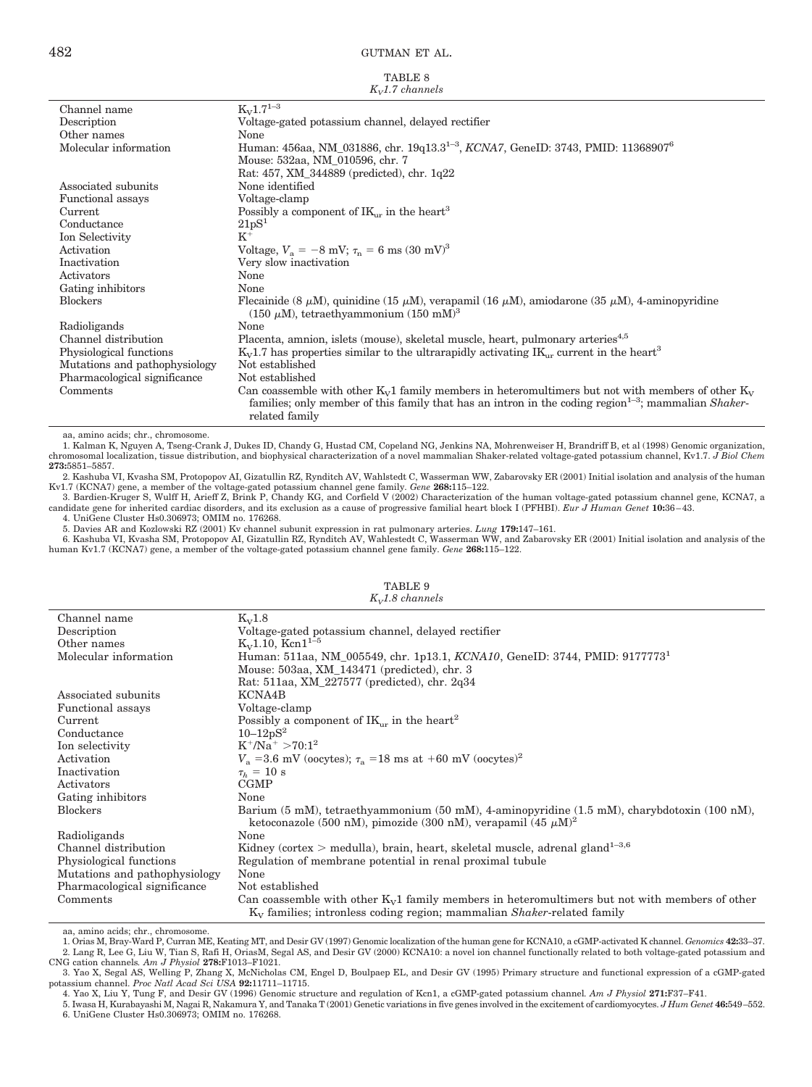| TABLE 8             |
|---------------------|
| $K_{V}1.7$ channels |

| Channel name                  | $K_{\rm V}1.7^{1-3}$                                                                                                                                                       |
|-------------------------------|----------------------------------------------------------------------------------------------------------------------------------------------------------------------------|
| Description                   | Voltage-gated potassium channel, delayed rectifier                                                                                                                         |
| Other names                   | None                                                                                                                                                                       |
| Molecular information         | Human: 456aa, NM_031886, chr. 19q13.3 <sup>1-3</sup> , KCNA7, GeneID: 3743, PMID: 11368907 <sup>6</sup>                                                                    |
|                               | Mouse: 532aa, NM 010596, chr. 7                                                                                                                                            |
|                               | Rat: 457, XM_344889 (predicted), chr. 1q22                                                                                                                                 |
| Associated subunits           | None identified                                                                                                                                                            |
| Functional assays             | Voltage-clamp                                                                                                                                                              |
| Current                       | Possibly a component of $IK_{\mu\nu}$ in the heart <sup>3</sup>                                                                                                            |
| Conductance                   | 21pS <sup>1</sup>                                                                                                                                                          |
| Ion Selectivity               | $K^+$                                                                                                                                                                      |
| Activation                    | Voltage, $V_a = -8$ mV; $\tau_p = 6$ ms $(30 \text{ mV})^3$                                                                                                                |
| Inactivation                  | Very slow inactivation                                                                                                                                                     |
| Activators                    | None                                                                                                                                                                       |
| Gating inhibitors             | None                                                                                                                                                                       |
| <b>Blockers</b>               | Flecainide (8 $\mu$ M), quinidine (15 $\mu$ M), verapamil (16 $\mu$ M), amiodarone (35 $\mu$ M), 4-aminopyridine<br>(150 $\mu$ M), tetraethyammonium (150 mM) <sup>3</sup> |
| Radioligands                  | None                                                                                                                                                                       |
| Channel distribution          | Placenta, amnion, islets (mouse), skeletal muscle, heart, pulmonary arteries <sup>4,5</sup>                                                                                |
| Physiological functions       | $K_{V}1.7$ has properties similar to the ultrarapidly activating $K_{V}$ current in the heart <sup>3</sup>                                                                 |
| Mutations and pathophysiology | Not established                                                                                                                                                            |
| Pharmacological significance  | Not established                                                                                                                                                            |
| Comments                      | Can coassemble with other $K_v1$ family members in heteromultimers but not with members of other $K_v$                                                                     |
|                               | families; only member of this family that has an intron in the coding region $1-3$ ; mammalian <i>Shaker</i> -<br>related family                                           |

aa, amino acids; chr., chromosome.

1. Kalman K, Nguyen A, Tseng-Crank J, Dukes ID, Chandy G, Hustad CM, Copeland NG, Jenkins NA, Mohrenweiser H, Brandriff B, et al (1998) Genomic organization, chromosomal localization, tissue distribution, and biophysical characterization of a novel mammalian Shaker-related voltage-gated potassium channel, Kv1.7. *J Biol Chem* **273:**5851–5857.

2. Kashuba VI, Kvasha SM, Protopopov AI, Gizatullin RZ, Rynditch AV, Wahlstedt C, Wasserman WW, Zabarovsky ER (2001) Initial isolation and analysis of the human

Kv1.7 (KCNA7) gene, a member of the voltage-gated potassium channel gene family. *Gene* 268:115–122.<br>3. Bardien-Kruger S, Wulff H, Arieff Z, Brink P, Chandy KG, and Corfield V (2002) Characterization of the human voltage-g candidate gene for inherited cardiac disorders, and its exclusion as a cause of progressive familial heart block I (PFHBI). *Eur J Human Genet* **10:**36 – 43.

4. UniGene Cluster Hs0.306973; OMIM no. 176268.

5. Davies AR and Kozlowski RZ (2001) Kv channel subunit expression in rat pulmonary arteries. *Lung* 1**79:**147–161.<br>6. Kashuba VI, Kvasha SM, Protopopov AI, Gizatullin RZ, Rynditch AV, Wahlestedt C, Wasserman WW, and Zabar human Kv1.7 (KCNA7) gene, a member of the voltage-gated potassium channel gene family. *Gene* **268:**115–122.

| $K_V1.8$                                                                                         |
|--------------------------------------------------------------------------------------------------|
| Voltage-gated potassium channel, delayed rectifier                                               |
| $K_v1.10$ , $Kcn1^{1-5}$                                                                         |
| Human: 511aa, NM_005549, chr. 1p13.1, KCNA10, GeneID: 3744, PMID: 91777731                       |
| Mouse: 503aa, XM 143471 (predicted), chr. 3                                                      |
| Rat: 511aa, XM_227577 (predicted), chr. 2q34                                                     |
| KCNA4B                                                                                           |
| Voltage-clamp                                                                                    |
| Possibly a component of $IK_{\mu\nu}$ in the heart <sup>2</sup>                                  |
| $10 - 12pS^2$                                                                                    |
| $K^+/Na^+ > 70:1^2$                                                                              |
| $V_a = 3.6$ mV (oocytes); $\tau_a = 18$ ms at +60 mV (oocytes) <sup>2</sup>                      |
| $\tau_h = 10$ s                                                                                  |
| <b>CGMP</b>                                                                                      |
| None                                                                                             |
| Barium (5 mM), tetraethyammonium (50 mM), 4-aminopyridine (1.5 mM), charybdotoxin (100 nM),      |
| ketoconazole (500 nM), pimozide (300 nM), verapamil (45 $\mu$ M) <sup>2</sup>                    |
| None                                                                                             |
| Kidney (cortex > medulla), brain, heart, skeletal muscle, adrenal gland $1-3,6$                  |
| Regulation of membrane potential in renal proximal tubule                                        |
| None                                                                                             |
| Not established                                                                                  |
| Can coassemble with other $K_v1$ family members in heteromultimers but not with members of other |
| $K_V$ families; intronless coding region; mammalian <i>Shaker</i> -related family                |
|                                                                                                  |

#### TABLE 9 *KV1.8 channels*

aa, amino acids; chr., chromosome.

1. Orias M, Bray-Ward P, Curran ME, Keating MT, and Desir GV (1997) Genomic localization of the human gene for KCNA10, a cGMP-activated K channel. *Genomics* **42:**33–37. 2. Lang R, Lee G, Liu W, Tian S, Rafi H, OriasM, Segal AS, and Desir GV (2000) KCNA10: a novel ion channel functionally related to both voltage-gated potassium and CNG cation channels. Am J Physiol 278:F1013–F1021.

4. Yao X, Liu Y, Tung F, and Desir GV (1996) Genomic structure and regulation of Kcn1, a cGMP-gated potassium channel*. Am J Physiol* **271:**F37–F41.

<sup>3.</sup> Yao X, Segal AS, Welling P, Zhang X, McNicholas CM, Engel D, Boulpaep EL, and Desir GV (1995) Primary structure and functional expression of a cGMP-gated potassium channel. Proc Natl Acad Sci USA 92:11711–11715.

<sup>5.</sup> Iwasa H, Kurabayashi M, Nagai R, Nakamura Y, and Tanaka T (2001) Genetic variations in five genes involved in the excitement of cardiomyocytes. *J Hum Genet* **46:**549–552. 6. UniGene Cluster Hs0.306973; OMIM no. 176268.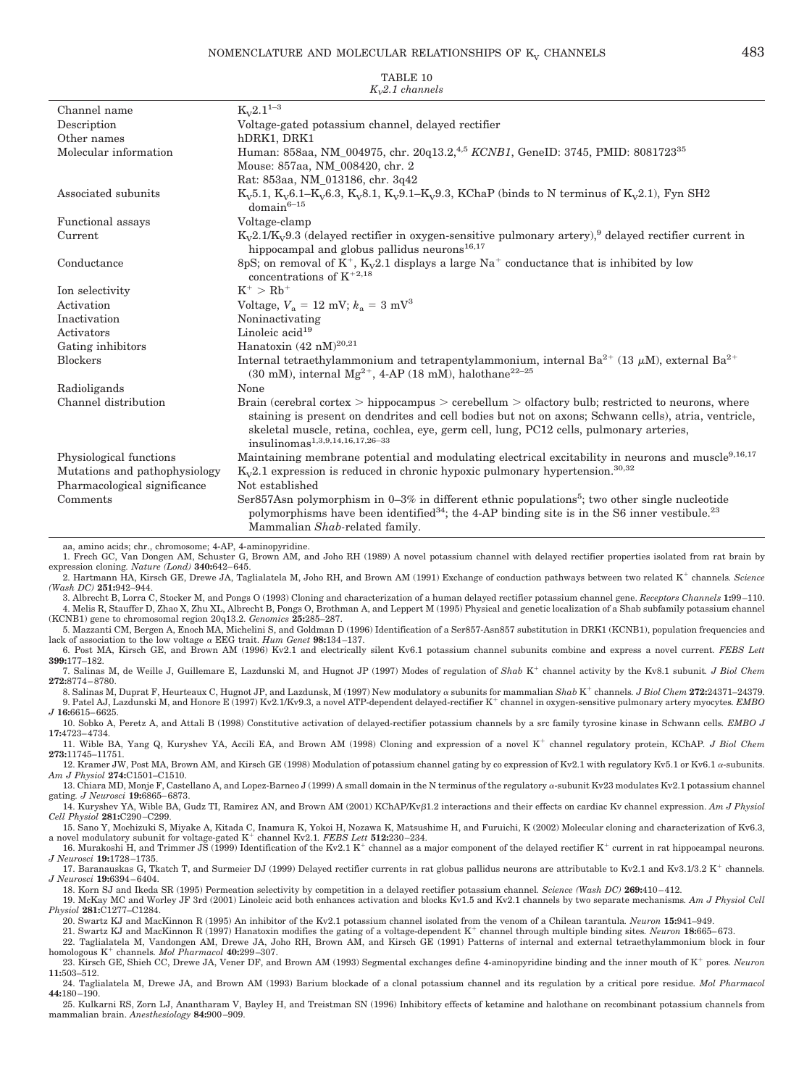| Channel name                  | $K_{V}2.1^{1-3}$                                                                                                                                                                                                                                                                                                                                         |
|-------------------------------|----------------------------------------------------------------------------------------------------------------------------------------------------------------------------------------------------------------------------------------------------------------------------------------------------------------------------------------------------------|
| Description                   | Voltage-gated potassium channel, delayed rectifier                                                                                                                                                                                                                                                                                                       |
| Other names                   | hDRK1, DRK1                                                                                                                                                                                                                                                                                                                                              |
| Molecular information         | Human: 858aa, NM_004975, chr. 20q13.2, <sup>4,5</sup> KCNB1, GeneID: 3745, PMID: 8081723 <sup>35</sup><br>Mouse: 857aa, NM 008420, chr. 2                                                                                                                                                                                                                |
|                               | Rat: 853aa, NM 013186, chr. 3q42                                                                                                                                                                                                                                                                                                                         |
| Associated subunits           | $K_v5.1, K_v6.1-K_v6.3, K_v8.1, K_v9.1-K_v9.3, KChaP$ (binds to N terminus of $K_v2.1$ ), Fyn SH2<br>$domain^{6-15}$                                                                                                                                                                                                                                     |
| Functional assays             | Voltage-clamp                                                                                                                                                                                                                                                                                                                                            |
| Current                       | $K_v2.1/K_v9.3$ (delayed rectifier in oxygen-sensitive pulmonary artery), delayed rectifier current in<br>hippocampal and globus pallidus neurons <sup>16,17</sup>                                                                                                                                                                                       |
| Conductance                   | 8pS; on removal of $K^+$ , $K_v2.1$ displays a large Na <sup>+</sup> conductance that is inhibited by low<br>concentrations of $K^{+2,18}$                                                                                                                                                                                                               |
| Ion selectivity               | $K^+ > Rb^+$                                                                                                                                                                                                                                                                                                                                             |
| Activation                    | Voltage, $V_a = 12$ mV; $k_a = 3$ mV <sup>3</sup>                                                                                                                                                                                                                                                                                                        |
| Inactivation                  | Noninactivating                                                                                                                                                                                                                                                                                                                                          |
| Activators                    | Linoleic $acid19$                                                                                                                                                                                                                                                                                                                                        |
| Gating inhibitors             | Hanatoxin $(42 \text{ nM})^{20,21}$                                                                                                                                                                                                                                                                                                                      |
| <b>Blockers</b>               | Internal tetraethylammonium and tetrapentylammonium, internal $Ba^{2+}$ (13 $\mu$ M), external $Ba^{2+}$<br>(30 mM), internal $Mg^{2+}$ , 4-AP (18 mM), halothane <sup>22-25</sup>                                                                                                                                                                       |
| Radioligands                  | None                                                                                                                                                                                                                                                                                                                                                     |
| Channel distribution          | Brain (cerebral cortex $>$ hippocampus $>$ cerebellum $>$ olfactory bulb; restricted to neurons, where<br>staining is present on dendrites and cell bodies but not on axons; Schwann cells), atria, ventricle,<br>skeletal muscle, retina, cochlea, eye, germ cell, lung, PC12 cells, pulmonary arteries,<br>insulinomas <sup>1,3,9,14,16,17,26-33</sup> |
| Physiological functions       | Maintaining membrane potential and modulating electrical excitability in neurons and muscle <sup>9,16,17</sup>                                                                                                                                                                                                                                           |
| Mutations and pathophysiology | $K_v2.1$ expression is reduced in chronic hypoxic pulmonary hypertension. <sup>30,32</sup>                                                                                                                                                                                                                                                               |
| Pharmacological significance  | Not established                                                                                                                                                                                                                                                                                                                                          |
| Comments                      | Ser857Asn polymorphism in $0-3\%$ in different ethnic populations <sup>5</sup> ; two other single nucleotide<br>polymorphisms have been identified <sup>34</sup> ; the 4-AP binding site is in the S6 inner vestibule. <sup>23</sup><br>Mammalian Shab-related family.                                                                                   |

TABLE 10 *KV2.1 channels*

aa, amino acids; chr., chromosome; 4-AP, 4-aminopyridine.

1. Frech GC, Van Dongen AM, Schuster G, Brown AM, and Joho RH (1989) A novel potassium channel with delayed rectifier properties isolated from rat brain by expression cloning*. Nature (Lond)* **340:**642– 645.

2. Hartmann HA, Kirsch GE, Drewe JA, Taglialatela M, Joho RH, and Brown AM (1991) Exchange of conduction pathways between two related K<sup>+</sup> channels. Science *(Wash DC)* **251:**942–944.

3. Albrecht B, Lorra C, Stocker M, and Pongs O (1993) Cloning and characterization of a human delayed rectifier potassium channel gene. *Receptors Channels* **1:**99 –110. 4. Melis R, Stauffer D, Zhao X, Zhu XL, Albrecht B, Pongs O, Brothman A, and Leppert M (1995) Physical and genetic localization of a Shab subfamily potassium channel (KCNB1) gene to chromosomal region 20q13.2. *Genomics* **25:**285–287.

5. Mazzanti CM, Bergen A, Enoch MA, Michelini S, and Goldman D (1996) Identification of a Ser857-Asn857 substitution in DRK1 (KCNB1), population frequencies and lack of association to the low voltage  $\alpha$  EEG trait. *Hum Genet* 98:134-137.

6. Post MA, Kirsch GE, and Brown AM (1996) Kv2.1 and electrically silent Kv6.1 potassium channel subunits combine and express a novel current*. FEBS Lett* **399:**177–182.

7. Salinas M, de Weille J, Guillemare E, Lazdunski M, and Hugnot JP (1997) Modes of regulation of Shab K<sup>+</sup> channel activity by the Kv8.1 subunit. *J Biol Chem* **272:**8774 – 8780.

8. Salinas M, Duprat F, Heurteaux C, Hugnot JP, and Lazdunsk, M (1997) New modulatory  $\alpha$  subunits for mammalian *Shab* K<sup>+</sup> channels. *J Biol Chem* 2**72:**24371-24379. 9. Patel AJ, Lazdunski M, and Honore E (1997) Kv2.1/Kv9.3, a novel ATP-dependent delayed-rectifier K<sup>+</sup> channel in oxygen-sensitive pulmonary artery myocytes. *EMBO J* **16:**6615– 6625.

10. Sobko A, Peretz A, and Attali B (1998) Constitutive activation of delayed-rectifier potassium channels by a src family tyrosine kinase in Schwann cells*. EMBO J* **17:**4723– 4734.

11. Wible BA, Yang Q, Kuryshev YA, Accili EA, and Brown AM (1998) Cloning and expression of a novel K<sup>+</sup> channel regulatory protein, KChAP. *J Biol Chem* **273:**11745–11751. 12. Kramer JW, Post MA, Brown AM, and Kirsch GE (1998) Modulation of potassium channel gating by co expression of Kv2.1 with regulatory Kv5.1 or Kv6.1  $\alpha$ -subunits.

*Am J Physiol* **274:**C1501–C1510. 13. Chiara MD, Monje F, Castellano A, and Lopez-Barneo J (1999) A small domain in the N terminus of the regulatory  $\alpha$ -subunit Kv23 modulates Kv2.1 potassium channel

gating*. J Neurosci* **19:**6865– 6873.

14. Kuryshev YA, Wible BA, Gudz TI, Ramirez AN, and Brown AM (2001) KChAP/Kv $\beta$ 1.2 interactions and their effects on cardiac Kv channel expression. *Am J Physiol Cell Physiol* **281:**C290 –C299.

15. Sano Y, Mochizuki S, Miyake A, Kitada C, Inamura K, Yokoi H, Nozawa K, Matsushime H, and Furuichi, K (2002) Molecular cloning and characterization of Kv6.3, a novel modulatory subunit for voltage-gated K<sup>+</sup> channel Kv2

16. Murakoshi H, and Trimmer JS (1999) Identification of the Kv2.1 K<sup>+</sup> channel as a major component of the delayed rectifier K<sup>+</sup> current in rat hippocampal neurons. *J Neurosci* **19:**1728 –1735.

17. Baranauskas G, Tkatch T, and Surmeier DJ (1999) Delayed rectifier currents in rat globus pallidus neurons are attributable to Kv2.1 and Kv3.1/3.2 K channels*. J Neurosci* **19:**6394 – 6404.

18. Korn SJ and Ikeda SR (1995) Permeation selectivity by competition in a delayed rectifier potassium channel*. Science (Wash DC)* **269:**410 – 412.

19. McKay MC and Worley JF 3rd (2001) Linoleic acid both enhances activation and blocks Kv1.5 and Kv2.1 channels by two separate mechanisms*. Am J Physiol Cell Physiol* **281:**C1277–C1284.

20. Swartz KJ and MacKinnon R (1995) An inhibitor of the Kv2.1 potassium channel isolated from the venom of a Chilean tarantula*. Neuron* **15:**941–949.

21. Swartz KJ and MacKinnon R (1997) Hanatoxin modifies the gating of a voltage-dependent K channel through multiple binding sites*. Neuron* **18:**665– 673. 22. Taglialatela M, Vandongen AM, Drewe JA, Joho RH, Brown AM, and Kirsch GE (1991) Patterns of internal and external tetraethylammonium block in four homologous K<sup>+</sup> channels. Mol Pharmacol **40:**299-307.

23. Kirsch GE, Shieh CC, Drewe JA, Vener DF, and Brown AM (1993) Segmental exchanges define 4-aminopyridine binding and the inner mouth of K pores*. Neuron* **11:**503–512.

24. Taglialatela M, Drewe JA, and Brown AM (1993) Barium blockade of a clonal potassium channel and its regulation by a critical pore residue*. Mol Pharmacol* **44:**180 –190.

25. Kulkarni RS, Zorn LJ, Anantharam V, Bayley H, and Treistman SN (1996) Inhibitory effects of ketamine and halothane on recombinant potassium channels from mammalian brain. *Anesthesiology* **84:**900 –909.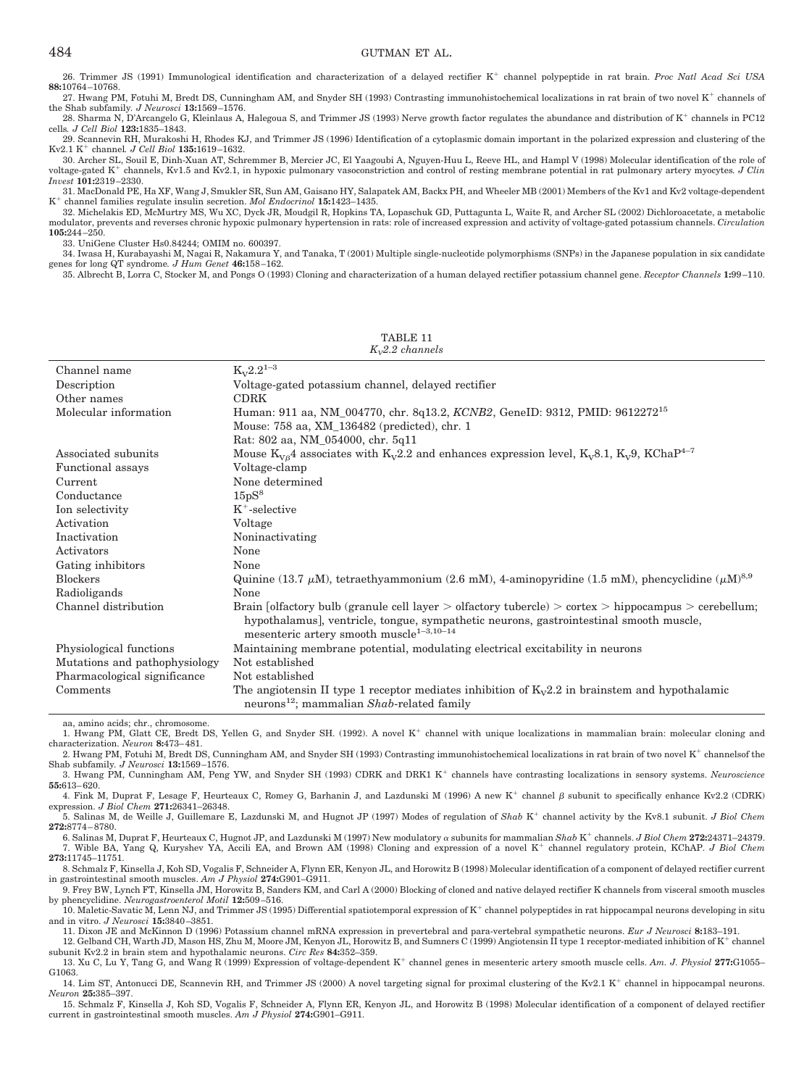26. Trimmer JS (1991) Immunological identification and characterization of a delayed rectifier K<sup>+</sup> channel polypeptide in rat brain. *Proc Natl Acad Sci USA* **88:**10764 –10768.

27. Hwang PM, Fotuhi M, Bredt DS, Cunningham AM, and Snyder SH (1993) Contrasting immunohistochemical localizations in rat brain of two novel K<sup>+</sup> channels of the Shab subfamily*. J Neurosci* **13:**1569 –1576.

28. Sharma N, D'Arcangelo G, Kleinlaus A, Halegoua S, and Trimmer JS (1993) Nerve growth factor regulates the abundance and distribution of  $K^+$  channels in PC12 cells*. J Cell Biol* **123:**1835–1843.

29. Scannevin RH, Murakoshi H, Rhodes KJ, and Trimmer JS (1996) Identification of a cytoplasmic domain important in the polarized expression and clustering of the  $Kv2.1 K<sup>+</sup> channel. J Cell Biol 135:1619-1632.$ 

30. Archer SL, Souil E, Dinh-Xuan AT, Schremmer B, Mercier JC, El Yaagoubi A, Nguyen-Huu L, Reeve HL, and Hampl V (1998) Molecular identification of the role of voltage-gated K<sup>+</sup> channels, Kv1.5 and Kv2.1, in hypoxic pulmonary vasoconstriction and control of resting membrane potential in rat pulmonary artery myocytes. J Clin *Invest* **101:**2319 –2330.

31. MacDonald PE, Ha XF, Wang J, Smukler SR, Sun AM, Gaisano HY, Salapatek AM, Backx PH, and Wheeler MB (2001) Members of the Kv1 and Kv2 voltage-dependent K channel families regulate insulin secretion. *Mol Endocrinol* **15:**1423–1435.

32. Michelakis ED, McMurtry MS, Wu XC, Dyck JR, Moudgil R, Hopkins TA, Lopaschuk GD, Puttagunta L, Waite R, and Archer SL (2002) Dichloroacetate, a metabolic modulator, prevents and reverses chronic hypoxic pulmonary hypertension in rats: role of increased expression and activity of voltage-gated potassium channels. *Circulation* **105:**244 –250.

33. UniGene Cluster Hs0.84244; OMIM no. 600397.

34. Iwasa H, Kurabayashi M, Nagai R, Nakamura Y, and Tanaka, T (2001) Multiple single-nucleotide polymorphisms (SNPs) in the Japanese population in six candidate genes for long QT syndrome*. J Hum Genet* **46:**158 –162.

35. Albrecht B, Lorra C, Stocker M, and Pongs O (1993) Cloning and characterization of a human delayed rectifier potassium channel gene. *Receptor Channels* **1:**99 –110.

| Channel name                  | $K_v 2.2^{1-3}$                                                                                                                                                                                                                                                |
|-------------------------------|----------------------------------------------------------------------------------------------------------------------------------------------------------------------------------------------------------------------------------------------------------------|
| Description                   | Voltage-gated potassium channel, delayed rectifier                                                                                                                                                                                                             |
| Other names                   | <b>CDRK</b>                                                                                                                                                                                                                                                    |
| Molecular information         | Human: 911 aa, NM_004770, chr. 8q13.2, KCNB2, GeneID: 9312, PMID: 9612272 <sup>15</sup>                                                                                                                                                                        |
|                               | Mouse: 758 aa, XM_136482 (predicted), chr. 1                                                                                                                                                                                                                   |
|                               | Rat: 802 aa, NM_054000, chr. 5q11                                                                                                                                                                                                                              |
| Associated subunits           | Mouse $K_{V\beta}$ 4 associates with $K_V2.2$ and enhances expression level, $K_V8.1$ , $K_V9$ , KChaP <sup>4-7</sup>                                                                                                                                          |
| Functional assays             | Voltage-clamp                                                                                                                                                                                                                                                  |
| Current                       | None determined                                                                                                                                                                                                                                                |
| Conductance                   | 15pS <sup>8</sup>                                                                                                                                                                                                                                              |
| Ion selectivity               | $K^+$ -selective                                                                                                                                                                                                                                               |
| Activation                    | Voltage                                                                                                                                                                                                                                                        |
| Inactivation                  | Noninactivating                                                                                                                                                                                                                                                |
| Activators                    | None                                                                                                                                                                                                                                                           |
| Gating inhibitors             | None                                                                                                                                                                                                                                                           |
| <b>Blockers</b>               | Quinine (13.7 $\mu$ M), tetraethyammonium (2.6 mM), 4-aminopyridine (1.5 mM), phencyclidine ( $\mu$ M) <sup>8,9</sup>                                                                                                                                          |
| Radioligands                  | None                                                                                                                                                                                                                                                           |
| Channel distribution          | Brain [olfactory bulb (granule cell layer $>$ olfactory tubercle) $>$ cortex $>$ hippocampus $>$ cerebellum;<br>hypothalamus], ventricle, tongue, sympathetic neurons, gastrointestinal smooth muscle,<br>mesenteric artery smooth muscle <sup>1-3,10-14</sup> |
| Physiological functions       | Maintaining membrane potential, modulating electrical excitability in neurons                                                                                                                                                                                  |
| Mutations and pathophysiology | Not established                                                                                                                                                                                                                                                |
| Pharmacological significance  | Not established                                                                                                                                                                                                                                                |
| Comments                      | The angiotensin II type 1 receptor mediates inhibition of $K_v 2.2$ in brainstem and hypothalamic<br>neurons <sup>12</sup> ; mammalian $Shab$ -related family                                                                                                  |

TABLE 11 *KV2.2 channels*

aa, amino acids; chr., chromosome.

1. Hwang PM, Glatt CE, Bredt DS, Yellen G, and Snyder SH. (1992). A novel K channel with unique localizations in mammalian brain: molecular cloning and characterization. *Neuron* **8:**473– 481.

2. Hwang PM, Fotuhi M, Bredt DS, Cunningham AM, and Snyder SH (1993) Contrasting immunohistochemical localizations in rat brain of two novel K<sup>+</sup> channelsof the Shab subfamily*. J Neurosci* **13:**1569 –1576. 3. Hwang PM, Cunningham AM, Peng YW, and Snyder SH (1993) CDRK and DRK1 K<sup>+</sup> channels have contrasting localizations in sensory systems. *Neuroscience* 

**55:**613– 620. 4. Fink M, Duprat F, Lesage F, Heurteaux C, Romey G, Barhanin J, and Lazdunski M (1996) A new K<sup>+</sup> channel  $\beta$  subunit to specifically enhance Kv2.2 (CDRK)

expression. *J Biol Chem* **271:**26341–26348.

5. Salinas M, de Weille J, Guillemare E, Lazdunski M, and Hugnot JP (1997) Modes of regulation of Shab K<sup>+</sup> channel activity by the Kv8.1 subunit. *J Biol Chem* **272:**8774 – 8780.

6. Salinas M, Duprat F, Heurteaux C, Hugnot JP, and Lazdunski M (1997) New modulatory  $\alpha$  subunits for mammalian  $Shab$  K<sup>+</sup> channels. *J Biol Chem* 272:24371-24379. 7. Wible BA, Yang Q, Kuryshev YA, Accili EA, and Brown AM (1998) Cloning and expression of a novel K<sup>+</sup> channel regulatory protein, KChAP. *J Biol Chem* **273:**11745–11751.

8. Schmalz F, Kinsella J, Koh SD, Vogalis F, Schneider A, Flynn ER, Kenyon JL, and Horowitz B (1998) Molecular identification of a component of delayed rectifier current in gastrointestinal smooth muscles. *Am J Physiol* **274:**G901–G911.

9. Frey BW, Lynch FT, Kinsella JM, Horowitz B, Sanders KM, and Carl A (2000) Blocking of cloned and native delayed rectifier K channels from visceral smooth muscles by phencyclidine. *Neurogastroenterol Motil* **12:**509 –516.

10. Maletic-Savatic M, Lenn NJ, and Trimmer JS (1995) Differential spatiotemporal expression of  $K^+$  channel polypeptides in rat hippocampal neurons developing in situ and in vitro. *J Neurosci* **15:**3840 –3851.

11. Dixon JE and McKinnon D (1996) Potassium channel mRNA expression in prevertebral and para-vertebral sympathetic neurons. *Eur J Neurosci* **8:**183–191. 12. Gelband CH, Warth JD, Mason HS, Zhu M, Moore JM, Kenyon JL, Horowitz B, and Sumners C (1999) Angiotensin II type 1 receptor-mediated inhibition of K<sup>+</sup> channel

subunit Kv2.2 in brain stem and hypothalamic neurons. *Circ Res* **84:**352–359.

13. Xu C, Lu Y, Tang G, and Wang R (1999) Expression of voltage-dependent K<sup>+</sup> channel genes in mesenteric artery smooth muscle cells. *Am. J. Physiol* 277:G1055– G<sub>1063</sub>

14. Lim ST, Antonucci DE, Scannevin RH, and Trimmer JS (2000) A novel targeting signal for proximal clustering of the Kv2.1 K<sup>+</sup> channel in hippocampal neurons. *Neuron* **25:**385–397.

15. Schmalz F, Kinsella J, Koh SD, Vogalis F, Schneider A, Flynn ER, Kenyon JL, and Horowitz B (1998) Molecular identification of a component of delayed rectifier current in gastrointestinal smooth muscles. *Am J Physiol* **274:**G901–G911.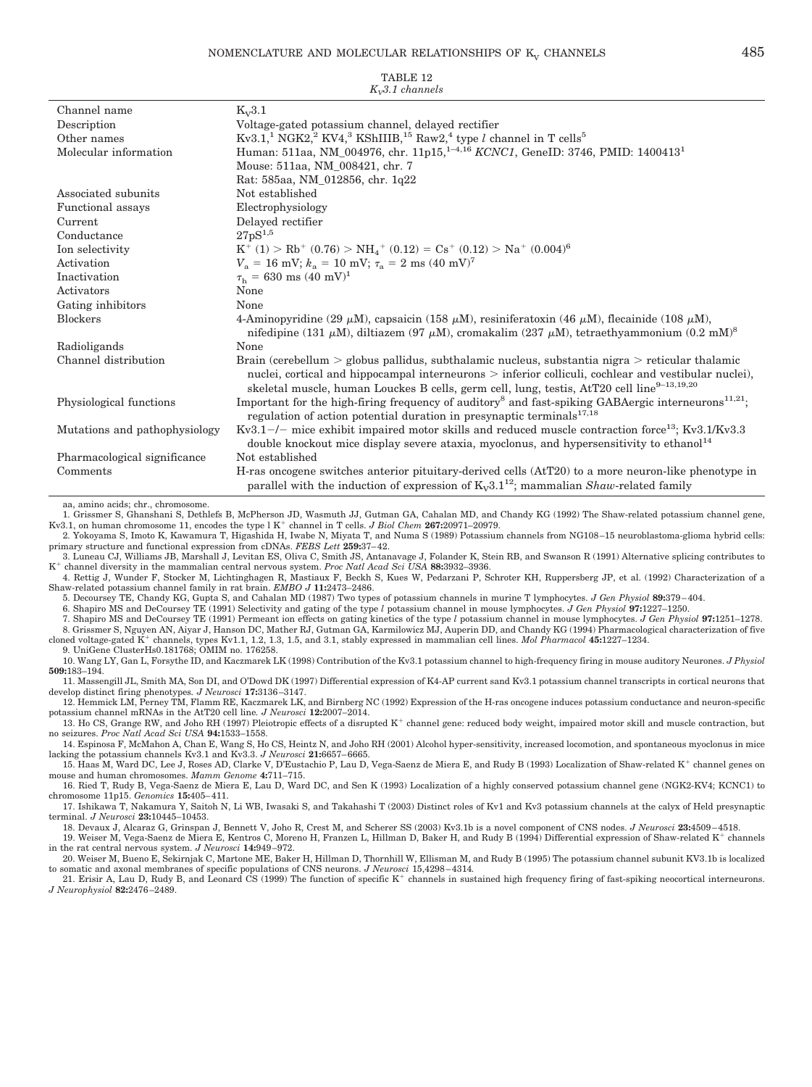| TABLE 12<br>$K_v3.1$ channels |                                                                                                                                                                                                                                                                                                                       |  |
|-------------------------------|-----------------------------------------------------------------------------------------------------------------------------------------------------------------------------------------------------------------------------------------------------------------------------------------------------------------------|--|
| Channel name                  | $K_v3.1$                                                                                                                                                                                                                                                                                                              |  |
| Description                   | Voltage-gated potassium channel, delayed rectifier                                                                                                                                                                                                                                                                    |  |
| Other names                   | Kv3.1, <sup>1</sup> NGK2, <sup>2</sup> KV4, <sup>3</sup> KShIIIB, <sup>15</sup> Raw2, <sup>4</sup> type <i>l</i> channel in T cells <sup>5</sup>                                                                                                                                                                      |  |
| Molecular information         | Human: 511aa, NM_004976, chr. 11p15, <sup>1-4,16</sup> KCNC1, GeneID: 3746, PMID: 1400413 <sup>1</sup>                                                                                                                                                                                                                |  |
|                               | Mouse: 511aa, NM_008421, chr. 7                                                                                                                                                                                                                                                                                       |  |
|                               | Rat: 585aa, NM_012856, chr. 1q22                                                                                                                                                                                                                                                                                      |  |
| Associated subunits           | Not established                                                                                                                                                                                                                                                                                                       |  |
| <b>Functional</b> assays      | Electrophysiology                                                                                                                                                                                                                                                                                                     |  |
| Current                       | Delayed rectifier                                                                                                                                                                                                                                                                                                     |  |
| Conductance                   | $27pS^{1,5}$                                                                                                                                                                                                                                                                                                          |  |
| Ion selectivity               | $K^+$ (1) > Rb <sup>+</sup> (0.76) > NH <sub>4</sub> <sup>+</sup> (0.12) = Cs <sup>+</sup> (0.12) > Na <sup>+</sup> (0.004) <sup>6</sup>                                                                                                                                                                              |  |
| Activation                    | $V_a = 16$ mV; $k_a = 10$ mV; $\tau_a = 2$ ms $(40 \text{ mV})^7$                                                                                                                                                                                                                                                     |  |
| Inactivation                  | $\tau_{\rm h} = 630 \text{ ms } (40 \text{ mV})^1$                                                                                                                                                                                                                                                                    |  |
| Activators                    | None                                                                                                                                                                                                                                                                                                                  |  |
| Gating inhibitors             | None                                                                                                                                                                                                                                                                                                                  |  |
| <b>Blockers</b>               | 4-Aminopyridine (29 $\mu$ M), capsaicin (158 $\mu$ M), resiniferatoxin (46 $\mu$ M), flecainide (108 $\mu$ M),<br>nifedipine (131 $\mu$ M), diltiazem (97 $\mu$ M), cromakalim (237 $\mu$ M), tetraethyammonium (0.2 mM) <sup>8</sup>                                                                                 |  |
| Radioligands                  | None                                                                                                                                                                                                                                                                                                                  |  |
| Channel distribution          | Brain (cerebellum $>$ globus pallidus, subthalamic nucleus, substantia nigra $>$ reticular thalamic<br>nuclei, cortical and hippocampal interneurons > inferior colliculi, cochlear and vestibular nuclei),<br>skeletal muscle, human Louckes B cells, germ cell, lung, testis, AtT20 cell line <sup>9-13,19,20</sup> |  |
| Physiological functions       | Important for the high-firing frequency of auditory <sup>8</sup> and fast-spiking GABAergic interneurons <sup>11,21</sup> ;<br>regulation of action potential duration in presynaptic terminals <sup>17,18</sup>                                                                                                      |  |
| Mutations and pathophysiology | $Kv3.1-/-$ mice exhibit impaired motor skills and reduced muscle contraction force <sup>13</sup> ; Kv3.1/Kv3.3<br>double knockout mice display severe ataxia, myoclonus, and hypersensitivity to ethanol <sup>14</sup>                                                                                                |  |
| Pharmacological significance  | Not established                                                                                                                                                                                                                                                                                                       |  |
| Comments                      | H-ras oncogene switches anterior pituitary-derived cells (AtT20) to a more neuron-like phenotype in<br>parallel with the induction of expression of $K_v3.1^{12}$ ; mammalian <i>Shaw</i> -related family                                                                                                             |  |

aa, amino acids; chr., chromosome.

1. Grissmer S, Ghanshani S, Dethlefs B, McPherson JD, Wasmuth JJ, Gutman GA, Cahalan MD, and Chandy KG (1992) The Shaw-related potassium channel gene, Kv3.1, on human chromosome 11, encodes the type l K<sup>+</sup> channel in T cells. *J Biol Chem* 267:20971–20979.

2. Yokoyama S, Imoto K, Kawamura T, Higashida H, Iwabe N, Miyata T, and Numa S (1989) Potassium channels from NG108 –15 neuroblastoma-glioma hybrid cells: primary structure and functional expression from cDNAs. *FEBS Lett* **259:**37– 42.

3. Luneau CJ, Williams JB, Marshall J, Levitan ES, Oliva C, Smith JS, Antanavage J, Folander K, Stein RB, and Swanson R (1991) Alternative splicing contributes to K<sup>+</sup> channel diversity in the mammalian central nervous system. Proc Natl Acad Sci USA 88:3932-3936.<br>4. Rettig J, Wunder F, Stocker M, Lichtinghagen R, Mastiaux F, Beckh S, Kues W, Pedarzani P, Schroter KH, Ruppersberg JP,

Shaw-related potassium channel family in rat brain. *EMBO J* **11:**2473–2486.

5. Decoursey TE, Chandy KG, Gupta S, and Cahalan MD (1987) Two types of potassium channels in murine T lymphocytes. *J Gen Physiol* **89:**379 – 404.

6. Shapiro MS and DeCoursey TE (1991) Selectivity and gating of the type *l* potassium channel in mouse lymphocytes. *J Gen Physiol* **97:**1227–1250. 7. Shapiro MS and DeCoursey TE (1991) Permeant ion effects on gating kinetics of the type *l* potassium channel in mouse lymphocytes. *J Gen Physiol* **97:**1251–1278.

8. Grissmer S, Nguyen AN, Aiyar J, Hanson DC, Mather RJ, Gutman GA, Karmilowicz MJ, Auperin DD, and Chandy KG (1994) Pharmacological characterization of five

cloned voltage-gated  $K^+$  channels, types Kv1.1, 1.2, 1.3, 1.5, and 3.1, stably expressed in mammalian cell lines. *Mol Pharmacol* 45:1227–1234. 9. UniGene ClusterHs0.181768; OMIM no. 176258.

10. Wang LY, Gan L, Forsythe ID, and Kaczmarek LK (1998) Contribution of the Kv3.1 potassium channel to high-frequency firing in mouse auditory Neurones. *J Physiol* **509:**183–194.

11. Massengill JL, Smith MA, Son DI, and O'Dowd DK (1997) Differential expression of K4-AP current sand Kv3.1 potassium channel transcripts in cortical neurons that develop distinct firing phenotypes*. J Neurosci* **17:**3136 –3147.

12. Hemmick LM, Perney TM, Flamm RE, Kaczmarek LK, and Birnberg NC (1992) Expression of the H-ras oncogene induces potassium conductance and neuron-specific potassium channel mRNAs in the AtT20 cell line*. J Neurosci* **12:**2007–2014.

13. Ho CS, Grange RW, and Joho RH (1997) Pleiotropic effects of a disrupted K<sup>+</sup> channel gene: reduced body weight, impaired motor skill and muscle contraction, but no seizures. *Proc Natl Acad Sci USA* **94:**1533–1558.

14. Espinosa F, McMahon A, Chan E, Wang S, Ho CS, Heintz N, and Joho RH (2001) Alcohol hyper-sensitivity, increased locomotion, and spontaneous myoclonus in mice lacking the potassium channels Kv3.1 and Kv3.3. *J Neurosci* **21:**6657– 6665. 15. Haas M, Ward DC, Lee J, Roses AD, Clarke V, D'Eustachio P, Lau D, Vega-Saenz de Miera E, and Rudy B (1993) Localization of Shaw-related K<sup>+</sup> channel genes on

mouse and human chromosomes. *Mamm Genome* **4:**711–715. 16. Ried T, Rudy B, Vega-Saenz de Miera E, Lau D, Ward DC, and Sen K (1993) Localization of a highly conserved potassium channel gene (NGK2-KV4; KCNC1) to

chromosome 11p15. *Genomics* **15:**405– 411. 17. Ishikawa T, Nakamura Y, Saitoh N, Li WB, Iwasaki S, and Takahashi T (2003) Distinct roles of Kv1 and Kv3 potassium channels at the calyx of Held presynaptic

terminal. *J Neurosci* **23:**10445–10453.

18. Devaux J, Alcaraz G, Grinspan J, Bennett V, Joho R, Crest M, and Scherer SS (2003) Kv3.1b is a novel component of CNS nodes. *J Neurosci* **23:**4509 – 4518.

19. Weiser M, Vega-Saenz de Miera E, Kentros C, Moreno H, Franzen L, Hillman D, Baker H, and Rudy B (1994) Differential expression of Shaw-related K channels in the rat central nervous system. *J Neurosci* **14:**949 –972. 20. Weiser M, Bueno E, Sekirnjak C, Martone ME, Baker H, Hillman D, Thornhill W, Ellisman M, and Rudy B (1995) The potassium channel subunit KV3.1b is localized

to somatic and axonal membranes of specific populations of CNS neurons. *J Neurosci* 15,4298 – 4314*.*

21. Erisir A, Lau D, Rudy B, and Leonard CS (1999) The function of specific  $K^+$  channels in sustained high frequency firing of fast-spiking neocortical interneurons. *J Neurophysiol* **82:**2476 –2489.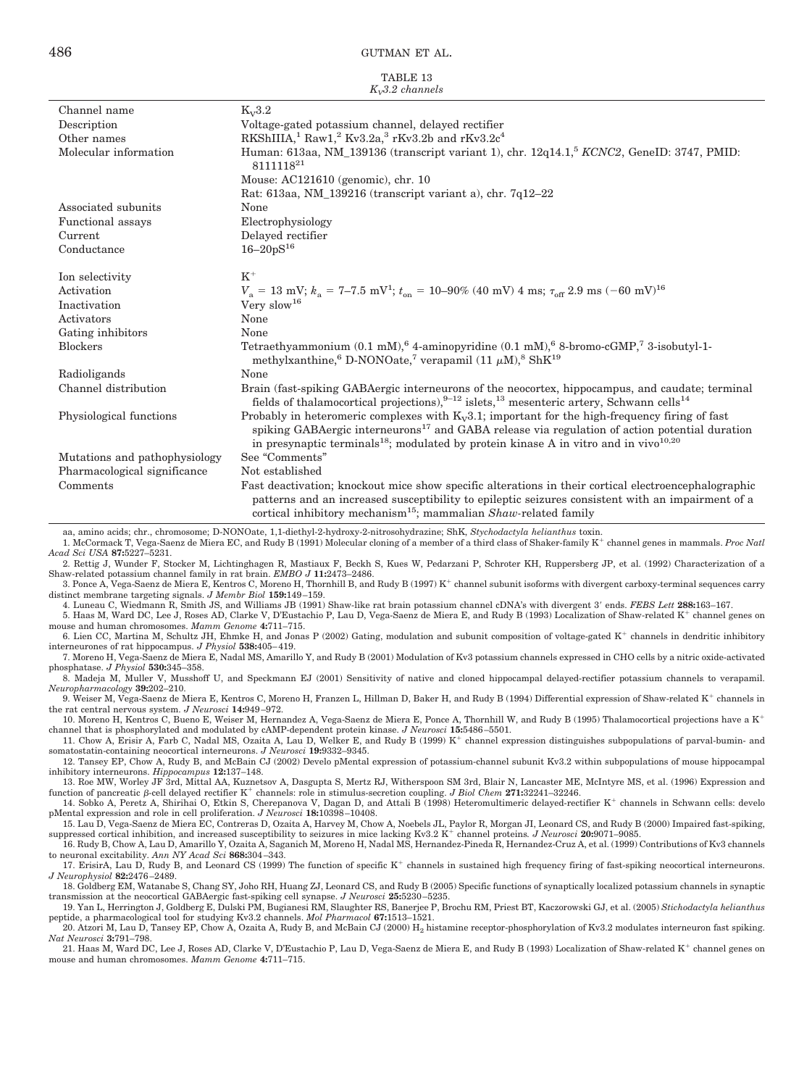|                   | TABLE 13 |  |
|-------------------|----------|--|
| $K_v3.2$ channels |          |  |

| Channel name                                                             | $K_v3.2$                                                                                                                                                                                                                                                                                                                            |
|--------------------------------------------------------------------------|-------------------------------------------------------------------------------------------------------------------------------------------------------------------------------------------------------------------------------------------------------------------------------------------------------------------------------------|
| Description                                                              | Voltage-gated potassium channel, delayed rectifier                                                                                                                                                                                                                                                                                  |
| Other names                                                              | RKShIIIA, <sup>1</sup> Raw1, <sup>2</sup> Kv3.2a, <sup>3</sup> rKv3.2b and rKv3.2c <sup>4</sup>                                                                                                                                                                                                                                     |
| Molecular information                                                    | Human: 613aa, NM_139136 (transcript variant 1), chr. 12q14.1, <sup>5</sup> KCNC2, GeneID: 3747, PMID:<br>811111821                                                                                                                                                                                                                  |
|                                                                          | Mouse: AC121610 (genomic), chr. 10                                                                                                                                                                                                                                                                                                  |
|                                                                          | Rat: 613aa, NM_139216 (transcript variant a), chr. 7q12-22                                                                                                                                                                                                                                                                          |
| Associated subunits                                                      | None                                                                                                                                                                                                                                                                                                                                |
| Functional assays                                                        | Electrophysiology                                                                                                                                                                                                                                                                                                                   |
| Current                                                                  | Delayed rectifier                                                                                                                                                                                                                                                                                                                   |
| Conductance                                                              | $16 - 20pS^{16}$                                                                                                                                                                                                                                                                                                                    |
| Ion selectivity                                                          | $K^+$                                                                                                                                                                                                                                                                                                                               |
| Activation                                                               | $V_a = 13$ mV; $k_a = 7-7.5$ mV <sup>1</sup> ; $t_{on} = 10-90\%$ (40 mV) 4 ms; $\tau_{off}$ 2.9 ms $(-60 \text{ mV})^{16}$                                                                                                                                                                                                         |
| Inactivation                                                             | Very $slow16$                                                                                                                                                                                                                                                                                                                       |
| Activators                                                               | None                                                                                                                                                                                                                                                                                                                                |
| Gating inhibitors                                                        | None                                                                                                                                                                                                                                                                                                                                |
| <b>Blockers</b>                                                          | Tetraethyammonium (0.1 mM), 64-aminopyridine (0.1 mM), 68-bromo-cGMP, 73-isobutyl-1-<br>methylxanthine, $D-NONO$ ate, $\frac{7}{7}$ verapamil (11 $\mu$ M), $\frac{8}{7}$ ShK <sup>19</sup>                                                                                                                                         |
| Radioligands                                                             | None                                                                                                                                                                                                                                                                                                                                |
| Channel distribution                                                     | Brain (fast-spiking GABAergic interneurons of the neocortex, hippocampus, and caudate; terminal<br>fields of thalamocortical projections), $9-12$ islets, $13$ mesenteric artery, Schwann cells <sup>14</sup>                                                                                                                       |
| Physiological functions                                                  | Probably in heteromeric complexes with $K_v3.1$ ; important for the high-frequency firing of fast<br>spiking GABAergic interneurons <sup>17</sup> and GABA release via regulation of action potential duration<br>in presynaptic terminals <sup>18</sup> ; modulated by protein kinase A in vitro and in vivo <sup>10,20</sup>      |
| Mutations and pathophysiology                                            | See "Comments"                                                                                                                                                                                                                                                                                                                      |
| Pharmacological significance                                             | Not established                                                                                                                                                                                                                                                                                                                     |
| Comments                                                                 | Fast deactivation; knockout mice show specific alterations in their cortical electroencephalographic<br>patterns and an increased susceptibility to epileptic seizures consistent with an impairment of a<br>cortical inhibitory mechanism <sup>15</sup> ; mammalian $Shaw$ -related family                                         |
| Acad Sci USA <b>87:</b> 5227–5231.                                       | aa, amino acids; chr., chromosome; D-NONOate, 1,1-diethyl-2-hydroxy-2-nitrosohydrazine; ShK, Stychodactyla helianthus toxin.<br>1. McCormack T, Vega-Saenz de Miera EC, and Rudy B (1991) Molecular cloning of a member of a third class of Shaker-family K <sup>+</sup> channel genes in mammals. Proc Natl                        |
|                                                                          | 2. Rettig J, Wunder F, Stocker M, Lichtinghagen R, Mastiaux F, Beckh S, Kues W, Pedarzani P, Schroter KH, Ruppersberg JP, et al. (1992) Characterization of a                                                                                                                                                                       |
| Shaw-related potassium channel family in rat brain. EMBO J 11:2473-2486. | 3. Ponce A, Vega-Saenz de Miera E, Kentros C, Moreno H, Thornhill B, and Rudy B (1997) $K^+$ channel subunit isoforms with divergent carboxy-terminal sequences carry                                                                                                                                                               |
| distinct membrane targeting signals. <i>J Membr Biol</i> 159:149-159.    |                                                                                                                                                                                                                                                                                                                                     |
|                                                                          | 4. Luneau C, Wiedmann R, Smith JS, and Williams JB (1991) Shaw-like rat brain potassium channel cDNA's with divergent 3' ends. FEBS Lett 288:163-167.<br>5. Haas M, Ward DC, Lee J, Roses AD, Clarke V, D'Eustachio P, Lau D, Vega-Saenz de Miera E, and Rudy B (1993) Localization of Shaw-related K <sup>+</sup> channel genes on |
| mouse and human chromosomes. Mamm Genome 4:711–715.                      | 6. Lien CC, Martina M, Schultz JH, Ehmke H, and Jonas P (2002) Gating, modulation and subunit composition of voltage-gated $K^+$ channels in dendritic inhibitory                                                                                                                                                                   |
| interneurones of rat hippocampus. <i>J Physiol</i> 538:405–419.          |                                                                                                                                                                                                                                                                                                                                     |

interneurones of rat hippocampus. *J Physiol* 538:405–419.<br>7. Moreno H, Vega-Saenz de Miera E, Nadal MS, Amarillo Y, and Rudy B (2001) Modulation of Kv3 potassium channels expressed in CHO cells by a nitric oxide-activated phosphatase. *J Physiol* **530:**345–358.

8. Madeja M, Muller V, Musshoff U, and Speckmann EJ (2001) Sensitivity of native and cloned hippocampal delayed-rectifier potassium channels to verapamil. *Neuropharmacology* **39:**202–210.

9. Weiser M, Vega-Saenz de Miera E, Kentros C, Moreno H, Franzen L, Hillman D, Baker H, and Rudy B (1994) Differential expression of Shaw-related K<sup>+</sup> channels in the rat central nervous system. *J Neurosci* **14:**949 –972.

10. Moreno H, Kentros C, Bueno E, Weiser M, Hernandez A, Vega-Saenz de Miera E, Ponce A, Thornhill W, and Rudy B (1995) Thalamocortical projections have a K<sup>+</sup> channel that is phosphorylated and modulated by cAMP-dependent protein kinase. *J Neurosci* **15:**5486 –5501.

11. Chow A, Erisir A, Farb C, Nadal MS, Ozaita A, Lau D, Welker E, and Rudy B (1999) K channel expression distinguishes subpopulations of parval-bumin- and somatostatin-containing neocortical interneurons. *J Neurosci* **19:**9332–9345.

12. Tansey EP, Chow A, Rudy B, and McBain CJ (2002) Develo pMental expression of potassium-channel subunit Kv3.2 within subpopulations of mouse hippocampal inhibitory interneurons. *Hippocampus* **12:**137–148.

13. Roe MW, Worley JF 3rd, Mittal AA, Kuznetsov A, Dasgupta S, Mertz RJ, Witherspoon SM 3rd, Blair N, Lancaster ME, McIntyre MS, et al. (1996) Expression and

function of pancreatic *A*-cell delayed rectifier K<sup>+</sup> channels: role in stimulus-secretion coupling. *J Biol Chem* 271:32241-32246.<br>14. Sobko A, Peretz A, Shirihai O, Etkin S, Cherepanova V, Dagan D, and Attali B (1998) H pMental expression and role in cell proliferation. *J Neurosci* **18:**10398 –10408.

15. Lau D, Vega-Saenz de Miera EC, Contreras D, Ozaita A, Harvey M, Chow A, Noebels JL, Paylor R, Morgan JI, Leonard CS, and Rudy B (2000) Impaired fast-spiking, suppressed cortical inhibition, and increased susceptibility to seizures in mice lacking Kv3.2 K<sup>+</sup> channel proteins. J Neurosci 20:9071–9085.

16. Rudy B, Chow A, Lau D, Amarillo Y, Ozaita A, Saganich M, Moreno H, Nadal MS, Hernandez-Pineda R, Hernandez-Cruz A, et al. (1999) Contributions of Kv3 channels to neuronal excitability. *Ann NY Acad Sci* **868:**304 –343.

17. ErisirA, Lau D, Rudy B, and Leonard CS (1999) The function of specific K<sup>+</sup> channels in sustained high frequency firing of fast-spiking neocortical interneurons. *J Neurophysiol* **82:**2476 –2489.

18. Goldberg EM, Watanabe S, Chang SY, Joho RH, Huang ZJ, Leonard CS, and Rudy B (2005) Specific functions of synaptically localized potassium channels in synaptic transmission at the neocortical GABAergic fast-spiking cell synapse. *J Neurosci 25:*5230–5235.<br>19. Yan L, Herrington J, Goldberg E, Dulski PM, Bugianesi RM, Slaughter RS, Banerjee P, Brochu RM, Priest BT, Kaczorowski GJ,

peptide, a pharmacological tool for studying Kv3.2 channels. *Mol Pharmacol* **67:**1513–1521.

20. Atzori M, Lau D, Tansey EP, Chow A, Ozaita A, Rudy B, and McBain CJ (2000) H<sub>2</sub> histamine receptor-phosphorylation of Kv3.2 modulates interneuron fast spiking. *Nat Neurosci* **3:**791–798.

21. Haas M, Ward DC, Lee J, Roses AD, Clarke V, D'Eustachio P, Lau D, Vega-Saenz de Miera E, and Rudy B (1993) Localization of Shaw-related K<sup>+</sup> channel genes on mouse and human chromosomes. *Mamm Genome* **4:**711–715.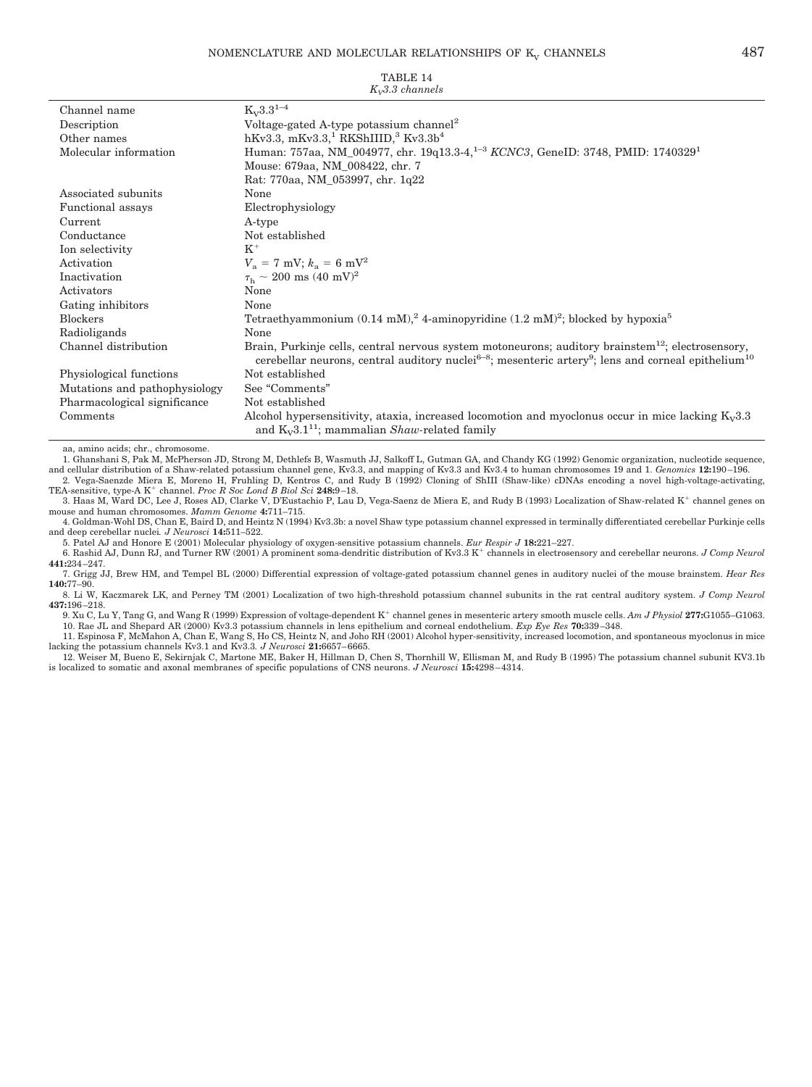|                               | $K_v3.3$ channels                                                                                                                                                                                                                                        |
|-------------------------------|----------------------------------------------------------------------------------------------------------------------------------------------------------------------------------------------------------------------------------------------------------|
| Channel name                  | $K_V3.3^{1-4}$                                                                                                                                                                                                                                           |
| Description                   | Voltage-gated A-type potassium channel <sup>2</sup>                                                                                                                                                                                                      |
| Other names                   | hKv3.3, mKv3.3, RKShIIID, $Kv3.3b4$                                                                                                                                                                                                                      |
| Molecular information         | Human: 757aa, NM_004977, chr. 19q13.3-4, <sup>1-3</sup> KCNC3, GeneID: 3748, PMID: 1740329 <sup>1</sup>                                                                                                                                                  |
|                               | Mouse: 679aa, NM_008422, chr. 7                                                                                                                                                                                                                          |
|                               | Rat: 770aa, NM_053997, chr. 1q22                                                                                                                                                                                                                         |
| Associated subunits           | None                                                                                                                                                                                                                                                     |
| Functional assays             | Electrophysiology                                                                                                                                                                                                                                        |
| Current                       | A-type                                                                                                                                                                                                                                                   |
| Conductance                   | Not established                                                                                                                                                                                                                                          |
| Ion selectivity               | $K^+$                                                                                                                                                                                                                                                    |
| Activation                    | $V_a = 7$ mV; $k_a = 6$ mV <sup>2</sup>                                                                                                                                                                                                                  |
| Inactivation                  | $\tau_{\rm h} \sim 200 \text{ ms } (40 \text{ mV})^2$                                                                                                                                                                                                    |
| Activators                    | None                                                                                                                                                                                                                                                     |
| Gating inhibitors             | None                                                                                                                                                                                                                                                     |
| <b>Blockers</b>               | Tetraethyammonium $(0.14 \text{ mM})^2$ , 4-aminopyridine $(1.2 \text{ mM})^2$ ; blocked by hypoxia <sup>5</sup>                                                                                                                                         |
| Radioligands                  | None                                                                                                                                                                                                                                                     |
| Channel distribution          | Brain, Purkinje cells, central nervous system motoneurons; auditory brainstem <sup>12</sup> ; electrosensory,<br>cerebellar neurons, central auditory nuclei <sup>6-8</sup> ; mesenteric artery <sup>9</sup> ; lens and corneal epithelium <sup>10</sup> |
| Physiological functions       | Not established                                                                                                                                                                                                                                          |
| Mutations and pathophysiology | See "Comments"                                                                                                                                                                                                                                           |
| Pharmacological significance  | Not established                                                                                                                                                                                                                                          |
| Comments                      | Alcohol hypersensitivity, ataxia, increased locomotion and myoclonus occur in mice lacking $K_v3.3$<br>and $K_v 3.1^{11}$ ; mammalian <i>Shaw-related family</i>                                                                                         |

aa, amino acids; chr., chromosome.

1. Ghanshani S, Pak M, McPherson JD, Strong M, Dethlefs B, Wasmuth JJ, Salkoff L, Gutman GA, and Chandy KG (1992) Genomic organization, nucleotide sequence,

and cellular distribution of a Shaw-related potassium channel gene, Kv3.3, and mapping of Kv3.3 and Kv3.4 to human chromosomes 19 and 1. Genomics 12:190–196.<br>2. Vega-Saenzde Miera E, Moreno H, Fruhling D, Kentros C, and Ru

3. Haas M, Ward DC, Lee J, Roses AD, Clarke V, D'Eustachio P, Lau D, Vega-Saenz de Miera E, and Rudy B (1993) Localization of Shaw-related K<sup>+</sup> channel genes on mouse and human chromosomes. *Mamm Genome* **4:**711–715.

4. Goldman-Wohl DS, Chan E, Baird D, and Heintz N (1994) Kv3.3b: a novel Shaw type potassium channel expressed in terminally differentiated cerebellar Purkinje cells and deep cerebellar nuclei*. J Neurosci* **14:**511–522.

5. Patel AJ and Honore E (2001) Molecular physiology of oxygen-sensitive potassium channels. *Eur Respir J* **18:**221–227.

6. Rashid AJ, Dunn RJ, and Turner RW (2001) A prominent soma-dendritic distribution of Kv3.3 K channels in electrosensory and cerebellar neurons. *J Comp Neurol* **441:**234 –247.

7. Grigg JJ, Brew HM, and Tempel BL (2000) Differential expression of voltage-gated potassium channel genes in auditory nuclei of the mouse brainstem. *Hear Res* **140:**77–90.

8. Li W, Kaczmarek LK, and Perney TM (2001) Localization of two high-threshold potassium channel subunits in the rat central auditory system. *J Comp Neurol* **437:**196 –218.

9. Xu C, Lu Y, Tang G, and Wang R (1999) Expression of voltage-dependent K channel genes in mesenteric artery smooth muscle cells. *Am J Physiol* **277:**G1055–G1063. 10. Rae JL and Shepard AR (2000) Kv3.3 potassium channels in lens epithelium and corneal endothelium. *Exp Eye Res* **70:**339 –348.

11. Espinosa F, McMahon A, Chan E, Wang S, Ho CS, Heintz N, and Joho RH (2001) Alcohol hyper-sensitivity, increased locomotion, and spontaneous myoclonus in mice lacking the potassium channels Kv3.1 and Kv3.3. *J Neurosci* 21:6657–6665.<br>12. Weiser M, Bueno E, Sekirnjak C, Martone ME, Baker H, Hillman D, Chen S, Thornhill W, Ellisman M, and Rudy B (1995) The potassium channel subuni

is localized to somatic and axonal membranes of specific populations of CNS neurons. *J Neurosci* **15:**4298 – 4314.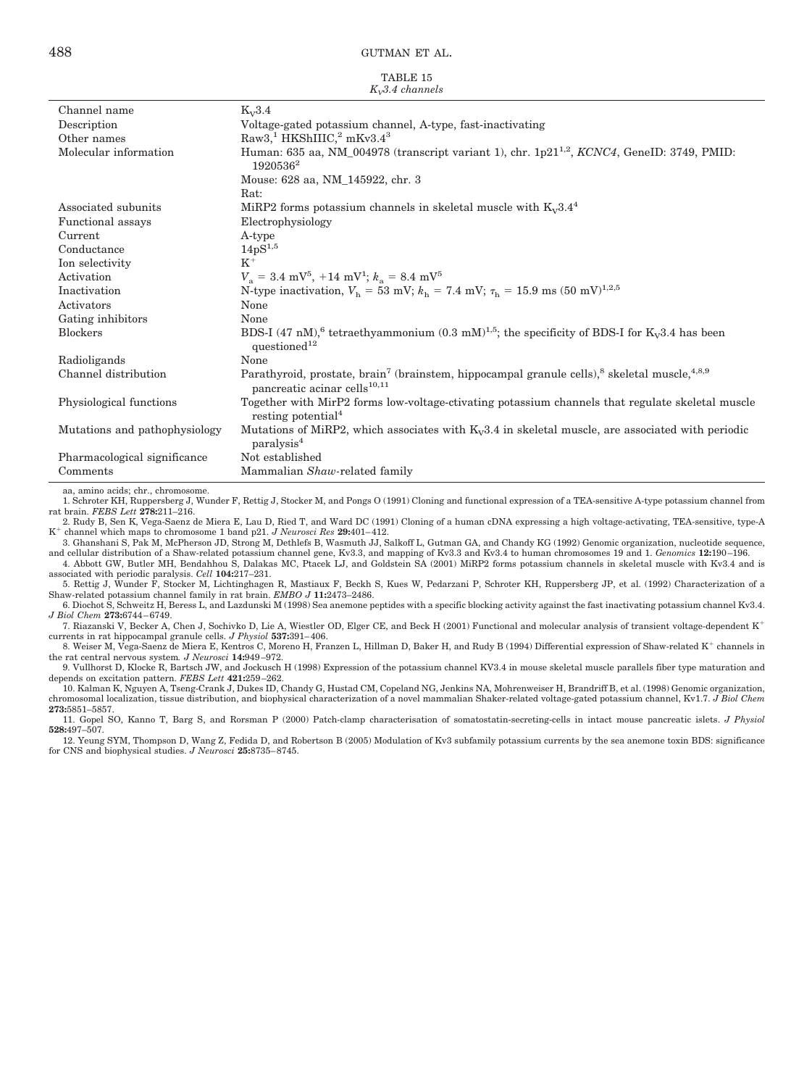|                   | TABLE 15 |  |
|-------------------|----------|--|
| $K_v3.4$ channels |          |  |

|                               | $\Lambda_{\nu}$ . 4 channers                                                                                                                                                 |
|-------------------------------|------------------------------------------------------------------------------------------------------------------------------------------------------------------------------|
| Channel name                  | $K_v3.4$                                                                                                                                                                     |
| Description                   | Voltage-gated potassium channel, A-type, fast-inactivating                                                                                                                   |
| Other names                   | Raw3, <sup>1</sup> HKShIIIC, <sup>2</sup> mKv3.4 <sup>3</sup>                                                                                                                |
| Molecular information         | Human: 635 aa, NM_004978 (transcript variant 1), chr. $1p21^{1,2}$ , KCNC4, GeneID: 3749, PMID:<br>1920536 <sup>2</sup>                                                      |
|                               | Mouse: 628 aa, NM 145922, chr. 3                                                                                                                                             |
|                               | Rat:                                                                                                                                                                         |
| Associated subunits           | MiRP2 forms potassium channels in skeletal muscle with $K_v 3.4^4$                                                                                                           |
| <b>Functional</b> assays      | Electrophysiology                                                                                                                                                            |
| Current                       | A-type                                                                                                                                                                       |
| Conductance                   | $14pS^{1,5}$                                                                                                                                                                 |
| Ion selectivity               | $K^+$                                                                                                                                                                        |
| Activation                    | $V_a = 3.4 \text{ mV}^5$ , $+14 \text{ mV}^1$ ; $k_a = 8.4 \text{ mV}^5$                                                                                                     |
| Inactivation                  | N-type inactivation, $V_h = 53$ mV; $k_h = 7.4$ mV; $\tau_h = 15.9$ ms $(50 \text{ mV})^{1,2,5}$                                                                             |
| Activators                    | None                                                                                                                                                                         |
| Gating inhibitors             | None                                                                                                                                                                         |
| <b>Blockers</b>               | BDS-I (47 nM), <sup>6</sup> tetraethyammonium (0.3 mM) <sup>1,5</sup> ; the specificity of BDS-I for K <sub>v</sub> 3.4 has been<br>questioned <sup>12</sup>                 |
| Radioligands                  | None                                                                                                                                                                         |
| Channel distribution          | Parathyroid, prostate, brain <sup>7</sup> (brainstem, hippocampal granule cells), <sup>8</sup> skeletal muscle, <sup>4,8,9</sup><br>pancreatic acinar cells <sup>10,11</sup> |
| Physiological functions       | Together with MirP2 forms low-voltage-ctivating potassium channels that regulate skeletal muscle<br>resting potential <sup>4</sup>                                           |
| Mutations and pathophysiology | Mutations of MiRP2, which associates with $K_v3.4$ in skeletal muscle, are associated with periodic<br>paralysis <sup>4</sup>                                                |
| Pharmacological significance  | Not established                                                                                                                                                              |
| Comments                      | Mammalian Shaw-related family                                                                                                                                                |
|                               |                                                                                                                                                                              |

aa, amino acids; chr., chromosome.

1. Schroter KH, Ruppersberg J, Wunder F, Rettig J, Stocker M, and Pongs O (1991) Cloning and functional expression of a TEA-sensitive A-type potassium channel from rat brain. *FEBS Lett* **278:**211–216.

2. Rudy B, Sen K, Vega-Saenz de Miera E, Lau D, Ried T, and Ward DC (1991) Cloning of a human cDNA expressing a high voltage-activating, TEA-sensitive, type-A K<sup>+</sup> channel which maps to chromosome 1 band p21. *J Neurosci Res* 29:401-412.

3. Ghanshani S, Pak M, McPherson JD, Strong M, Dethlefs B, Wasmuth JJ, Salkoff L, Gutman GA, and Chandy KG (1992) Genomic organization, nucleotide sequence, and cellular distribution of a Shaw-related potassium channel gene, Kv3.3, and mapping of Kv3.3 and Kv3.4 to human chromosomes 19 and 1. Genomics 12:190–196.<br>4. Abbott GW, Butler MH, Bendahhou S, Dalakas MC, Ptacek LJ, and

associated with periodic paralysis. Cell 104:217–231.<br>5. Rettig J, Wunder F, Stocker M, Lichtinghagen R, Mastiaux F, Beckh S, Kues W, Pedarzani P, Schroter KH, Ruppersberg JP, et al. (1992) Characterization of a

Shaw-related potassium channel family in rat brain. *EMBO J* **11:**2473–2486. 6. Diochot S, Schweitz H, Beress L, and Lazdunski M (1998) Sea anemone peptides with a specific blocking activity against the fast inactivating potassium channel Kv3.4.

*J Biol Chem* **273:**6744 – 6749. 7. Riazanski V, Becker A, Chen J, Sochivko D, Lie A, Wiestler OD, Elger CE, and Beck H (2001) Functional and molecular analysis of transient voltage-dependent K

currents in rat hippocampal granule cells. *J Physiol* **537:**391– 406.

8. Weiser M, Vega-Saenz de Miera E, Kentros C, Moreno H, Franzen L, Hillman D, Baker H, and Rudy B (1994) Differential expression of Shaw-related K<sup>+</sup> channels in the rat central nervous system*. J Neurosci* **14:**949 –972.

9. Vullhorst D, Klocke R, Bartsch JW, and Jockusch H (1998) Expression of the potassium channel KV3.4 in mouse skeletal muscle parallels fiber type maturation and depends on excitation pattern. *FEBS Lett* **421:**259 –262.

10. Kalman K, Nguyen A, Tseng-Crank J, Dukes ID, Chandy G, Hustad CM, Copeland NG, Jenkins NA, Mohrenweiser H, Brandriff B, et al. (1998) Genomic organization, chromosomal localization, tissue distribution, and biophysical characterization of a novel mammalian Shaker-related voltage-gated potassium channel, Kv1.7. *J Biol Chem* **273:**5851–5857.

11. Gopel SO, Kanno T, Barg S, and Rorsman P (2000) Patch-clamp characterisation of somatostatin-secreting-cells in intact mouse pancreatic islets. *J Physiol* **528:**497–507.

12. Yeung SYM, Thompson D, Wang Z, Fedida D, and Robertson B (2005) Modulation of Kv3 subfamily potassium currents by the sea anemone toxin BDS: significance for CNS and biophysical studies. *J Neurosci* **25:**8735– 8745.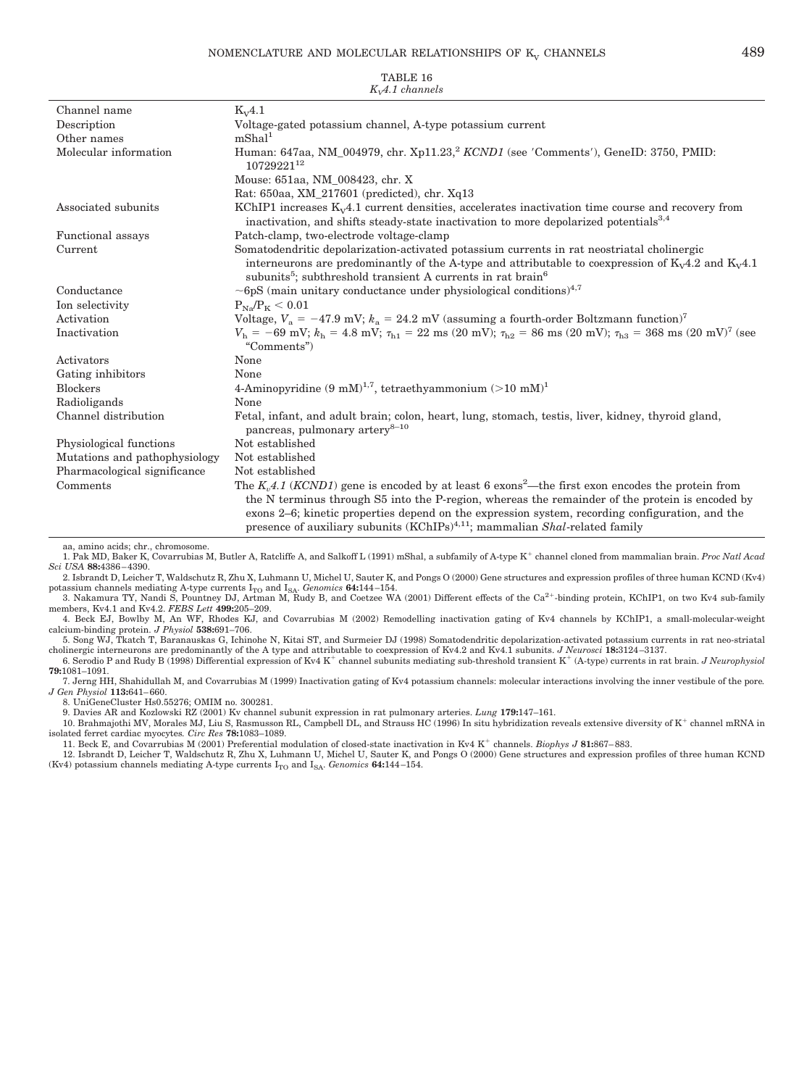| $K_vA.1$ channels             |                                                                                                                                                                                                                                                                                                                                                                                                                           |  |
|-------------------------------|---------------------------------------------------------------------------------------------------------------------------------------------------------------------------------------------------------------------------------------------------------------------------------------------------------------------------------------------------------------------------------------------------------------------------|--|
| Channel name                  | $K_V4.1$                                                                                                                                                                                                                                                                                                                                                                                                                  |  |
| Description                   | Voltage-gated potassium channel, A-type potassium current                                                                                                                                                                                                                                                                                                                                                                 |  |
| Other names                   | mShal <sup>1</sup>                                                                                                                                                                                                                                                                                                                                                                                                        |  |
| Molecular information         | Human: 647aa, NM_004979, chr. Xp11.23, <sup>2</sup> KCND1 (see 'Comments'), GeneID: 3750, PMID:<br>1072922112                                                                                                                                                                                                                                                                                                             |  |
|                               | Mouse: 651aa, NM 008423, chr. X                                                                                                                                                                                                                                                                                                                                                                                           |  |
|                               | Rat: 650aa, XM_217601 (predicted), chr. Xq13                                                                                                                                                                                                                                                                                                                                                                              |  |
| Associated subunits           | KChIP1 increases $K_v4.1$ current densities, accelerates inactivation time course and recovery from<br>inactivation, and shifts steady-state inactivation to more depolarized potentials <sup>3,4</sup>                                                                                                                                                                                                                   |  |
| Functional assays             | Patch-clamp, two-electrode voltage-clamp                                                                                                                                                                                                                                                                                                                                                                                  |  |
| Current                       | Somatodendritic depolarization-activated potassium currents in rat neostriatal cholinergic<br>interneurons are predominantly of the A-type and attributable to coexpression of $K_v4.2$ and $K_v4.1$<br>subunits <sup>5</sup> ; subthreshold transient A currents in rat brain <sup>6</sup>                                                                                                                               |  |
| Conductance                   | $\sim$ 6pS (main unitary conductance under physiological conditions) <sup>4,7</sup>                                                                                                                                                                                                                                                                                                                                       |  |
| Ion selectivity               | $P_{Na}/P_{K} < 0.01$                                                                                                                                                                                                                                                                                                                                                                                                     |  |
| Activation                    | Voltage, $V_a = -47.9$ mV; $k_a = 24.2$ mV (assuming a fourth-order Boltzmann function) <sup>7</sup>                                                                                                                                                                                                                                                                                                                      |  |
| Inactivation                  | $V_{\rm h}$ = -69 mV; $k_{\rm h}$ = 4.8 mV; $\tau_{\rm h1}$ = 22 ms (20 mV); $\tau_{\rm h2}$ = 86 ms (20 mV); $\tau_{\rm h3}$ = 368 ms (20 mV) <sup>7</sup> (see<br>"Comments")                                                                                                                                                                                                                                           |  |
| Activators                    | None                                                                                                                                                                                                                                                                                                                                                                                                                      |  |
| Gating inhibitors             | None                                                                                                                                                                                                                                                                                                                                                                                                                      |  |
| <b>Blockers</b>               | 4-Aminopyridine $(9 \text{ mM})^{1,7}$ , tetraethyammonium $(>10 \text{ mM})^1$                                                                                                                                                                                                                                                                                                                                           |  |
| Radioligands                  | None                                                                                                                                                                                                                                                                                                                                                                                                                      |  |
| Channel distribution          | Fetal, infant, and adult brain; colon, heart, lung, stomach, testis, liver, kidney, thyroid gland,<br>pancreas, pulmonary artery <sup>8-10</sup>                                                                                                                                                                                                                                                                          |  |
| Physiological functions       | Not established                                                                                                                                                                                                                                                                                                                                                                                                           |  |
| Mutations and pathophysiology | Not established                                                                                                                                                                                                                                                                                                                                                                                                           |  |
| Pharmacological significance  | Not established                                                                                                                                                                                                                                                                                                                                                                                                           |  |
| Comments                      | The K <sub>n</sub> 4.1 (KCND1) gene is encoded by at least 6 exons <sup>2</sup> —the first exon encodes the protein from<br>the N terminus through S5 into the P-region, whereas the remainder of the protein is encoded by<br>exons 2–6; kinetic properties depend on the expression system, recording configuration, and the<br>presence of auxiliary subunits (KChIPs) <sup>4,11</sup> ; mammalian Shal-related family |  |

TABLE 16

aa, amino acids; chr., chromosome.

1. Pak MD, Baker K, Covarrubias M, Butler A, Ratcliffe A, and Salkoff L (1991) mShal, a subfamily of A-type K<sup>+</sup> channel cloned from mammalian brain. *Proc Natl Acad Sci USA* **88:**4386 – 4390.

2. Isbrandt D, Leicher T, Waldschutz R, Zhu X, Luhmann U, Michel U, Sauter K, and Pongs O (2000) Gene structures and expression profiles of three human KCND (Kv4)

potassium channels mediating A-type currents I<sub>TO</sub> and I<sub>SA</sub>. *Genomics* **64:**144–154.<br>3. Nakamura TY, Nandi S, Pountney DJ, Artman M, Rudy B, and Coetzee WA (2001) Different effects of the Ca<sup>2+</sup>-binding protein, KChIP1, members, Kv4.1 and Kv4.2. *FEBS Lett* **499:**205–209.

4. Beck EJ, Bowlby M, An WF, Rhodes KJ, and Covarrubias M (2002) Remodelling inactivation gating of Kv4 channels by KChIP1, a small-molecular-weight calcium-binding protein. *J Physiol* **538:**691–706.

5. Song WJ, Tkatch T, Baranauskas G, Ichinohe N, Kitai ST, and Surmeier DJ (1998) Somatodendritic depolarization-activated potassium currents in rat neo-striatal cholinergic interneurons are predominantly of the A type and attributable to coexpression of Kv4.2 and Kv4.1 subunits. *J Neurosci* **18:**3124 –3137.

6. Serodio P and Rudy B (1998) Differential expression of Kv4 K channel subunits mediating sub-threshold transient K (A-type) currents in rat brain. *J Neurophysiol* **79:**1081–1091.

7. Jerng HH, Shahidullah M, and Covarrubias M (1999) Inactivation gating of Kv4 potassium channels: molecular interactions involving the inner vestibule of the pore*. J Gen Physiol* **113:**641– 660.

8. UniGeneCluster Hs0.55276; OMIM no. 300281.

9. Davies AR and Kozlowski RZ (2001) Kv channel subunit expression in rat pulmonary arteries. *Lung* **179:**147–161.

10. Brahmajothi MV, Morales MJ, Liu S, Rasmusson RL, Campbell DL, and Strauss HC (1996) In situ hybridization reveals extensive diversity of K<sup>+</sup> channel mRNA in isolated ferret cardiac myocytes*. Circ Res* **78:**1083–1089.

11. Beck E, and Covarrubias M (2001) Preferential modulation of closed-state inactivation in Kv4 K<sup>+</sup> channels. *Biophys J* 81:867–883.<br>12. Isbrandt D, Leicher T, Waldschutz R, Zhu X, Luhmann U, Michel U, Sauter K, and Pon (Kv4) potassium channels mediating A-type currents  $\mathrm{I_{TO}}$  and  $\mathrm{I_{SA}}$  .  $Genomics$   $\bf 64:144-154.$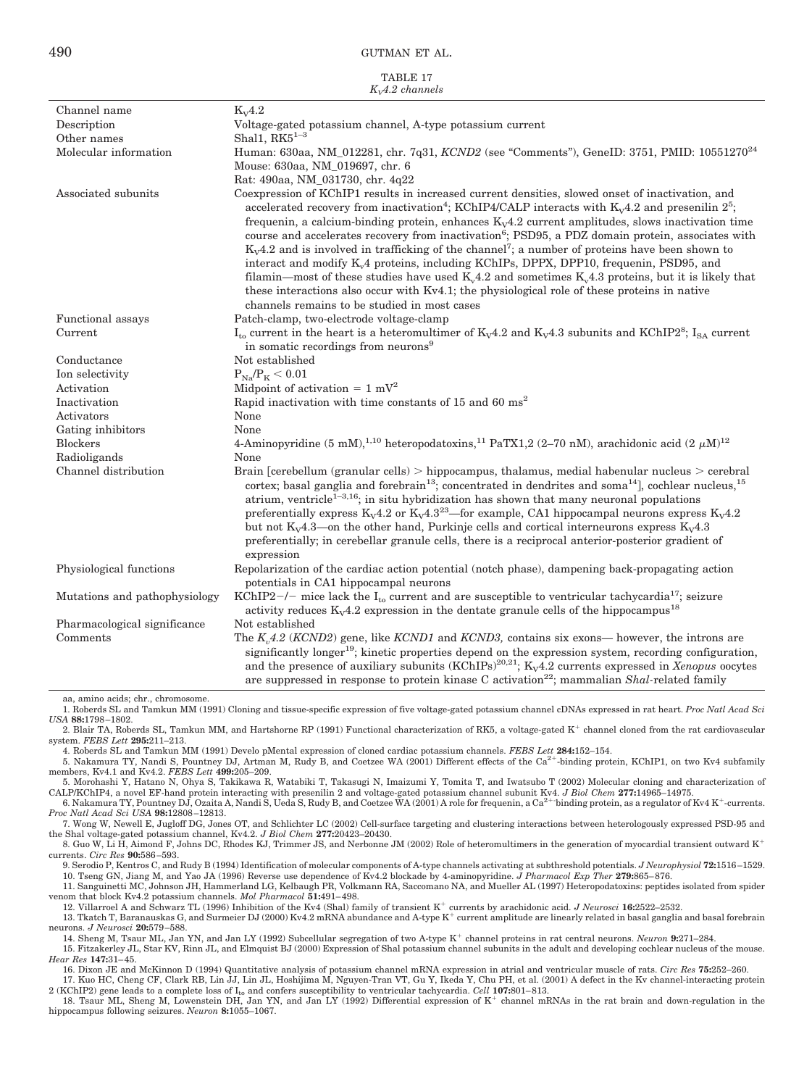TABLE 17

|                               | $KvA.2$ channels                                                                                                                                                                                                                                                                                                                                                                                                                                                                                                                                                                                                                                                                                                                                                                                                                                                                                                      |
|-------------------------------|-----------------------------------------------------------------------------------------------------------------------------------------------------------------------------------------------------------------------------------------------------------------------------------------------------------------------------------------------------------------------------------------------------------------------------------------------------------------------------------------------------------------------------------------------------------------------------------------------------------------------------------------------------------------------------------------------------------------------------------------------------------------------------------------------------------------------------------------------------------------------------------------------------------------------|
| Channel name                  | $K_v4.2$                                                                                                                                                                                                                                                                                                                                                                                                                                                                                                                                                                                                                                                                                                                                                                                                                                                                                                              |
| Description                   | Voltage-gated potassium channel, A-type potassium current                                                                                                                                                                                                                                                                                                                                                                                                                                                                                                                                                                                                                                                                                                                                                                                                                                                             |
| Other names                   | Shal1, $RK5^{1-3}$                                                                                                                                                                                                                                                                                                                                                                                                                                                                                                                                                                                                                                                                                                                                                                                                                                                                                                    |
| Molecular information         | Human: 630aa, NM_012281, chr. 7q31, KCND2 (see "Comments"), GeneID: 3751, PMID: 10551270 <sup>24</sup>                                                                                                                                                                                                                                                                                                                                                                                                                                                                                                                                                                                                                                                                                                                                                                                                                |
|                               | Mouse: 630aa, NM_019697, chr. 6                                                                                                                                                                                                                                                                                                                                                                                                                                                                                                                                                                                                                                                                                                                                                                                                                                                                                       |
|                               | Rat: 490aa, NM_031730, chr. 4q22                                                                                                                                                                                                                                                                                                                                                                                                                                                                                                                                                                                                                                                                                                                                                                                                                                                                                      |
| Associated subunits           | Coexpression of KChIP1 results in increased current densities, slowed onset of inactivation, and<br>accelerated recovery from inactivation <sup>4</sup> ; KChIP4/CALP interacts with $K_v4.2$ and presenilin $2^5$ ;<br>frequenin, a calcium-binding protein, enhances $K_v4.2$ current amplitudes, slows inactivation time<br>course and accelerates recovery from inactivation <sup>6</sup> ; PSD95, a PDZ domain protein, associates with<br>$K_v4.2$ and is involved in trafficking of the channel <sup>7</sup> ; a number of proteins have been shown to<br>interact and modify $K_v4$ proteins, including KChIPs, DPPX, DPP10, frequenin, PSD95, and<br>filamin—most of these studies have used $K_v4.2$ and sometimes $K_v4.3$ proteins, but it is likely that<br>these interactions also occur with Kv4.1; the physiological role of these proteins in native<br>channels remains to be studied in most cases |
| Functional assays             | Patch-clamp, two-electrode voltage-clamp                                                                                                                                                                                                                                                                                                                                                                                                                                                                                                                                                                                                                                                                                                                                                                                                                                                                              |
| Current                       | $I_{to}$ current in the heart is a heteromultimer of $K_v4.2$ and $K_v4.3$ subunits and KChIP2 <sup>8</sup> ; I <sub>SA</sub> current                                                                                                                                                                                                                                                                                                                                                                                                                                                                                                                                                                                                                                                                                                                                                                                 |
|                               | in somatic recordings from neurons <sup>9</sup>                                                                                                                                                                                                                                                                                                                                                                                                                                                                                                                                                                                                                                                                                                                                                                                                                                                                       |
| Conductance                   | Not established                                                                                                                                                                                                                                                                                                                                                                                                                                                                                                                                                                                                                                                                                                                                                                                                                                                                                                       |
| Ion selectivity               | $P_{Na}/P_{K}$ < 0.01                                                                                                                                                                                                                                                                                                                                                                                                                                                                                                                                                                                                                                                                                                                                                                                                                                                                                                 |
| Activation                    | Midpoint of activation = $1 \text{ mV}^2$                                                                                                                                                                                                                                                                                                                                                                                                                                                                                                                                                                                                                                                                                                                                                                                                                                                                             |
| Inactivation                  | Rapid inactivation with time constants of 15 and 60 ms <sup>2</sup>                                                                                                                                                                                                                                                                                                                                                                                                                                                                                                                                                                                                                                                                                                                                                                                                                                                   |
| Activators                    | None                                                                                                                                                                                                                                                                                                                                                                                                                                                                                                                                                                                                                                                                                                                                                                                                                                                                                                                  |
| Gating inhibitors             | None                                                                                                                                                                                                                                                                                                                                                                                                                                                                                                                                                                                                                                                                                                                                                                                                                                                                                                                  |
| <b>Blockers</b>               | 4-Aminopyridine (5 mM), <sup>1,10</sup> heteropodatoxins, <sup>11</sup> PaTX1,2 (2–70 nM), arachidonic acid (2 $\mu$ M) <sup>12</sup>                                                                                                                                                                                                                                                                                                                                                                                                                                                                                                                                                                                                                                                                                                                                                                                 |
| Radioligands                  | None                                                                                                                                                                                                                                                                                                                                                                                                                                                                                                                                                                                                                                                                                                                                                                                                                                                                                                                  |
| Channel distribution          | Brain [cerebellum (granular cells) $>$ hippocampus, thalamus, medial habenular nucleus $>$ cerebral<br>cortex; basal ganglia and forebrain <sup>13</sup> ; concentrated in dendrites and soma <sup>14</sup> ], cochlear nucleus, <sup>15</sup><br>atrium, ventricle <sup>1-3,16</sup> ; in situ hybridization has shown that many neuronal populations<br>preferentially express $K_v4.2$ or $K_v4.3^{23}$ —for example, CA1 hippocampal neurons express $K_v4.2$<br>but not $K_v4.3$ —on the other hand, Purkinje cells and cortical interneurons express $K_v4.3$<br>preferentially; in cerebellar granule cells, there is a reciprocal anterior-posterior gradient of<br>expression                                                                                                                                                                                                                                |
| Physiological functions       | Repolarization of the cardiac action potential (notch phase), dampening back-propagating action<br>potentials in CA1 hippocampal neurons                                                                                                                                                                                                                                                                                                                                                                                                                                                                                                                                                                                                                                                                                                                                                                              |
| Mutations and pathophysiology | KChIP2-/- mice lack the I <sub>to</sub> current and are susceptible to ventricular tachycardia <sup>17</sup> ; seizure<br>activity reduces $K_v4.2$ expression in the dentate granule cells of the hippocampus <sup>18</sup>                                                                                                                                                                                                                                                                                                                                                                                                                                                                                                                                                                                                                                                                                          |
| Pharmacological significance  | Not established                                                                                                                                                                                                                                                                                                                                                                                                                                                                                                                                                                                                                                                                                                                                                                                                                                                                                                       |
| Comments                      | The $K_{n}4.2$ (KCND2) gene, like KCND1 and KCND3, contains six exons— however, the introns are<br>significantly longer <sup>19</sup> ; kinetic properties depend on the expression system, recording configuration,<br>and the presence of auxiliary subunits (KChIPs) <sup>20,21</sup> ; K <sub>V</sub> 4.2 currents expressed in Xenopus oocytes<br>are suppressed in response to protein kinase C activation <sup>22</sup> ; mammalian Shal-related family                                                                                                                                                                                                                                                                                                                                                                                                                                                        |

aa, amino acids; chr., chromosome.

1. Roberds SL and Tamkun MM (1991) Cloning and tissue-specific expression of five voltage-gated potassium channel cDNAs expressed in rat heart. *Proc Natl Acad Sci USA* **88:**1798 –1802.

2. Blair TA, Roberds SL, Tamkun MM, and Hartshorne RP (1991) Functional characterization of RK5, a voltage-gated  $K^+$  channel cloned from the rat cardiovascular system. *FEBS Lett* **295:**211–213.

4. Roberds SL and Tamkun MM (1991) Develo pMental expression of cloned cardiac potassium channels. *FEBS Lett* **284:**152–154.

5. Nakamura TY, Nandi S, Pountney DJ, Artman M, Rudy B, and Coetzee WA (2001) Different effects of the Ca<sup>2+</sup>-binding protein, KChIP1, on two Kv4 subfamily members, Kv4.1 and Kv4.2. *FEBS Lett* **499:**205–209.

5. Morohashi Y, Hatano N, Ohya S, Takikawa R, Watabiki T, Takasugi N, Imaizumi Y, Tomita T, and Iwatsubo T (2002) Molecular cloning and characterization of CALP/KChIP4, a novel EF-hand protein interacting with presenilin 2 and voltage-gated potassium channel subunit Kv4. J Biol Chem 277:14965–14975.<br>6. Nakamura TY, Pountney DJ, Ozaita A, Nandi S, Ueda S, Rudy B, and Coetzee

*Proc Natl Acad Sci USA* **98:**12808 –12813.

7. Wong W, Newell E, Jugloff DG, Jones OT, and Schlichter LC (2002) Cell-surface targeting and clustering interactions between heterologously expressed PSD-95 and the Shal voltage-gated potassium channel, Kv4.2. *J Biol Chem* **277:**20423–20430.

8. Guo W, Li H, Aimond F, Johns DC, Rhodes KJ, Trimmer JS, and Nerbonne JM (2002) Role of heteromultimers in the generation of myocardial transient outward K<sup>+</sup> currents. *Circ Res* **90:**586 –593.

9. Serodio P, Kentros C, and Rudy B (1994) Identification of molecular components of A-type channels activating at subthreshold potentials. *J Neurophysiol* **72:**1516 –1529. 10. Tseng GN, Jiang M, and Yao JA (1996) Reverse use dependence of Kv4.2 blockade by 4-aminopyridine. *J Pharmacol Exp Ther* **279:**865– 876.

11. Sanguinetti MC, Johnson JH, Hammerland LG, Kelbaugh PR, Volkmann RA, Saccomano NA, and Mueller AL (1997) Heteropodatoxins: peptides isolated from spider venom that block Kv4.2 potassium channels. *Mol Pharmacol* **51:**491– 498.

12. Villarroel A and Schwarz TL (1996) Inhibition of the Kv4 (Shal) family of transient K<sup>+</sup> currents by arachidonic acid. *J Neurosci* **16:**2522–2532.<br>13. Tkatch T, Baranauskas G, and Surmeier DJ (2000) Kv4.2 mRNA abundan

neurons. *J Neurosci* **20:**579 –588. 14. Sheng M, Tsaur ML, Jan YN, and Jan LY (1992) Subcellular segregation of two A-type K<sup>+</sup> channel proteins in rat central neurons. *Neuron* 9:271-284.

15. Fitzakerley JL, Star KV, Rinn JL, and Elmquist BJ (2000) Expression of Shal potassium channel subunits in the adult and developing cochlear nucleus of the mouse. *Hear Res* **147:**31– 45.

16. Dixon JE and McKinnon D (1994) Quantitative analysis of potassium channel mRNA expression in atrial and ventricular muscle of rats. *Circ Res* **75:**252–260.

17. Kuo HC, Cheng CF, Clark RB, Lin JJ, Lin JL, Hoshijima M, Nguyen-Tran VT, Gu Y, Ikeda Y, Chu PH, et al. (2001) A defect in the Kv channel-interacting protein 2 (KChIP2) gene leads to a complete loss of  $I_{to}$  and confe

hippocampus following seizures. *Neuron* **8:**1055–1067.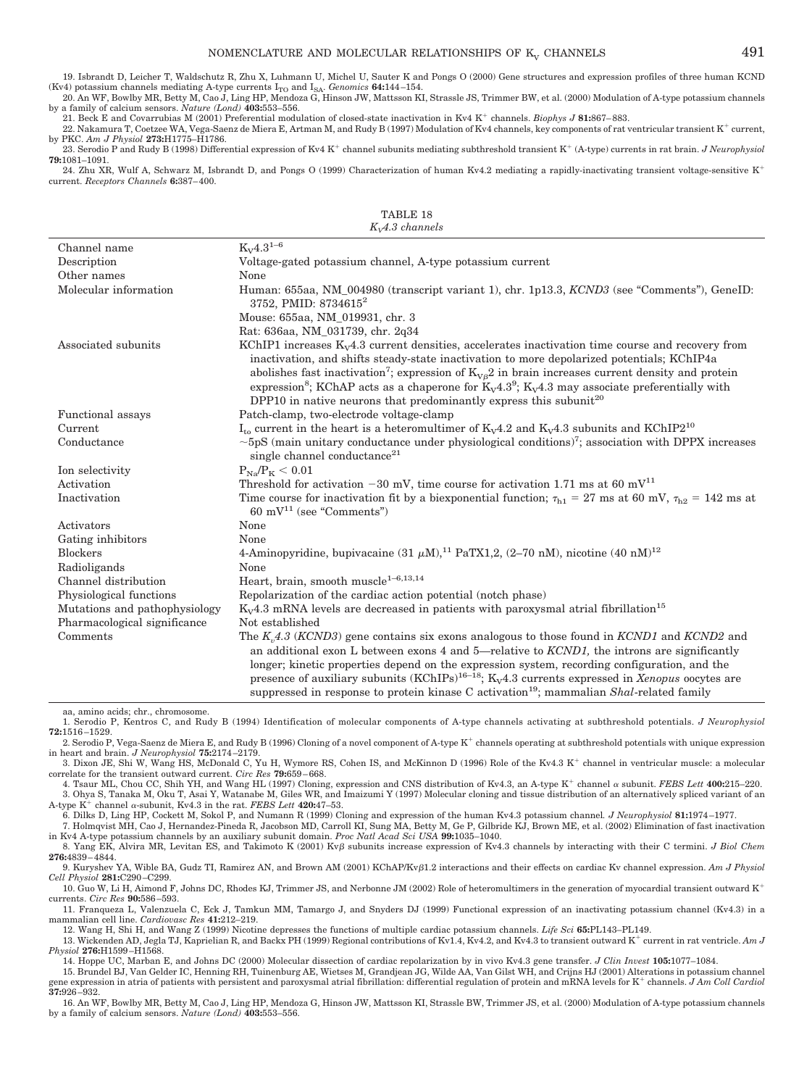by a family of calcium sensors. *Nature (Lond)* **403:**553–556.

21. Beck E and Covarrubias M (2001) Preferential modulation of closed-state inactivation in Kv4 K<sup>+</sup> channels. *Biophys J* 81:867–883.

22. Nakamura T, Coetzee WA, Vega-Saenz de Miera E, Artman M, and Rudy B (1997) Modulation of Kv4 channels, key components of rat ventricular transient K<sup>+</sup> current, by PKC. *Am J Physiol* **273:**H1775–H1786.

23. Serodio P and Rudy B (1998) Differential expression of Kv4 K<sup>+</sup> channel subunits mediating subthreshold transient K<sup>+</sup> (A-type) currents in rat brain. *J Neurophysiol* **79:**1081–1091.

24. Zhu XR, Wulf A, Schwarz M, Isbrandt D, and Pongs O (1999) Characterization of human Kv4.2 mediating a rapidly-inactivating transient voltage-sensitive K<sup>+</sup> current. *Receptors Channels* **6:**387– 400.

TABLE 18

| $K_vA.3$ channels             |                                                                                                                                                                                                                                                                                                                                                                                                                                                                                                                                |  |
|-------------------------------|--------------------------------------------------------------------------------------------------------------------------------------------------------------------------------------------------------------------------------------------------------------------------------------------------------------------------------------------------------------------------------------------------------------------------------------------------------------------------------------------------------------------------------|--|
| Channel name                  | $K_V4.3^{1-6}$                                                                                                                                                                                                                                                                                                                                                                                                                                                                                                                 |  |
| Description                   | Voltage-gated potassium channel, A-type potassium current                                                                                                                                                                                                                                                                                                                                                                                                                                                                      |  |
| Other names                   | None                                                                                                                                                                                                                                                                                                                                                                                                                                                                                                                           |  |
| Molecular information         | Human: 655aa, NM_004980 (transcript variant 1), chr. 1p13.3, KCND3 (see "Comments"), GeneID:<br>3752, PMID: 8734615 <sup>2</sup>                                                                                                                                                                                                                                                                                                                                                                                               |  |
|                               | Mouse: 655aa, NM_019931, chr. 3                                                                                                                                                                                                                                                                                                                                                                                                                                                                                                |  |
|                               | Rat: 636aa, NM_031739, chr. 2q34                                                                                                                                                                                                                                                                                                                                                                                                                                                                                               |  |
| Associated subunits           | KChIP1 increases $K_v4.3$ current densities, accelerates inactivation time course and recovery from<br>inactivation, and shifts steady-state inactivation to more depolarized potentials; KChIP4a<br>abolishes fast inactivation <sup>7</sup> ; expression of $K_{V\beta}2$ in brain increases current density and protein<br>expression <sup>8</sup> ; KChAP acts as a chaperone for $K_v4.3^9$ ; $K_v4.3$ may associate preferentially with<br>DPP10 in native neurons that predominantly express this subunit <sup>20</sup> |  |
| Functional assays             | Patch-clamp, two-electrode voltage-clamp                                                                                                                                                                                                                                                                                                                                                                                                                                                                                       |  |
| Current                       | $I_{to}$ current in the heart is a heteromultimer of $K_v4.2$ and $K_v4.3$ subunits and KChIP2 <sup>10</sup>                                                                                                                                                                                                                                                                                                                                                                                                                   |  |
| Conductance                   | $\sim$ 5pS (main unitary conductance under physiological conditions) <sup>7</sup> ; association with DPPX increases<br>single channel conductance <sup>21</sup>                                                                                                                                                                                                                                                                                                                                                                |  |
| Ion selectivity               | $P_{Na}/P_{K}$ < 0.01                                                                                                                                                                                                                                                                                                                                                                                                                                                                                                          |  |
| Activation                    | Threshold for activation $-30$ mV, time course for activation 1.71 ms at 60 mV <sup>11</sup>                                                                                                                                                                                                                                                                                                                                                                                                                                   |  |
| Inactivation                  | Time course for inactivation fit by a biexponential function; $\tau_{h1} = 27$ ms at 60 mV, $\tau_{h2} = 142$ ms at<br>$60 \text{ mV}^{11}$ (see "Comments")                                                                                                                                                                                                                                                                                                                                                                   |  |
| Activators                    | None                                                                                                                                                                                                                                                                                                                                                                                                                                                                                                                           |  |
| Gating inhibitors             | None                                                                                                                                                                                                                                                                                                                                                                                                                                                                                                                           |  |
| <b>Blockers</b>               | 4-Aminopyridine, bupivacaine (31 $\mu$ M), <sup>11</sup> PaTX1,2, (2–70 nM), nicotine (40 nM) <sup>12</sup>                                                                                                                                                                                                                                                                                                                                                                                                                    |  |
| Radioligands                  | None                                                                                                                                                                                                                                                                                                                                                                                                                                                                                                                           |  |
| Channel distribution          | Heart, brain, smooth muscle <sup>1-6,13,14</sup>                                                                                                                                                                                                                                                                                                                                                                                                                                                                               |  |
| Physiological functions       | Repolarization of the cardiac action potential (notch phase)                                                                                                                                                                                                                                                                                                                                                                                                                                                                   |  |
| Mutations and pathophysiology | $K_v4.3$ mRNA levels are decreased in patients with paroxysmal atrial fibrillation <sup>15</sup>                                                                                                                                                                                                                                                                                                                                                                                                                               |  |
| Pharmacological significance  | Not established                                                                                                                                                                                                                                                                                                                                                                                                                                                                                                                |  |
| Comments                      | The $Kn4.3$ (KCND3) gene contains six exons analogous to those found in KCND1 and KCND2 and<br>an additional exon L between exons 4 and 5—relative to <i>KCND1</i> , the introns are significantly<br>longer; kinetic properties depend on the expression system, recording configuration, and the<br>presence of auxiliary subunits $(KChIPS)^{16-18}$ ; $K_V4.3$ currents expressed in <i>Xenopus</i> oocytes are<br>suppressed in response to protein kinase C activation <sup>19</sup> ; mammalian Shal-related family     |  |

aa, amino acids; chr., chromosome.

2. Serodio P, Vega-Saenz de Miera E, and Rudy B (1996) Cloning of a novel component of A-type K<sup>+</sup> channels operating at subthreshold potentials with unique expression in heart and brain. *J Neurophysiol* **75:**2174 –2179.

3. Dixon JE, Shi W, Wang HS, McDonald C, Yu H, Wymore RS, Cohen IS, and McKinnon D (1996) Role of the Kv4.3 K<sup>+</sup> channel in ventricular muscle: a molecular correlate for the transient outward current. *Circ Res* **79:**659 – 668.

4. Tsaur ML, Chou CC, Shih YH, and Wang HL (1997) Cloning, expression and CNS distribution of Kv4.3, an A-type K<sup>+</sup> channel  $\alpha$  subunit. *FEBS Lett* 400:215-220. 3. Ohya S, Tanaka M, Oku T, Asai Y, Watanabe M, Giles WR, and Imaizumi Y (1997) Molecular cloning and tissue distribution of an alternatively spliced variant of an A-type  $K^+$  channel  $\alpha$ -subunit, Kv4.3 in the rat. *FEBS Lett* **420:47**–53.

6. Dilks D, Ling HP, Cockett M, Sokol P, and Numann R (1999) Cloning and expression of the human Kv4.3 potassium channel*. J Neurophysiol* **81:**1974 –1977. 7. Holmqvist MH, Cao J, Hernandez-Pineda R, Jacobson MD, Carroll KI, Sung MA, Betty M, Ge P, Gilbride KJ, Brown ME, et al. (2002) Elimination of fast inactivation

in Kv4 A-type potassium channels by an auxiliary subunit domain. *Proc Natl Acad Sci USA* **99:**1035–1040.

8. Yang EK, Alvira MR, Levitan ES, and Takimoto K (2001) Kv<sub>B</sub> subunits increase expression of Kv4.3 channels by interacting with their C termini. *J Biol Chem* **276:**4839 – 4844.

9. Kurvshev YA, Wible BA, Gudz TI, Ramirez AN, and Brown AM (2001) KChAP/Kvß1.2 interactions and their effects on cardiac Kv channel expression. *Am J Physiol Cell Physiol* **281:**C290 –C299.

10. Guo W, Li H, Aimond F, Johns DC, Rhodes KJ, Trimmer JS, and Nerbonne JM (2002) Role of heteromultimers in the generation of myocardial transient outward K currents. *Circ Res* **90:**586 –593.

11. Franqueza L, Valenzuela C, Eck J, Tamkun MM, Tamargo J, and Snyders DJ (1999) Functional expression of an inactivating potassium channel (Kv4.3) in a mammalian cell line. *Cardiovasc Res* **41:**212–219.

12. Wang H, Shi H, and Wang Z (1999) Nicotine depresses the functions of multiple cardiac potassium channels. *Life Sci* **65:**PL143–PL149.

13. Wickenden AD, Jegla TJ, Kaprielian R, and Backx PH (1999) Regional contributions of Kv1.4, Kv4.2, and Kv4.3 to transient outward K<sup>+</sup> current in rat ventricle. *Am J Physiol* **276:**H1599 –H1568.

14. Hoppe UC, Marban E, and Johns DC (2000) Molecular dissection of cardiac repolarization by in vivo Kv4.3 gene transfer. *J Clin Invest* **105:**1077–1084.

15. Brundel BJ, Van Gelder IC, Henning RH, Tuinenburg AE, Wietses M, Grandjean JG, Wilde AA, Van Gilst WH, and Crijns HJ (2001) Alterations in potassium channel gene expression in atria of patients with persistent and paroxysmal atrial fibrillation: differential regulation of protein and mRNA levels for K channels. *J Am Coll Cardiol* **37:**926 –932.

16. An WF, Bowlby MR, Betty M, Cao J, Ling HP, Mendoza G, Hinson JW, Mattsson KI, Strassle BW, Trimmer JS, et al. (2000) Modulation of A-type potassium channels by a family of calcium sensors. *Nature (Lond)* **403:**553–556.

<sup>1.</sup> Serodio P, Kentros C, and Rudy B (1994) Identification of molecular components of A-type channels activating at subthreshold potentials. *J Neurophysiol* **72:**1516 –1529.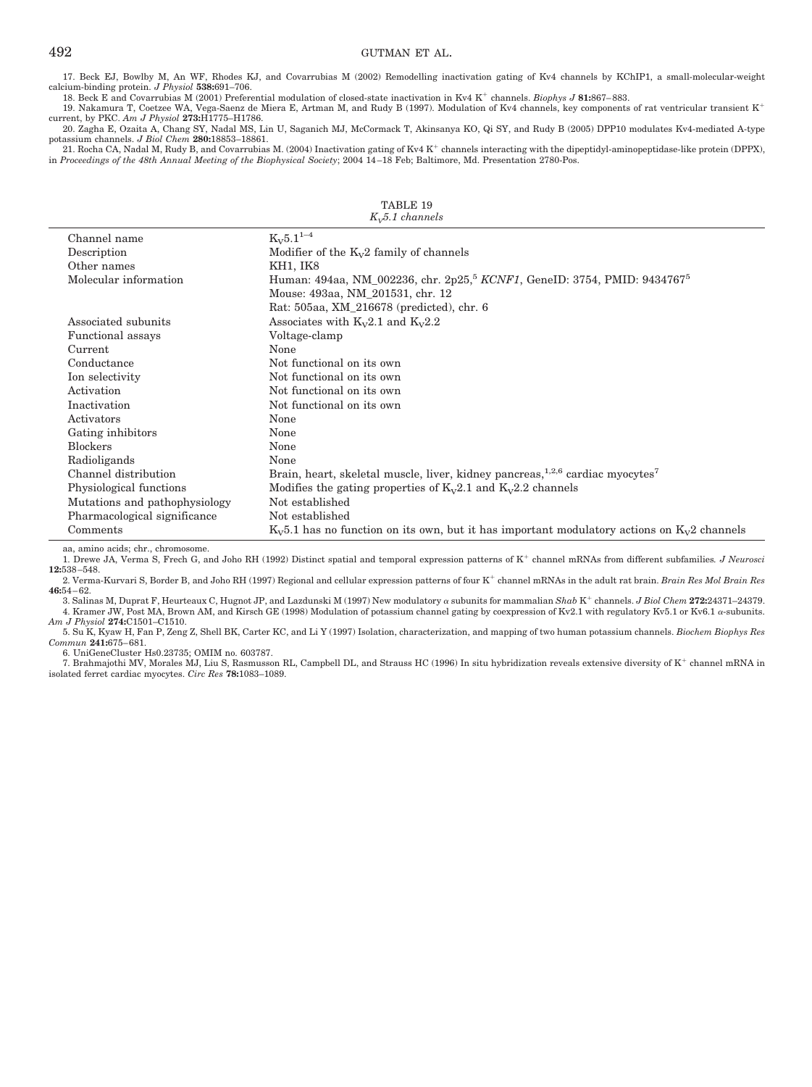17. Beck EJ, Bowlby M, An WF, Rhodes KJ, and Covarrubias M (2002) Remodelling inactivation gating of Kv4 channels by KChIP1, a small-molecular-weight calcium-binding protein. *J Physiol* **538:**691–706.

18. Beck E and Covarrubias M (2001) Preferential modulation of closed-state inactivation in Kv4 K channels. *Biophys J* **81:**867– 883.

19. Nakamura T, Coetzee WA, Vega-Saenz de Miera E, Artman M, and Rudy B (1997). Modulation of Kv4 channels, key components of rat ventricular transient K current, by PKC. *Am J Physiol* **273:**H1775–H1786.

20. Zagha E, Ozaita A, Chang SY, Nadal MS, Lin U, Saganich MJ, McCormack T, Akinsanya KO, Qi SY, and Rudy B (2005) DPP10 modulates Kv4-mediated A-type potassium channels. *J Biol Chem* **280:**18853–18861. 21. Rocha CA, Nadal M, Rudy B, and Covarrubias M. (2004) Inactivation gating of Kv4 K<sup>+</sup> channels interacting with the dipeptidyl-aminopeptidase-like protein (DPPX),

in *Proceedings of the 48th Annual Meeting of the Biophysical Society*; 2004 14 –18 Feb; Baltimore, Md. Presentation 2780-Pos.

| $\Lambda_{V}$ . The continuous |                                                                                                   |  |
|--------------------------------|---------------------------------------------------------------------------------------------------|--|
| Channel name                   | $K_V 5.1^{1-4}$                                                                                   |  |
| Description                    | Modifier of the $K_v2$ family of channels                                                         |  |
| Other names                    | KH1, IK8                                                                                          |  |
| Molecular information          | Human: 494aa, NM_002236, chr. 2p25, <sup>5</sup> KCNF1, GeneID: 3754, PMID: 9434767 <sup>5</sup>  |  |
|                                | Mouse: 493aa, NM_201531, chr. 12                                                                  |  |
|                                | Rat: 505aa, XM_216678 (predicted), chr. 6                                                         |  |
| Associated subunits            | Associates with $K_v2.1$ and $K_v2.2$                                                             |  |
| <b>Functional</b> assays       | Voltage-clamp                                                                                     |  |
| Current                        | None                                                                                              |  |
| Conductance                    | Not functional on its own                                                                         |  |
| Ion selectivity                | Not functional on its own                                                                         |  |
| Activation                     | Not functional on its own                                                                         |  |
| Inactivation                   | Not functional on its own                                                                         |  |
| Activators                     | None                                                                                              |  |
| Gating inhibitors              | None                                                                                              |  |
| <b>Blockers</b>                | None                                                                                              |  |
| Radioligands                   | None                                                                                              |  |
| Channel distribution           | Brain, heart, skeletal muscle, liver, kidney pancreas, $1,2,6$ cardiac myocytes <sup>7</sup>      |  |
| Physiological functions        | Modifies the gating properties of $K_v2.1$ and $K_v2.2$ channels                                  |  |
| Mutations and pathophysiology  | Not established                                                                                   |  |
| Pharmacological significance   | Not established                                                                                   |  |
| Comments                       | $K_v 5.1$ has no function on its own, but it has important modulatory actions on $K_v 2$ channels |  |

TABLE 19 *KV5.1 channels*

aa, amino acids; chr., chromosome.

1. Drewe JA, Verma S, Frech G, and Joho RH (1992) Distinct spatial and temporal expression patterns of K channel mRNAs from different subfamilies*. J Neurosci* **12:**538 –548.

2. Verma-Kurvari S, Border B, and Joho RH (1997) Regional and cellular expression patterns of four K<sup>+</sup> channel mRNAs in the adult rat brain. *Brain Res Mol Brain Res* **46:**54 – 62.

3. Salinas M, Duprat F, Heurteaux C, Hugnot JP, and Lazdunski M (1997) New modulatory  $\alpha$  subunits for mammalian  $Shab$  K<sup>+</sup> channels. *J Biol Chem* 272:24371-24379. 4. Kramer JW, Post MA, Brown AM, and Kirsch GE (1998) Modulation of potassium channel gating by coexpression of Kv2.1 with regulatory Kv5.1 or Kv6.1  $\alpha$ -subunits. *Am J Physiol* **274:**C1501–C1510.

5. Su K, Kyaw H, Fan P, Zeng Z, Shell BK, Carter KC, and Li Y (1997) Isolation, characterization, and mapping of two human potassium channels. *Biochem Biophys Res Commun* **241:**675– 681.

6. UniGeneCluster Hs0.23735; OMIM no. 603787.

7. Brahmajothi MV, Morales MJ, Liu S, Rasmusson RL, Campbell DL, and Strauss HC (1996) In situ hybridization reveals extensive diversity of K<sup>+</sup> channel mRNA in isolated ferret cardiac myocytes. *Circ Res* **78:**1083–1089.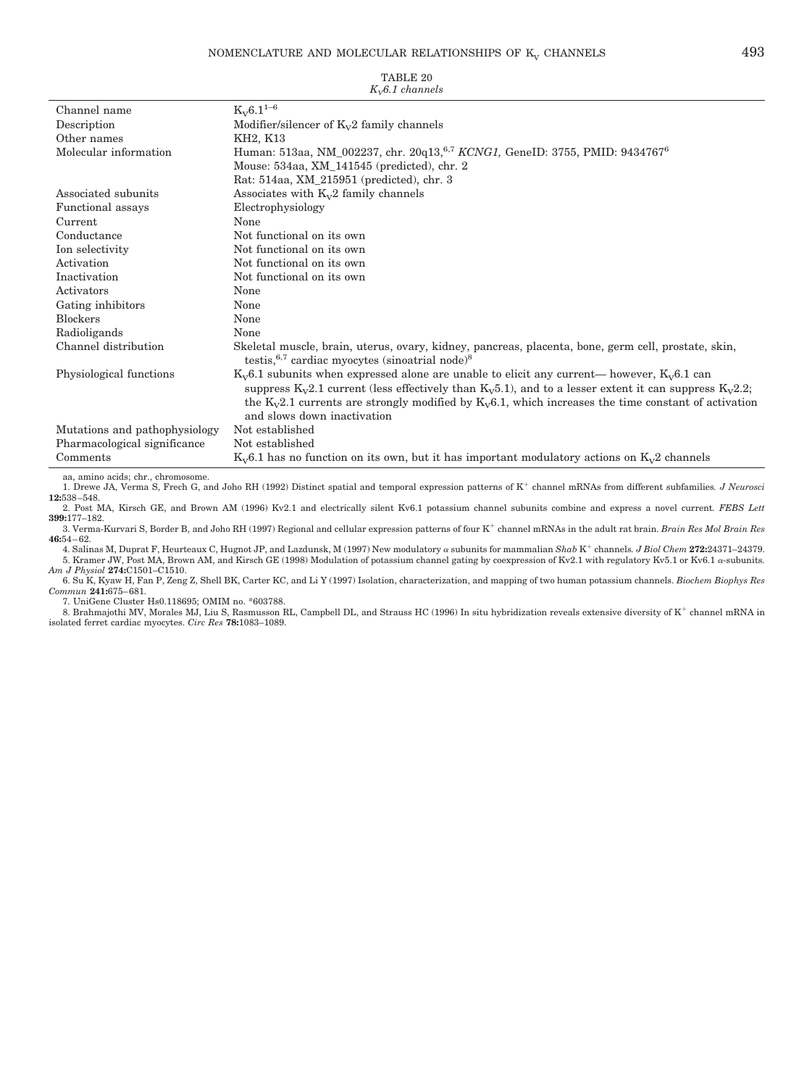### NOMENCLATURE AND MOLECULAR RELATIONSHIPS OF  $K_v$  CHANNELS  $493$

| Channel name                  | $K_V 6.1^{1-6}$                                                                                                                                                                                                                                                                                                                                                                   |
|-------------------------------|-----------------------------------------------------------------------------------------------------------------------------------------------------------------------------------------------------------------------------------------------------------------------------------------------------------------------------------------------------------------------------------|
| Description                   | Modifier/silencer of $K_v2$ family channels                                                                                                                                                                                                                                                                                                                                       |
| Other names                   | KH2, K13                                                                                                                                                                                                                                                                                                                                                                          |
| Molecular information         | Human: 513aa, NM_002237, chr. 20q13, <sup>6,7</sup> KCNG1, GeneID: 3755, PMID: 9434767 <sup>6</sup>                                                                                                                                                                                                                                                                               |
|                               | Mouse: 534aa, XM_141545 (predicted), chr. 2                                                                                                                                                                                                                                                                                                                                       |
|                               | Rat: 514aa, XM_215951 (predicted), chr. 3                                                                                                                                                                                                                                                                                                                                         |
| Associated subunits           | Associates with $K_v2$ family channels                                                                                                                                                                                                                                                                                                                                            |
| Functional assays             | Electrophysiology                                                                                                                                                                                                                                                                                                                                                                 |
| Current                       | None                                                                                                                                                                                                                                                                                                                                                                              |
| Conductance                   | Not functional on its own                                                                                                                                                                                                                                                                                                                                                         |
| Ion selectivity               | Not functional on its own                                                                                                                                                                                                                                                                                                                                                         |
| Activation                    | Not functional on its own                                                                                                                                                                                                                                                                                                                                                         |
| Inactivation                  | Not functional on its own                                                                                                                                                                                                                                                                                                                                                         |
| Activators                    | None                                                                                                                                                                                                                                                                                                                                                                              |
| Gating inhibitors             | None                                                                                                                                                                                                                                                                                                                                                                              |
| <b>Blockers</b>               | None                                                                                                                                                                                                                                                                                                                                                                              |
| Radioligands                  | None                                                                                                                                                                                                                                                                                                                                                                              |
| Channel distribution          | Skeletal muscle, brain, uterus, ovary, kidney, pancreas, placenta, bone, germ cell, prostate, skin,<br>testis, $6,7$ cardiac myocytes (sinoatrial node) <sup>8</sup>                                                                                                                                                                                                              |
| Physiological functions       | $K_v$ 6.1 subunits when expressed alone are unable to elicit any current— however, $K_v$ 6.1 can<br>suppress $K_v2.1$ current (less effectively than $K_v5.1$ ), and to a lesser extent it can suppress $K_v2.2$ ;<br>the K <sub>v</sub> 2.1 currents are strongly modified by K <sub>v</sub> 6.1, which increases the time constant of activation<br>and slows down inactivation |
| Mutations and pathophysiology | Not established                                                                                                                                                                                                                                                                                                                                                                   |
| Pharmacological significance  | Not established                                                                                                                                                                                                                                                                                                                                                                   |
| Comments                      | $K_v$ 6.1 has no function on its own, but it has important modulatory actions on $K_v$ 2 channels                                                                                                                                                                                                                                                                                 |

#### TABLE 20 *KV6.1 channels*

aa, amino acids; chr., chromosome.

1. Drewe JA, Verma S, Frech G, and Joho RH (1992) Distinct spatial and temporal expression patterns of K channel mRNAs from different subfamilies*. J Neurosci* **12:**538 –548.

2. Post MA, Kirsch GE, and Brown AM (1996) Kv2.1 and electrically silent Kv6.1 potassium channel subunits combine and express a novel current*. FEBS Lett* **399:**177–182.

3. Verma-Kurvari S, Border B, and Joho RH (1997) Regional and cellular expression patterns of four K<sup>+</sup> channel mRNAs in the adult rat brain. *Brain Res Mol Brain Res* **46:**54 – 62.

4. Salinas M, Duprat F, Heurteaux C, Hugnot JP, and Lazdunsk, M (1997) New modulatory  $\alpha$  subunits for mammalian  $Shab$  K<sup>+</sup> channels. *J Biol Chem* 272:24371–24379. 5. Kramer JW, Post MA, Brown AM, and Kirsch GE (1998) Modulation of potassium channel gating by coexpression of Kv2.1 with regulatory Kv5.1 or Kv6.1  $\alpha$ -subunits. *Am J Physiol* **274:**C1501–C1510.

6. Su K, Kyaw H, Fan P, Zeng Z, Shell BK, Carter KC, and Li Y (1997) Isolation, characterization, and mapping of two human potassium channels. *Biochem Biophys Res Commun* **241:**675– 681.

7. UniGene Cluster Hs0.118695; OMIM no. \*603788.

8. Brahmajothi MV, Morales MJ, Liu S, Rasmusson RL, Campbell DL, and Strauss HC (1996) In situ hybridization reveals extensive diversity of K<sup>+</sup> channel mRNA in isolated ferret cardiac myocytes. *Circ Res* **78:**1083–1089.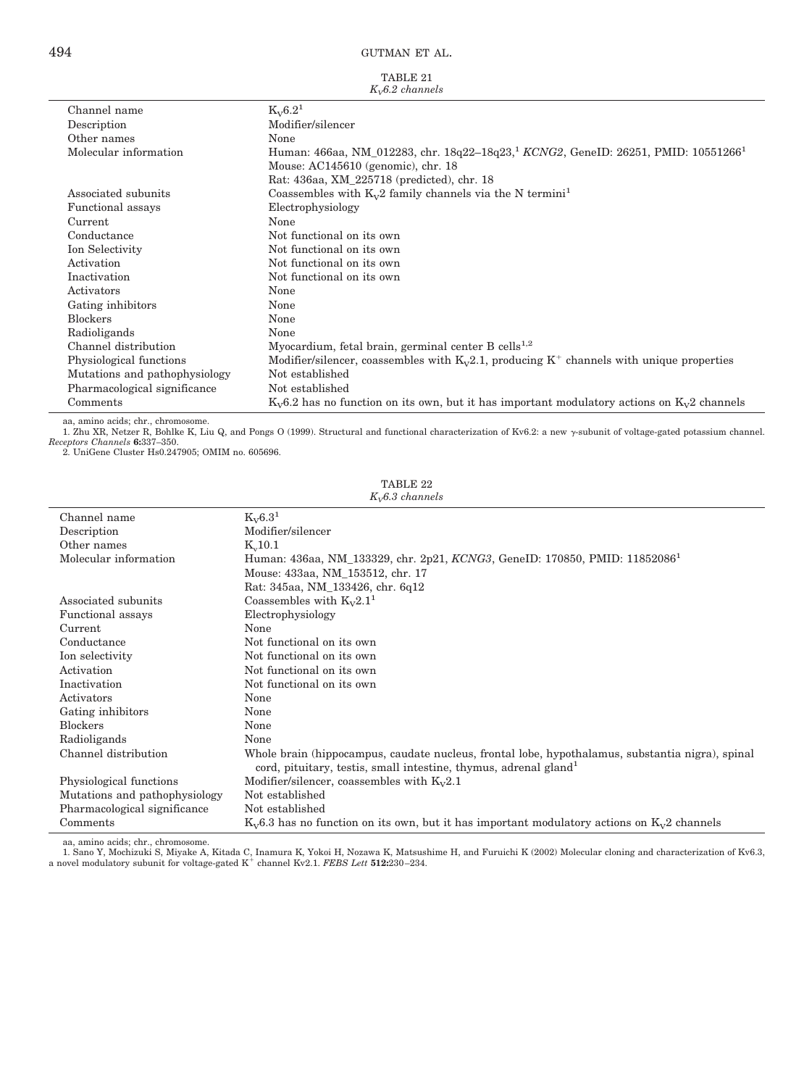#### TABLE 21 *KV6.2 channels*

| Channel name                  | $K_{V}6.2^{1}$                                                                                            |
|-------------------------------|-----------------------------------------------------------------------------------------------------------|
| Description                   | Modifier/silencer                                                                                         |
| Other names                   | None                                                                                                      |
| Molecular information         | Human: 466aa, NM_012283, chr. 18q22-18q23, <sup>1</sup> KCNG2, GeneID: 26251, PMID: 10551266 <sup>1</sup> |
|                               | Mouse: AC145610 (genomic), chr. 18                                                                        |
|                               | Rat: 436aa, XM_225718 (predicted), chr. 18                                                                |
| Associated subunits           | Coassembles with $K_v2$ family channels via the N termini <sup>1</sup>                                    |
| Functional assays             | Electrophysiology                                                                                         |
| Current                       | None                                                                                                      |
| Conductance                   | Not functional on its own                                                                                 |
| Ion Selectivity               | Not functional on its own                                                                                 |
| Activation                    | Not functional on its own                                                                                 |
| Inactivation                  | Not functional on its own                                                                                 |
| Activators                    | None                                                                                                      |
| Gating inhibitors             | None                                                                                                      |
| <b>Blockers</b>               | None                                                                                                      |
| Radioligands                  | None                                                                                                      |
| Channel distribution          | Myocardium, fetal brain, germinal center B cells <sup>1,2</sup>                                           |
| Physiological functions       | Modifier/silencer, coassembles with $K_v2.1$ , producing $K^+$ channels with unique properties            |
| Mutations and pathophysiology | Not established                                                                                           |
| Pharmacological significance  | Not established                                                                                           |
| Comments                      | $K_v$ 6.2 has no function on its own, but it has important modulatory actions on $K_v$ 2 channels         |
|                               |                                                                                                           |

aa, amino acids; chr., chromosome.<br>1. Zhu XR, Netzer R, Bohlke K, Liu Q, and Pongs O (1999). Structural and functional characterization of Kv6.2: a new y-subunit of voltage-gated potassium channel. *Receptors Channels* **6:**337–350. 2. UniGene Cluster Hs0.247905; OMIM no. 605696.

TABLE 22

| $K_v6.3$ channels             |                                                                                                                                                                                  |  |
|-------------------------------|----------------------------------------------------------------------------------------------------------------------------------------------------------------------------------|--|
| Channel name                  | $K_{V}6.3^{1}$                                                                                                                                                                   |  |
| Description                   | Modifier/silencer                                                                                                                                                                |  |
| Other names                   | $K_v10.1$                                                                                                                                                                        |  |
| Molecular information         | Human: 436aa, NM_133329, chr. 2p21, KCNG3, GeneID: 170850, PMID: 11852086 <sup>1</sup>                                                                                           |  |
|                               | Mouse: 433aa, NM 153512, chr. 17                                                                                                                                                 |  |
|                               | Rat: 345aa, NM_133426, chr. 6q12                                                                                                                                                 |  |
| Associated subunits           | Coassembles with $K_v 2.1^1$                                                                                                                                                     |  |
| Functional assays             | Electrophysiology                                                                                                                                                                |  |
| Current                       | None                                                                                                                                                                             |  |
| Conductance                   | Not functional on its own                                                                                                                                                        |  |
| Ion selectivity               | Not functional on its own                                                                                                                                                        |  |
| Activation                    | Not functional on its own                                                                                                                                                        |  |
| Inactivation                  | Not functional on its own                                                                                                                                                        |  |
| Activators                    | None                                                                                                                                                                             |  |
| Gating inhibitors             | None                                                                                                                                                                             |  |
| <b>Blockers</b>               | None                                                                                                                                                                             |  |
| Radioligands                  | None                                                                                                                                                                             |  |
| Channel distribution          | Whole brain (hippocampus, caudate nucleus, frontal lobe, hypothalamus, substantia nigra), spinal<br>cord, pituitary, testis, small intestine, thymus, adrenal gland <sup>1</sup> |  |
| Physiological functions       | Modifier/silencer, coassembles with $K_v2.1$                                                                                                                                     |  |
| Mutations and pathophysiology | Not established                                                                                                                                                                  |  |
| Pharmacological significance  | Not established                                                                                                                                                                  |  |
| Comments                      | $K_v$ 6.3 has no function on its own, but it has important modulatory actions on $K_v$ 2 channels                                                                                |  |

aa, amino acids; chr., chromosome.<br>1. Sano Y, Mochizuki S, Miyake A, Kitada C, Inamura K, Yokoi H, Nozawa K, Matsushime H, and Furuichi K (2002) Molecular cloning and characterization of Kv6.3,<br>1. Sano Y, Mochizuki S, Miya

 $\frac{1}{2}$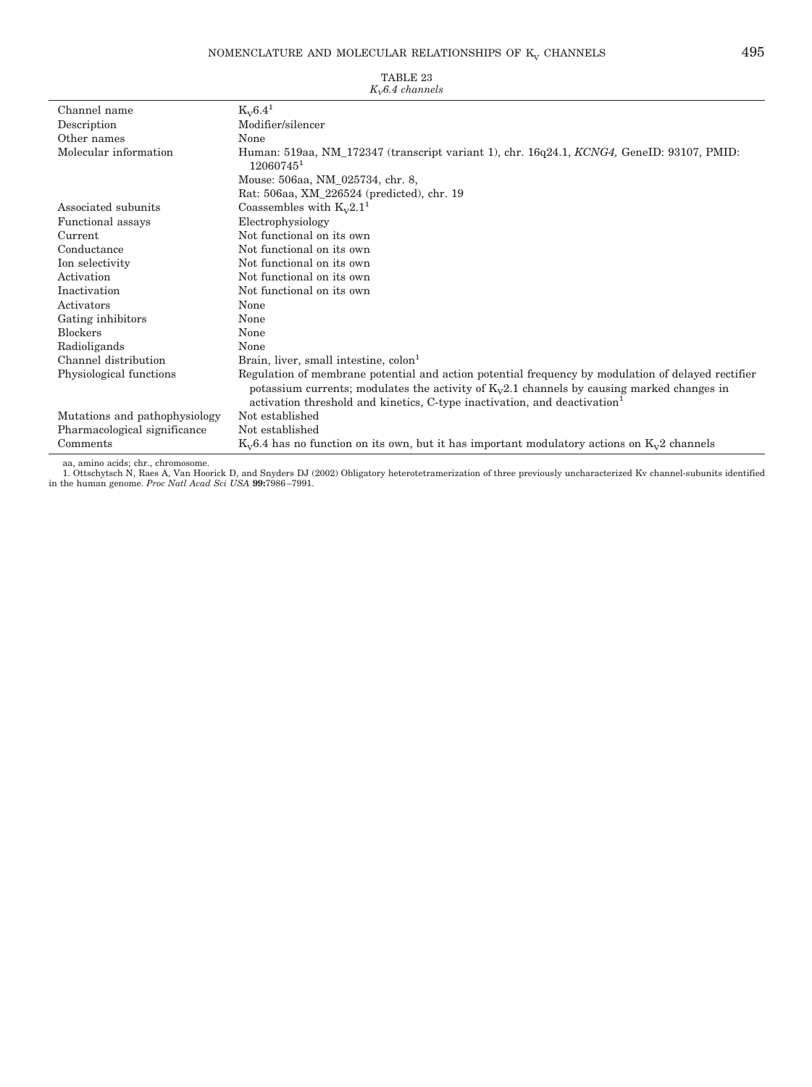## NOMENCLATURE AND MOLECULAR RELATIONSHIPS OF  $\text{K}_{\text{V}}$  CHANNELS  $\hfill 495$

| Channel name                  | $K_V6.4^1$                                                                                                                                                                                                                                                                     |
|-------------------------------|--------------------------------------------------------------------------------------------------------------------------------------------------------------------------------------------------------------------------------------------------------------------------------|
| Description                   | Modifier/silencer                                                                                                                                                                                                                                                              |
| Other names                   | None                                                                                                                                                                                                                                                                           |
| Molecular information         | Human: 519aa, NM_172347 (transcript variant 1), chr. 16q24.1, KCNG4, GeneID: 93107, PMID:<br>120607451                                                                                                                                                                         |
|                               | Mouse: 506aa, NM_025734, chr. 8,                                                                                                                                                                                                                                               |
|                               | Rat: 506aa, XM_226524 (predicted), chr. 19                                                                                                                                                                                                                                     |
| Associated subunits           | Coassembles with $K_v 2.1^1$                                                                                                                                                                                                                                                   |
| Functional assays             | Electrophysiology                                                                                                                                                                                                                                                              |
| Current                       | Not functional on its own                                                                                                                                                                                                                                                      |
| Conductance                   | Not functional on its own                                                                                                                                                                                                                                                      |
| Ion selectivity               | Not functional on its own                                                                                                                                                                                                                                                      |
| Activation                    | Not functional on its own                                                                                                                                                                                                                                                      |
| Inactivation                  | Not functional on its own                                                                                                                                                                                                                                                      |
| Activators                    | None                                                                                                                                                                                                                                                                           |
| Gating inhibitors             | None                                                                                                                                                                                                                                                                           |
| <b>Blockers</b>               | None                                                                                                                                                                                                                                                                           |
| Radioligands                  | None                                                                                                                                                                                                                                                                           |
| Channel distribution          | Brain, liver, small intestine, colon <sup>1</sup>                                                                                                                                                                                                                              |
| Physiological functions       | Regulation of membrane potential and action potential frequency by modulation of delayed rectifier<br>potassium currents; modulates the activity of $K_v2.1$ channels by causing marked changes in<br>activation threshold and kinetics, C-type inactivation, and deactivation |
| Mutations and pathophysiology | Not established                                                                                                                                                                                                                                                                |
| Pharmacological significance  | Not established                                                                                                                                                                                                                                                                |
| Comments                      | $K_v6.4$ has no function on its own, but it has important modulatory actions on $K_v2$ channels                                                                                                                                                                                |

TABLE 23

#### *KV6.4 channels*

aa, amino acids; chr., chromosome.<br>1. Ottschytsch N, Raes A, Van Hoorick D, and Snyders DJ (2002) Obligatory heterotetramerization of three previously uncharacterized Kv channel-subunits identified<br>1. Ottschytsch N, Raes A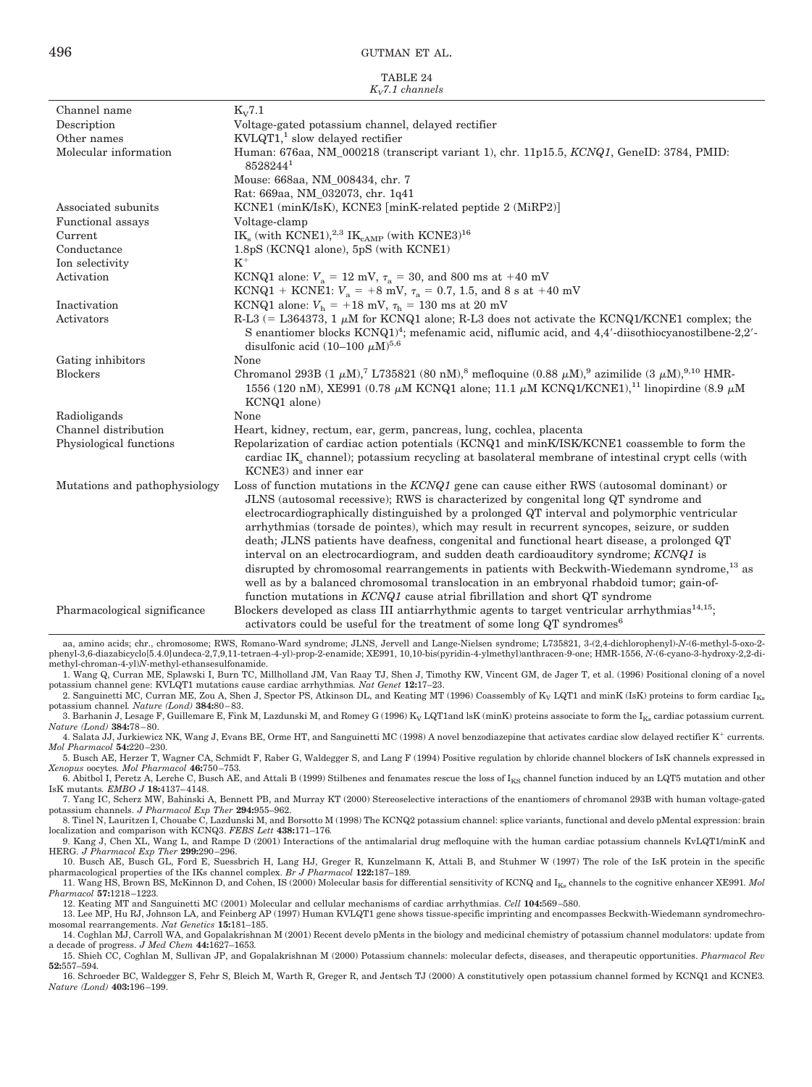TABLE 24

| $K_v$ 7.1 channels            |                                                                                                                                                                                                                                                                                                                                                                                                                                                                                                                                                                                                                                                                                                                                                                                                                                                                 |  |
|-------------------------------|-----------------------------------------------------------------------------------------------------------------------------------------------------------------------------------------------------------------------------------------------------------------------------------------------------------------------------------------------------------------------------------------------------------------------------------------------------------------------------------------------------------------------------------------------------------------------------------------------------------------------------------------------------------------------------------------------------------------------------------------------------------------------------------------------------------------------------------------------------------------|--|
| Channel name                  | $K_V$ 7.1                                                                                                                                                                                                                                                                                                                                                                                                                                                                                                                                                                                                                                                                                                                                                                                                                                                       |  |
| Description                   | Voltage-gated potassium channel, delayed rectifier                                                                                                                                                                                                                                                                                                                                                                                                                                                                                                                                                                                                                                                                                                                                                                                                              |  |
| Other names                   | $KVLQT1$ <sup>1</sup> , slow delayed rectifier                                                                                                                                                                                                                                                                                                                                                                                                                                                                                                                                                                                                                                                                                                                                                                                                                  |  |
| Molecular information         | Human: 676aa, NM_000218 (transcript variant 1), chr. 11p15.5, KCNQ1, GeneID: 3784, PMID:<br>85282441                                                                                                                                                                                                                                                                                                                                                                                                                                                                                                                                                                                                                                                                                                                                                            |  |
|                               | Mouse: 668aa, NM_008434, chr. 7                                                                                                                                                                                                                                                                                                                                                                                                                                                                                                                                                                                                                                                                                                                                                                                                                                 |  |
|                               | Rat: 669aa, NM_032073, chr. 1q41                                                                                                                                                                                                                                                                                                                                                                                                                                                                                                                                                                                                                                                                                                                                                                                                                                |  |
| Associated subunits           | KCNE1 (minK/IsK), KCNE3 [minK-related peptide 2 (MiRP2)]                                                                                                                                                                                                                                                                                                                                                                                                                                                                                                                                                                                                                                                                                                                                                                                                        |  |
| Functional assays             | Voltage-clamp                                                                                                                                                                                                                                                                                                                                                                                                                                                                                                                                                                                                                                                                                                                                                                                                                                                   |  |
| Current                       | IK <sub>s</sub> (with KCNE1), <sup>2,3</sup> IK <sub>cAMP</sub> (with KCNE3) <sup>16</sup>                                                                                                                                                                                                                                                                                                                                                                                                                                                                                                                                                                                                                                                                                                                                                                      |  |
| Conductance                   | 1.8pS (KCNQ1 alone), 5pS (with KCNE1)                                                                                                                                                                                                                                                                                                                                                                                                                                                                                                                                                                                                                                                                                                                                                                                                                           |  |
| Ion selectivity               | $K^+$                                                                                                                                                                                                                                                                                                                                                                                                                                                                                                                                                                                                                                                                                                                                                                                                                                                           |  |
| Activation                    | KCNQ1 alone: $V_a = 12$ mV, $\tau_a = 30$ , and 800 ms at +40 mV                                                                                                                                                                                                                                                                                                                                                                                                                                                                                                                                                                                                                                                                                                                                                                                                |  |
|                               | KCNQ1 + KCNE1: $V_a$ = +8 mV, $\tau_a$ = 0.7, 1.5, and 8 s at +40 mV                                                                                                                                                                                                                                                                                                                                                                                                                                                                                                                                                                                                                                                                                                                                                                                            |  |
| Inactivation                  | KCNQ1 alone: $V_h$ = +18 mV, $\tau_h$ = 130 ms at 20 mV                                                                                                                                                                                                                                                                                                                                                                                                                                                                                                                                                                                                                                                                                                                                                                                                         |  |
| Activators                    | R-L3 (= L364373, 1 $\mu$ M for KCNQ1 alone; R-L3 does not activate the KCNQ1/KCNE1 complex; the<br>S enantiomer blocks KCNQ1) <sup>4</sup> ; mefenamic acid, niflumic acid, and 4,4'-diisothiocyanostilbene-2,2'-                                                                                                                                                                                                                                                                                                                                                                                                                                                                                                                                                                                                                                               |  |
|                               | disulfonic acid $(10-100 \mu M)^{5,6}$                                                                                                                                                                                                                                                                                                                                                                                                                                                                                                                                                                                                                                                                                                                                                                                                                          |  |
| Gating inhibitors             | None                                                                                                                                                                                                                                                                                                                                                                                                                                                                                                                                                                                                                                                                                                                                                                                                                                                            |  |
| <b>Blockers</b>               | Chromanol 293B (1 $\mu$ M), <sup>7</sup> L735821 (80 nM), <sup>8</sup> mefloquine (0.88 $\mu$ M), <sup>9</sup> azimilide (3 $\mu$ M), <sup>9,10</sup> HMR-<br>1556 (120 nM), XE991 (0.78 $\mu$ M KCNQ1 alone; 11.1 $\mu$ M KCNQ1/KCNE1), <sup>11</sup> linopirdine (8.9 $\mu$ M<br>KCNQ1 alone)                                                                                                                                                                                                                                                                                                                                                                                                                                                                                                                                                                 |  |
| Radioligands                  | None                                                                                                                                                                                                                                                                                                                                                                                                                                                                                                                                                                                                                                                                                                                                                                                                                                                            |  |
| Channel distribution          | Heart, kidney, rectum, ear, germ, pancreas, lung, cochlea, placenta                                                                                                                                                                                                                                                                                                                                                                                                                                                                                                                                                                                                                                                                                                                                                                                             |  |
| Physiological functions       | Repolarization of cardiac action potentials (KCNQ1 and minK/ISK/KCNE1 coassemble to form the<br>cardiac IK <sub>s</sub> channel); potassium recycling at basolateral membrane of intestinal crypt cells (with<br>KCNE3) and inner ear                                                                                                                                                                                                                                                                                                                                                                                                                                                                                                                                                                                                                           |  |
| Mutations and pathophysiology | Loss of function mutations in the $KCNQ1$ gene can cause either RWS (autosomal dominant) or<br>JLNS (autosomal recessive); RWS is characterized by congenital long QT syndrome and<br>electrocardiographically distinguished by a prolonged QT interval and polymorphic ventricular<br>arrhythmias (torsade de pointes), which may result in recurrent syncopes, seizure, or sudden<br>death; JLNS patients have deafness, congenital and functional heart disease, a prolonged QT<br>interval on an electrocardiogram, and sudden death cardioauditory syndrome; KCNQ1 is<br>disrupted by chromosomal rearrangements in patients with Beckwith-Wiedemann syndrome, <sup>13</sup> as<br>well as by a balanced chromosomal translocation in an embryonal rhabdoid tumor; gain-of-<br>function mutations in KCNQ1 cause atrial fibrillation and short QT syndrome |  |
| Pharmacological significance  | Blockers developed as class III antiarrhythmic agents to target ventricular arrhythmias <sup>14,15</sup> ;<br>activators could be useful for the treatment of some long QT syndromes <sup>6</sup>                                                                                                                                                                                                                                                                                                                                                                                                                                                                                                                                                                                                                                                               |  |

aa, amino acids; chr., chromosome; RWS, Romano-Ward syndrome; JLNS, Jervell and Lange-Nielsen syndrome; L735821, 3-(2,4-dichlorophenyl)-*N*-(6-methyl-5-oxo-2 phenyl-3,6-diazabicyclo[5.4.0]undeca-2,7,9,11-tetraen-4-yl)-prop-2-enamide; XE991, 10,10-bis(pyridin-4-ylmethyl)anthracen-9-one; HMR-1556, *N*-(6-cyano-3-hydroxy-2,2-dimethyl-chroman-4-yl)*N*-methyl-ethansesulfonamide.

1. Wang Q, Curran ME, Splawski I, Burn TC, Millholland JM, Van Raay TJ, Shen J, Timothy KW, Vincent GM, de Jager T, et al. (1996) Positional cloning of a novel potassium channel gene: KVLQT1 mutations cause cardiac arrhythmias*. Nat Genet* **12:**17–23. 2. Sanguinetti MC, Curran ME, Zou A, Shen J, Spector PS, Atkinson DL, and Keating MT (1996) Coassembly of  $K_V LQT1$  and minK (IsK) proteins to form cardiac  $I_{Ks}$ 

potassium channel*. Nature (Lond)* **384:**80 – 83.

3. Barhanin J, Lesage F, Guillemare E, Fink M, Lazdunski M, and Romey G (1996) K<sub>V</sub> LQT1and lsK (minK) proteins associate to form the I<sub>Ks</sub> cardiac potassium current. *Nature (Lond)* **384:**78 – 80.

4. Salata JJ, Jurkiewicz NK, Wang J, Evans BE, Orme HT, and Sanguinetti MC (1998) A novel benzodiazepine that activates cardiac slow delayed rectifier K currents*. Mol Pharmacol* **54:**220 –230.

5. Busch AE, Herzer T, Wagner CA, Schmidt F, Raber G, Waldegger S, and Lang F (1994) Positive regulation by chloride channel blockers of IsK channels expressed in *Xenopus* oocytes*. Mol Pharmacol* **46:**750 –753*.*

6. Abitbol I, Peretz A, Lerche C, Busch AE, and Attali B (1999) Stilbenes and fenamates rescue the loss of  $I_{KS}$  channel function induced by an LQT5 mutation and other IsK mutants*. EMBO J* **18:**4137– 4148.

7. Yang IC, Scherz MW, Bahinski A, Bennett PB, and Murray KT (2000) Stereoselective interactions of the enantiomers of chromanol 293B with human voltage-gated potassium channels. *J Pharmacol Exp Ther* **294:**955–962.

8. Tinel N, Lauritzen I, Chouabe C, Lazdunski M, and Borsotto M (1998) The KCNQ2 potassium channel: splice variants, functional and develo pMental expression: brain localization and comparison with KCNQ3. FEBS Lett 438:171

9. Kang J, Chen XL, Wang L, and Rampe D (2001) Interactions of the antimalarial drug mefloquine with the human cardiac potassium channels KvLQT1/minK and HERG. *J Pharmacol Exp Ther* **299:**290 –296.

10. Busch AE, Busch GL, Ford E, Suessbrich H, Lang HJ, Greger R, Kunzelmann K, Attali B, and Stuhmer W (1997) The role of the IsK protein in the specific pharmacological properties of the IKs channel complex. *Br J Pharmacol* **122:**187–189*.*

11. Wang HS, Brown BS, McKinnon D, and Cohen, IS (2000) Molecular basis for differential sensitivity of KCNQ and IKs channels to the cognitive enhancer XE991*. Mol Pharmacol* **57:**1218 –1223*.* 12. Keating MT and Sanguinetti MC (2001) Molecular and cellular mechanisms of cardiac arrhythmias. *Cell* **104:**569 –580.

13. Lee MP, Hu RJ, Johnson LA, and Feinberg AP (1997) Human KVLQT1 gene shows tissue-specific imprinting and encompasses Beckwith-Wiedemann syndromechromosomal rearrangements. *Nat Genetics* **15:**181–185.

14. Coghlan MJ, Carroll WA, and Gopalakrishnan M (2001) Recent develo pMents in the biology and medicinal chemistry of potassium channel modulators: update from a decade of progress. *J Med Chem* **44:**1627–1653*.*

15. Shieh CC, Coghlan M, Sullivan JP, and Gopalakrishnan M (2000) Potassium channels: molecular defects, diseases, and therapeutic opportunities. *Pharmacol Rev* **52:**557–594*.*

16. Schroeder BC, Waldegger S, Fehr S, Bleich M, Warth R, Greger R, and Jentsch TJ (2000) A constitutively open potassium channel formed by KCNQ1 and KCNE3*. Nature (Lond)* **403:**196 –199.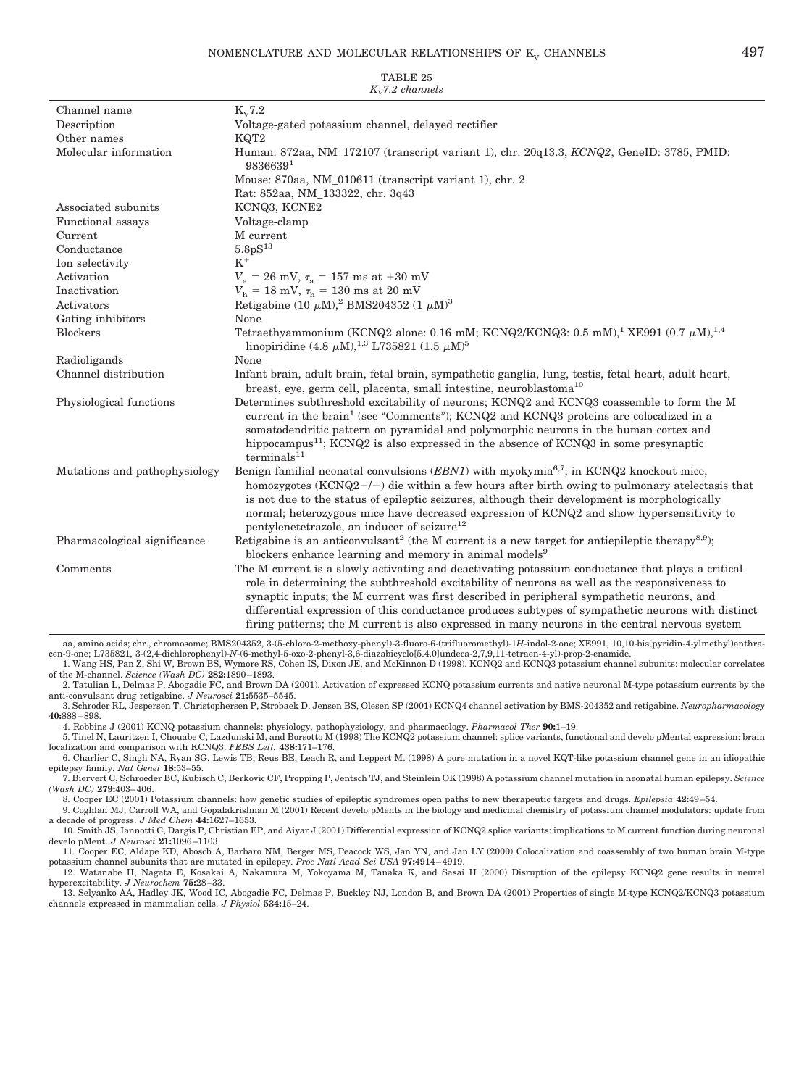| $K_v$ 7.2 channels            |                                                                                                                                                                                                                                                                                                                                                                                                                                                                                                         |  |
|-------------------------------|---------------------------------------------------------------------------------------------------------------------------------------------------------------------------------------------------------------------------------------------------------------------------------------------------------------------------------------------------------------------------------------------------------------------------------------------------------------------------------------------------------|--|
| Channel name                  | $K_V 7.2$                                                                                                                                                                                                                                                                                                                                                                                                                                                                                               |  |
| Description                   | Voltage-gated potassium channel, delayed rectifier                                                                                                                                                                                                                                                                                                                                                                                                                                                      |  |
| Other names                   | KQT <sub>2</sub>                                                                                                                                                                                                                                                                                                                                                                                                                                                                                        |  |
| Molecular information         | Human: 872aa, NM 172107 (transcript variant 1), chr. 20q13.3, KCNQ2, GeneID: 3785, PMID:<br>98366391                                                                                                                                                                                                                                                                                                                                                                                                    |  |
|                               | Mouse: 870aa, NM_010611 (transcript variant 1), chr. 2                                                                                                                                                                                                                                                                                                                                                                                                                                                  |  |
|                               | Rat: 852aa, NM_133322, chr. 3q43                                                                                                                                                                                                                                                                                                                                                                                                                                                                        |  |
| Associated subunits           | KCNQ3, KCNE2                                                                                                                                                                                                                                                                                                                                                                                                                                                                                            |  |
| Functional assays             | Voltage-clamp                                                                                                                                                                                                                                                                                                                                                                                                                                                                                           |  |
| Current                       | M current                                                                                                                                                                                                                                                                                                                                                                                                                                                                                               |  |
| Conductance                   | 5.8 <sub>p</sub> S <sup>13</sup>                                                                                                                                                                                                                                                                                                                                                                                                                                                                        |  |
| Ion selectivity               | $K^+$                                                                                                                                                                                                                                                                                                                                                                                                                                                                                                   |  |
| Activation                    | $V_a = 26$ mV, $\tau_a = 157$ ms at +30 mV                                                                                                                                                                                                                                                                                                                                                                                                                                                              |  |
| Inactivation                  | $V_{\rm h} = 18$ mV, $\tau_{\rm h} = 130$ ms at 20 mV                                                                                                                                                                                                                                                                                                                                                                                                                                                   |  |
| Activators                    | Retigabine (10 $\mu$ M), <sup>2</sup> BMS204352 (1 $\mu$ M) <sup>3</sup>                                                                                                                                                                                                                                                                                                                                                                                                                                |  |
| Gating inhibitors             | None                                                                                                                                                                                                                                                                                                                                                                                                                                                                                                    |  |
| <b>Blockers</b>               | Tetraethyammonium (KCNQ2 alone: 0.16 mM; KCNQ2/KCNQ3: 0.5 mM), <sup>1</sup> XE991 (0.7 $\mu$ M), <sup>1,4</sup><br>linopiridine (4.8 $\mu$ M), <sup>1,3</sup> L735821 (1.5 $\mu$ M) <sup>5</sup>                                                                                                                                                                                                                                                                                                        |  |
| Radioligands                  | None                                                                                                                                                                                                                                                                                                                                                                                                                                                                                                    |  |
| Channel distribution          | Infant brain, adult brain, fetal brain, sympathetic ganglia, lung, testis, fetal heart, adult heart,<br>breast, eye, germ cell, placenta, small intestine, neuroblastoma <sup>10</sup>                                                                                                                                                                                                                                                                                                                  |  |
| Physiological functions       | Determines subthreshold excitability of neurons; KCNQ2 and KCNQ3 coassemble to form the M<br>current in the brain <sup>1</sup> (see "Comments"); KCNQ2 and KCNQ3 proteins are colocalized in a<br>somatodendritic pattern on pyramidal and polymorphic neurons in the human cortex and<br>hippocampus <sup>11</sup> ; KCNQ2 is also expressed in the absence of KCNQ3 in some presynaptic<br>terminals <sup>11</sup>                                                                                    |  |
| Mutations and pathophysiology | Benign familial neonatal convulsions $(EBNI)$ with myokymia <sup>6,7</sup> ; in KCNQ2 knockout mice,<br>homozygotes (KCNQ2-/-) die within a few hours after birth owing to pulmonary atelectasis that<br>is not due to the status of epileptic seizures, although their development is morphologically<br>normal; heterozygous mice have decreased expression of KCNQ2 and show hypersensitivity to<br>pentylenetetrazole, an inducer of seizure <sup>12</sup>                                          |  |
| Pharmacological significance  | Retigabine is an anticonvulsant <sup>2</sup> (the M current is a new target for antiepileptic therapy <sup>8,9</sup> );<br>blockers enhance learning and memory in animal models <sup>9</sup>                                                                                                                                                                                                                                                                                                           |  |
| Comments                      | The M current is a slowly activating and deactivating potassium conductance that plays a critical<br>role in determining the subthreshold excitability of neurons as well as the responsiveness to<br>synaptic inputs; the M current was first described in peripheral sympathetic neurons, and<br>differential expression of this conductance produces subtypes of sympathetic neurons with distinct<br>firing patterns; the M current is also expressed in many neurons in the central nervous system |  |

aa, amino acids; chr., chromosome; BMS204352, 3-(5-chloro-2-methoxy-phenyl)-3-fluoro-6-(trifluoromethyl)-1*H*-indol-2-one; XE991, 10,10-bis(pyridin-4-ylmethyl)anthracen-9-one; L735821, 3-(2,4-dichlorophenyl)-N-(6-methyl-5-oxo-2-phenyl-3,6-diazabicyclo[5.4.0]undeca-2,7,9,11-tetraen-4-yl)-prop-2-enamide.<br>1. Wang HS, Pan Z, Shi W, Brown BS, Wymore RS, Cohen IS, Dixon JE, and McKinnon D (

of the M-channel. *Science (Wash DC)* **282:**1890 –1893.

2. Tatulian L, Delmas P, Abogadie FC, and Brown DA (2001). Activation of expressed KCNQ potassium currents and native neuronal M-type potassium currents by the anti-convulsant drug retigabine. *J Neurosci* 21:5535–5545.

3. Schroder RL, Jespersen T, Christophersen P, Strobaek D, Jensen BS, Olesen SP (2001) KCNQ4 channel activation by BMS-204352 and retigabine. *Neuropharmacology* **40:**888 – 898.

4. Robbins J (2001) KCNQ potassium channels: physiology, pathophysiology, and pharmacology. *Pharmacol Ther* **90:**1–19.

5. Tinel N, Lauritzen I, Chouabe C, Lazdunski M, and Borsotto M (1998) The KCNQ2 potassium channel: splice variants, functional and develo pMental expression: brain localization and comparison with KCNQ3. *FEBS Lett.* **438:**171–176.

6. Charlier C, Singh NA, Ryan SG, Lewis TB, Reus BE, Leach R, and Leppert M. (1998) A pore mutation in a novel KQT-like potassium channel gene in an idiopathic epilepsy family. *Nat Genet* **18:**53–55.

7. Biervert C, Schroeder BC, Kubisch C, Berkovic CF, Propping P, Jentsch TJ, and Steinlein OK (1998) A potassium channel mutation in neonatal human epilepsy. *Science (Wash DC)* **279:**403– 406.

8. Cooper EC (2001) Potassium channels: how genetic studies of epileptic syndromes open paths to new therapeutic targets and drugs. *Epilepsia* **42:**49 –54.

9. Coghlan MJ, Carroll WA, and Gopalakrishnan M (2001) Recent develo pMents in the biology and medicinal chemistry of potassium channel modulators: update from a decade of progress. *J Med Chem* **44:**1627–1653.

10. Smith JS, Iannotti C, Dargis P, Christian EP, and Aiyar J (2001) Differential expression of KCNQ2 splice variants: implications to M current function during neuronal develo pMent. *J Neurosci* **21:**1096 –1103.

11. Cooper EC, Aldape KD, Abosch A, Barbaro NM, Berger MS, Peacock WS, Jan YN, and Jan LY (2000) Colocalization and coassembly of two human brain M-type potassium channel subunits that are mutated in epilepsy. *Proc Natl Acad Sci USA* **97:**4914 – 4919. 12. Watanabe H, Nagata E, Kosakai A, Nakamura M, Yokoyama M, Tanaka K, and Sasai H (2000) Disruption of the epilepsy KCNQ2 gene results in neural

hyperexcitability. *J Neurochem* **75:**28 –33.

13. Selyanko AA, Hadley JK, Wood IC, Abogadie FC, Delmas P, Buckley NJ, London B, and Brown DA (2001) Properties of single M-type KCNQ2/KCNQ3 potassium channels expressed in mammalian cells. *J Physiol* **534:**15–24.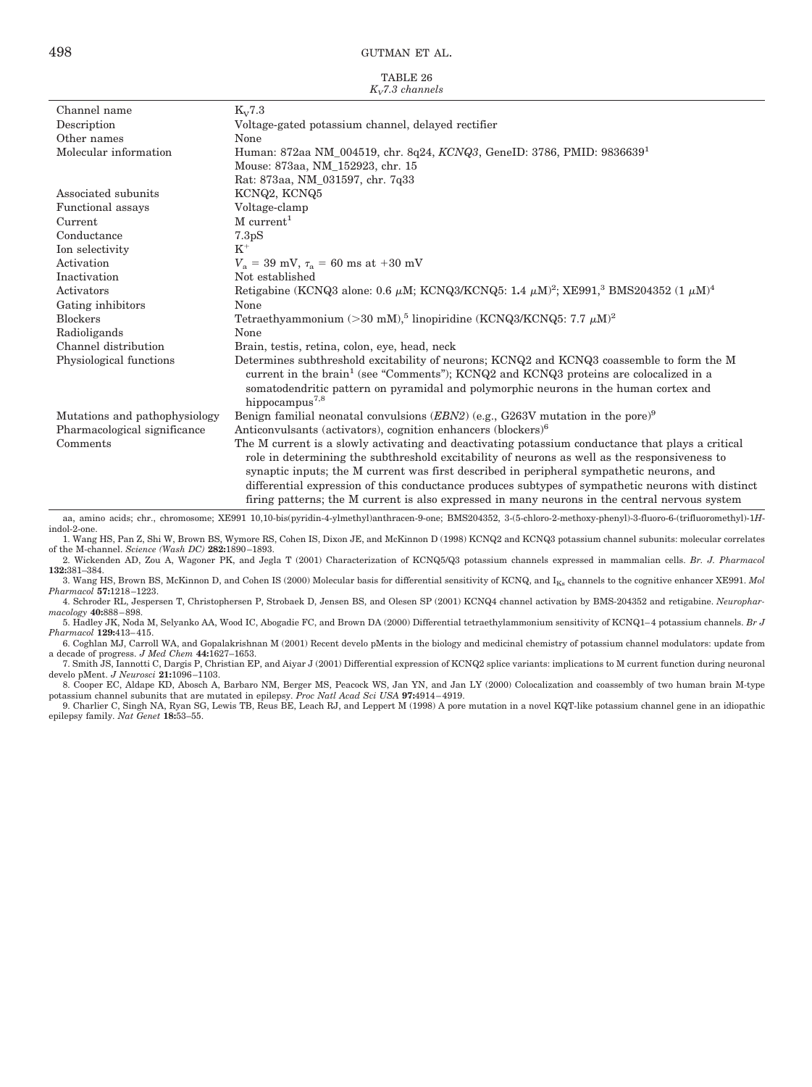|                    | TABLE 26 |  |
|--------------------|----------|--|
| $K_v$ 7.3 channels |          |  |

|                               | $\mathbf{v}_v$ , o channers                                                                                                                                                                                                                                                                     |
|-------------------------------|-------------------------------------------------------------------------------------------------------------------------------------------------------------------------------------------------------------------------------------------------------------------------------------------------|
| Channel name                  | $K_V 7.3$                                                                                                                                                                                                                                                                                       |
| Description                   | Voltage-gated potassium channel, delayed rectifier                                                                                                                                                                                                                                              |
| Other names                   | None                                                                                                                                                                                                                                                                                            |
| Molecular information         | Human: 872aa NM_004519, chr. 8q24, KCNQ3, GeneID: 3786, PMID: 9836639 <sup>1</sup>                                                                                                                                                                                                              |
|                               | Mouse: 873aa, NM_152923, chr. 15                                                                                                                                                                                                                                                                |
|                               | Rat: 873aa, NM 031597, chr. 7q33                                                                                                                                                                                                                                                                |
| Associated subunits           | KCNQ2, KCNQ5                                                                                                                                                                                                                                                                                    |
| <b>Functional</b> assays      | Voltage-clamp                                                                                                                                                                                                                                                                                   |
| Current                       | $M$ current <sup>1</sup>                                                                                                                                                                                                                                                                        |
| Conductance                   | 7.3 <sub>p</sub> S                                                                                                                                                                                                                                                                              |
| Ion selectivity               | $K^+$                                                                                                                                                                                                                                                                                           |
| Activation                    | $V_a = 39$ mV, $\tau_a = 60$ ms at +30 mV                                                                                                                                                                                                                                                       |
| Inactivation                  | Not established                                                                                                                                                                                                                                                                                 |
| Activators                    | Retigabine (KCNQ3 alone: 0.6 $\mu$ M; KCNQ3/KCNQ5: 1.4 $\mu$ M) <sup>2</sup> ; XE991, <sup>3</sup> BMS204352 (1 $\mu$ M) <sup>4</sup>                                                                                                                                                           |
| Gating inhibitors             | None                                                                                                                                                                                                                                                                                            |
| <b>Blockers</b>               | Tetraethyammonium $(>30$ mM), <sup>5</sup> linopiridine (KCNQ3/KCNQ5: 7.7 $\mu$ M) <sup>2</sup>                                                                                                                                                                                                 |
| Radioligands                  | None                                                                                                                                                                                                                                                                                            |
| Channel distribution          | Brain, testis, retina, colon, eye, head, neck                                                                                                                                                                                                                                                   |
| Physiological functions       | Determines subthreshold excitability of neurons; KCNQ2 and KCNQ3 coassemble to form the M                                                                                                                                                                                                       |
|                               | current in the brain <sup>1</sup> (see "Comments"); KCNQ2 and KCNQ3 proteins are colocalized in a                                                                                                                                                                                               |
|                               | somatodendritic pattern on pyramidal and polymorphic neurons in the human cortex and                                                                                                                                                                                                            |
|                               | hippocampus <sup>7,8</sup>                                                                                                                                                                                                                                                                      |
| Mutations and pathophysiology | Benign familial neonatal convulsions $(EBN2)$ (e.g., G263V mutation in the pore) <sup>9</sup>                                                                                                                                                                                                   |
| Pharmacological significance  | Anticonvulsants (activators), cognition enhancers (blockers) <sup>6</sup>                                                                                                                                                                                                                       |
| Comments                      | The M current is a slowly activating and deactivating potassium conductance that plays a critical<br>role in determining the subthreshold excitability of neurons as well as the responsiveness to<br>synaptic inputs; the M current was first described in peripheral sympathetic neurons, and |
|                               | differential expression of this conductance produces subtypes of sympathetic neurons with distinct<br>firing patterns; the M current is also expressed in many neurons in the central nervous system                                                                                            |

aa, amino acids; chr., chromosome; XE991 10,10-bis(pyridin-4-ylmethyl)anthracen-9-one; BMS204352, 3-(5-chloro-2-methoxy-phenyl)-3-fluoro-6-(trifluoromethyl)-1*H*indol-2-one.

1. Wang HS, Pan Z, Shi W, Brown BS, Wymore RS, Cohen IS, Dixon JE, and McKinnon D (1998) KCNQ2 and KCNQ3 potassium channel subunits: molecular correlates of the M-channel. *Science (Wash DC)* **282:**1890 –1893. 2. Wickenden AD, Zou A, Wagoner PK, and Jegla T (2001) Characterization of KCNQ5/Q3 potassium channels expressed in mammalian cells. *Br. J. Pharmacol*

**132:**381–384. 3. Wang HS, Brown BS, McKinnon D, and Cohen IS (2000) Molecular basis for differential sensitivity of KCNQ, and IKs channels to the cognitive enhancer XE991. *Mol*

*Pharmacol* **57:**1218 –1223. 4. Schroder RL, Jespersen T, Christophersen P, Strobaek D, Jensen BS, and Olesen SP (2001) KCNQ4 channel activation by BMS-204352 and retigabine. *Neuropharmacology* **40:**888 – 898.

5. Hadley JK, Noda M, Selyanko AA, Wood IC, Abogadie FC, and Brown DA (2000) Differential tetraethylammonium sensitivity of KCNQ1– 4 potassium channels. *Br J Pharmacol* **129:**413– 415.

6. Coghlan MJ, Carroll WA, and Gopalakrishnan M (2001) Recent develo pMents in the biology and medicinal chemistry of potassium channel modulators: update from a decade of progress. *J Med Chem* 44:1627–1653.<br>7. Smith JS, Iannotti C, Dargis P, Christian EP, and Aiyar J (2001) Differential expression of KCNQ2 splice variants: implications to M current function during neuronal

develo pMent. *J Neurosci* **21:**1096 –1103.

8. Cooper EC, Aldape KD, Abosch A, Barbaro NM, Berger MS, Peacock WS, Jan YN, and Jan LY (2000) Colocalization and coassembly of two human brain M-type potassium channel subunits that are mutated in epilepsy. *Proc Natl Acad Sci USA* **97:**4914 – 4919.

9. Charlier C, Singh NA, Ryan SG, Lewis TB, Reus BE, Leach RJ, and Leppert M (1998) A pore mutation in a novel KQT-like potassium channel gene in an idiopathic epilepsy family. *Nat Genet* **18:**53–55.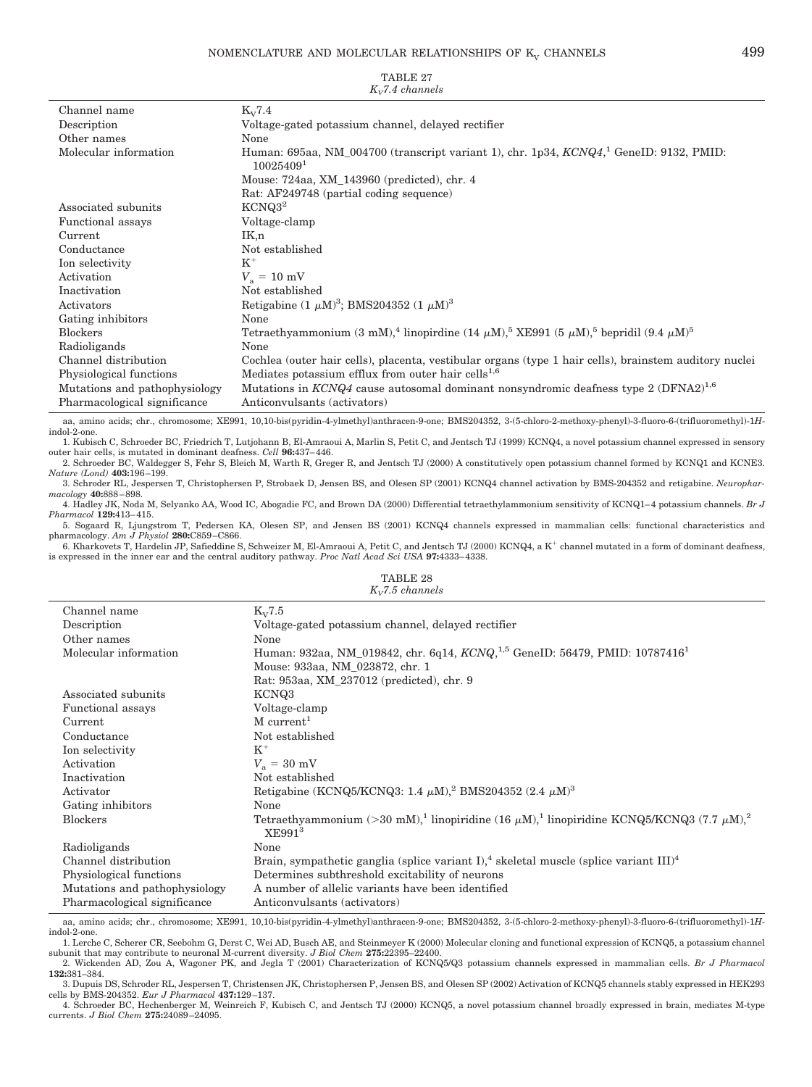| Channel name                  | $K_V7.4$                                                                                                                                          |
|-------------------------------|---------------------------------------------------------------------------------------------------------------------------------------------------|
| Description                   | Voltage-gated potassium channel, delayed rectifier                                                                                                |
| Other names                   | None                                                                                                                                              |
| Molecular information         | Human: 695aa, NM 004700 (transcript variant 1), chr. 1p34, $KCNQ41$ GeneID: 9132, PMID:<br>10025409 <sup>1</sup>                                  |
|                               | Mouse: 724aa, XM 143960 (predicted), chr. 4                                                                                                       |
|                               | Rat: AF249748 (partial coding sequence)                                                                                                           |
| Associated subunits           | KCNQ3 <sup>2</sup>                                                                                                                                |
| Functional assays             | Voltage-clamp                                                                                                                                     |
| Current                       | IK,n                                                                                                                                              |
| Conductance                   | Not established                                                                                                                                   |
| Ion selectivity               | $K^+$                                                                                                                                             |
| Activation                    | $V_{\rm a} = 10 \text{ mV}$                                                                                                                       |
| Inactivation                  | Not established                                                                                                                                   |
| Activators                    | Retigabine $(1 \mu M)^3$ ; BMS204352 $(1 \mu M)^3$                                                                                                |
| Gating inhibitors             | None                                                                                                                                              |
| <b>Blockers</b>               | Tetraethyammonium (3 mM), <sup>4</sup> linopirdine (14 $\mu$ M), <sup>5</sup> XE991 (5 $\mu$ M), <sup>5</sup> bepridil (9.4 $\mu$ M) <sup>5</sup> |
| Radioligands                  | None                                                                                                                                              |
| Channel distribution          | Cochlea (outer hair cells), placenta, vestibular organs (type 1 hair cells), brainstem auditory nuclei                                            |
| Physiological functions       | Mediates potassium efflux from outer hair cells <sup>1,6</sup>                                                                                    |
| Mutations and pathophysiology | Mutations in $KCNQ4$ cause autosomal dominant nonsyndromic deafness type 2 (DFNA2) <sup>1,6</sup>                                                 |
| Pharmacological significance  | Anticonvulsants (activators)                                                                                                                      |
|                               |                                                                                                                                                   |

TABLE 27 *KV7.4 channels*

aa, amino acids; chr., chromosome; XE991, 10,10-bis(pyridin-4-ylmethyl)anthracen-9-one; BMS204352, 3-(5-chloro-2-methoxy-phenyl)-3-fluoro-6-(trifluoromethyl)-1*H*indol-2-one. 1. Kubisch C, Schroeder BC, Friedrich T, Lutjohann B, El-Amraoui A, Marlin S, Petit C, and Jentsch TJ (1999) KCNQ4, a novel potassium channel expressed in sensory

outer hair cells, is mutated in dominant deafness. *Cell* **96:**437– 446.

2. Schroeder BC, Waldegger S, Fehr S, Bleich M, Warth R, Greger R, and Jentsch TJ (2000) A constitutively open potassium channel formed by KCNQ1 and KCNE3. *Nature (Lond)* **403:**196 –199.

3. Schroder RL, Jespersen T, Christophersen P, Strobaek D, Jensen BS, and Olesen SP (2001) KCNQ4 channel activation by BMS-204352 and retigabine. *Neuropharmacology* **40:**888 – 898.

4. Hadley JK, Noda M, Selyanko AA, Wood IC, Abogadie FC, and Brown DA (2000) Differential tetraethylammonium sensitivity of KCNQ1– 4 potassium channels. *Br J Pharmacol* **129:**413– 415.

5. Sogaard R, Ljungstrom T, Pedersen KA, Olesen SP, and Jensen BS (2001) KCNQ4 channels expressed in mammalian cells: functional characteristics and pharmacology. *Am J Physiol* **280:**C859 –C866.

6. Kharkovets T, Hardelin JP, Safieddine S, Schweizer M, El-Amraoui A, Petit C, and Jentsch TJ (2000) KCNQ4, a K<sup>+</sup> channel mutated in a form of dominant deafness, is expressed in the inner ear and the central auditory pathway. *Proc Natl Acad Sci USA* **97:**4333– 4338. TABLE 28

| <br>$K_V$ 7.5 channels        |                                                                                                                                                              |  |
|-------------------------------|--------------------------------------------------------------------------------------------------------------------------------------------------------------|--|
| Channel name                  | $K_V 7.5$                                                                                                                                                    |  |
| Description                   | Voltage-gated potassium channel, delayed rectifier                                                                                                           |  |
| Other names                   | None                                                                                                                                                         |  |
| Molecular information         | Human: 932aa, NM_019842, chr. 6q14, KCNQ, <sup>1,5</sup> GeneID: 56479, PMID: 10787416 <sup>1</sup>                                                          |  |
|                               | Mouse: 933aa, NM 023872, chr. 1                                                                                                                              |  |
|                               | Rat: 953aa, XM 237012 (predicted), chr. 9                                                                                                                    |  |
| Associated subunits           | KCNQ3                                                                                                                                                        |  |
| Functional assays             | Voltage-clamp                                                                                                                                                |  |
| Current                       | $M$ current <sup>1</sup>                                                                                                                                     |  |
| Conductance                   | Not established                                                                                                                                              |  |
| Ion selectivity               | $K^+$                                                                                                                                                        |  |
| Activation                    | $V_a = 30$ mV                                                                                                                                                |  |
| Inactivation                  | Not established                                                                                                                                              |  |
| Activator                     | Retigabine (KCNQ5/KCNQ3: 1.4 $\mu$ M), <sup>2</sup> BMS204352 (2.4 $\mu$ M) <sup>3</sup>                                                                     |  |
| Gating inhibitors             | None                                                                                                                                                         |  |
| <b>Blockers</b>               | Tetraethyammonium (> 30 mM), <sup>1</sup> linopiridine (16 $\mu$ M), <sup>1</sup> linopiridine KCNQ5/KCNQ3 (7.7 $\mu$ M), <sup>2</sup><br>XE991 <sup>3</sup> |  |
| Radioligands                  | None                                                                                                                                                         |  |
| Channel distribution          | Brain, sympathetic ganglia (splice variant I), <sup>4</sup> skeletal muscle (splice variant III) <sup>4</sup>                                                |  |
| Physiological functions       | Determines subthreshold excitability of neurons                                                                                                              |  |
| Mutations and pathophysiology | A number of allelic variants have been identified                                                                                                            |  |
| Pharmacological significance  | Anticonvulsants (activators)                                                                                                                                 |  |

aa, amino acids; chr., chromosome; XE991, 10,10-bis(pyridin-4-ylmethyl)anthracen-9-one; BMS204352, 3-(5-chloro-2-methoxy-phenyl)-3-fluoro-6-(trifluoromethyl)-1*H*indol-2-one.

1. Lerche C, Scherer CR, Seebohm G, Derst C, Wei AD, Busch AE, and Steinmeyer K (2000) Molecular cloning and functional expression of KCNQ5, a potassium channel subunit that may contribute to neuronal M-current diversity. *J Biol Chem* **275:**22395–22400. 2. Wickenden AD, Zou A, Wagoner PK, and Jegla T (2001) Characterization of KCNQ5/Q3 potassium channels expressed in mammalian cells. *Br J Pharmacol*

**132:**381–384. 3. Dupuis DS, Schroder RL, Jespersen T, Christensen JK, Christophersen P, Jensen BS, and Olesen SP (2002) Activation of KCNQ5 channels stably expressed in HEK293

cells by BMS-204352. *Eur J Pharmacol* **437:**129 –137. 4. Schroeder BC, Hechenberger M, Weinreich F, Kubisch C, and Jentsch TJ (2000) KCNQ5, a novel potassium channel broadly expressed in brain, mediates M-type currents. *J Biol Chem* **275:**24089 –24095.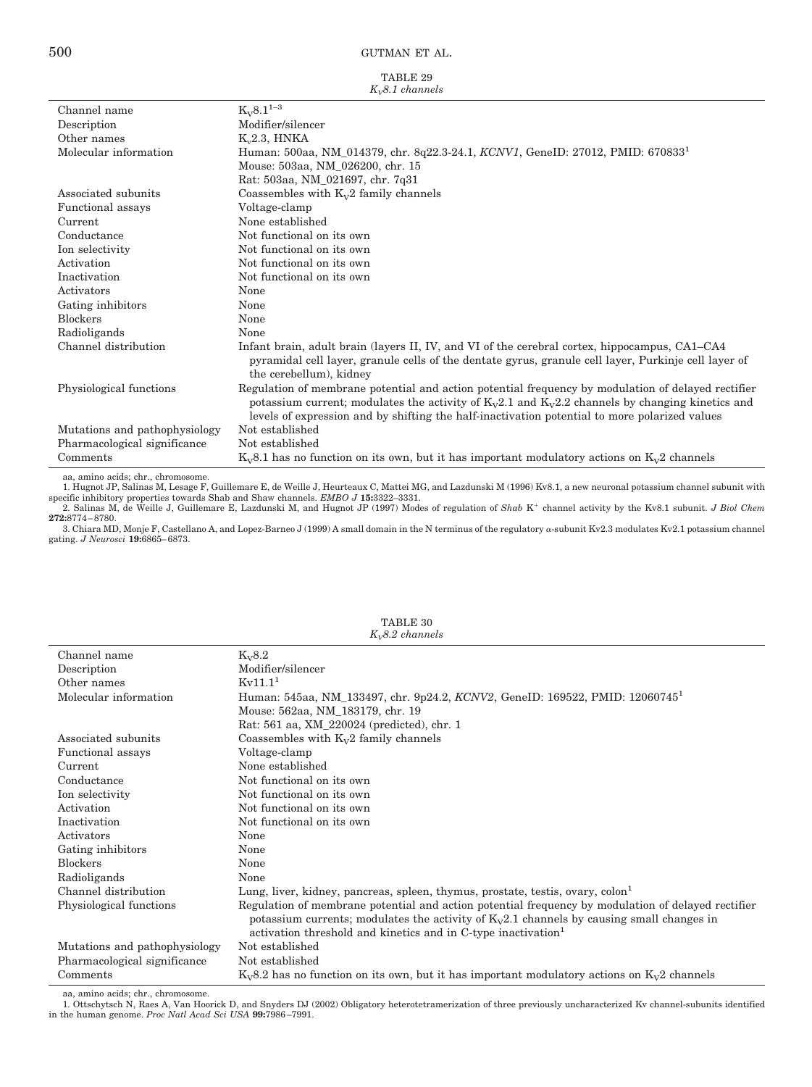|                   | TABLE 29 |  |
|-------------------|----------|--|
| $K_v8.1$ channels |          |  |

|                               | $\Lambda_{V}$ . Legalumets                                                                           |
|-------------------------------|------------------------------------------------------------------------------------------------------|
| Channel name                  | $K_V8.1^{1-3}$                                                                                       |
| Description                   | Modifier/silencer                                                                                    |
| Other names                   | K <sub>2.3</sub> , HNKA                                                                              |
| Molecular information         | Human: 500aa, NM_014379, chr. 8q22.3-24.1, KCNV1, GeneID: 27012, PMID: 6708331                       |
|                               | Mouse: 503aa, NM_026200, chr. 15                                                                     |
|                               | Rat: 503aa, NM_021697, chr. 7q31                                                                     |
| Associated subunits           | Coassembles with $K_v2$ family channels                                                              |
| Functional assays             | Voltage-clamp                                                                                        |
| Current                       | None established                                                                                     |
| Conductance                   | Not functional on its own                                                                            |
| Ion selectivity               | Not functional on its own                                                                            |
| Activation                    | Not functional on its own                                                                            |
| Inactivation                  | Not functional on its own                                                                            |
| Activators                    | None                                                                                                 |
| Gating inhibitors             | None                                                                                                 |
| <b>Blockers</b>               | None                                                                                                 |
| Radioligands                  | None                                                                                                 |
| Channel distribution          | Infant brain, adult brain (layers II, IV, and VI of the cerebral cortex, hippocampus, CA1–CA4        |
|                               | pyramidal cell layer, granule cells of the dentate gyrus, granule cell layer, Purkinje cell layer of |
|                               | the cerebellum), kidney                                                                              |
| Physiological functions       | Regulation of membrane potential and action potential frequency by modulation of delayed rectifier   |
|                               | potassium current; modulates the activity of $K_v2.1$ and $K_v2.2$ channels by changing kinetics and |
|                               | levels of expression and by shifting the half-inactivation potential to more polarized values        |
| Mutations and pathophysiology | Not established                                                                                      |
| Pharmacological significance  | Not established                                                                                      |
| Comments                      | $K_v8.1$ has no function on its own, but it has important modulatory actions on $K_v2$ channels      |

aa, amino acids; chr., chromosome.<br>1. Hugnot JP, Salinas M, Lesage F, Guillemare E, de Weille J, Heurteaux C, Mattei MG, and Lazdunski M (1996) Kv8.1, a new neuronal potassium channel subunit with<br>1. Hugnot JP, Salinas M,

**272:**8774 – 8780.

3. Chiara MD, Monje F, Castellano A, and Lopez-Barneo J (1999) A small domain in the N terminus of the regulatory  $\alpha$ -subunit Kv2.3 modulates Kv2.1 potassium channel gating. *J Neurosci* **19:**6865– 6873.

| $K_{v}8.2$ channels           |                                                                                                    |  |
|-------------------------------|----------------------------------------------------------------------------------------------------|--|
| Channel name                  | $K_v8.2$                                                                                           |  |
| Description                   | Modifier/silencer                                                                                  |  |
| Other names                   | Kv11.1 <sup>1</sup>                                                                                |  |
| Molecular information         | Human: 545aa, NM_133497, chr. 9p24.2, KCNV2, GeneID: 169522, PMID: 12060745 <sup>1</sup>           |  |
|                               | Mouse: 562aa, NM 183179, chr. 19                                                                   |  |
|                               | Rat: 561 aa, XM_220024 (predicted), chr. 1                                                         |  |
| Associated subunits           | Coassembles with $K_v2$ family channels                                                            |  |
| Functional assays             | Voltage-clamp                                                                                      |  |
| Current                       | None established                                                                                   |  |
| Conductance                   | Not functional on its own                                                                          |  |
| Ion selectivity               | Not functional on its own                                                                          |  |
| Activation                    | Not functional on its own                                                                          |  |
| Inactivation                  | Not functional on its own                                                                          |  |
| Activators                    | None                                                                                               |  |
| Gating inhibitors             | None                                                                                               |  |
| <b>Blockers</b>               | None                                                                                               |  |
| Radioligands                  | None                                                                                               |  |
| Channel distribution          | Lung, liver, kidney, pancreas, spleen, thymus, prostate, testis, ovary, colon                      |  |
| Physiological functions       | Regulation of membrane potential and action potential frequency by modulation of delayed rectifier |  |
|                               | potassium currents; modulates the activity of $K_v2.1$ channels by causing small changes in        |  |
|                               | activation threshold and kinetics and in C-type inactivation <sup>1</sup>                          |  |
| Mutations and pathophysiology | Not established                                                                                    |  |
| Pharmacological significance  | Not established                                                                                    |  |
| Comments                      | $K_v8.2$ has no function on its own, but it has important modulatory actions on $K_v2$ channels    |  |

TABLE 30

aa, amino acids; chr., chromosome.

1. Ottschytsch N, Raes A, Van Hoorick D, and Snyders DJ (2002) Obligatory heterotetramerization of three previously uncharacterized Kv channel-subunits identified in the human genome. *Proc Natl Acad Sci USA* **99:**7986 –7991.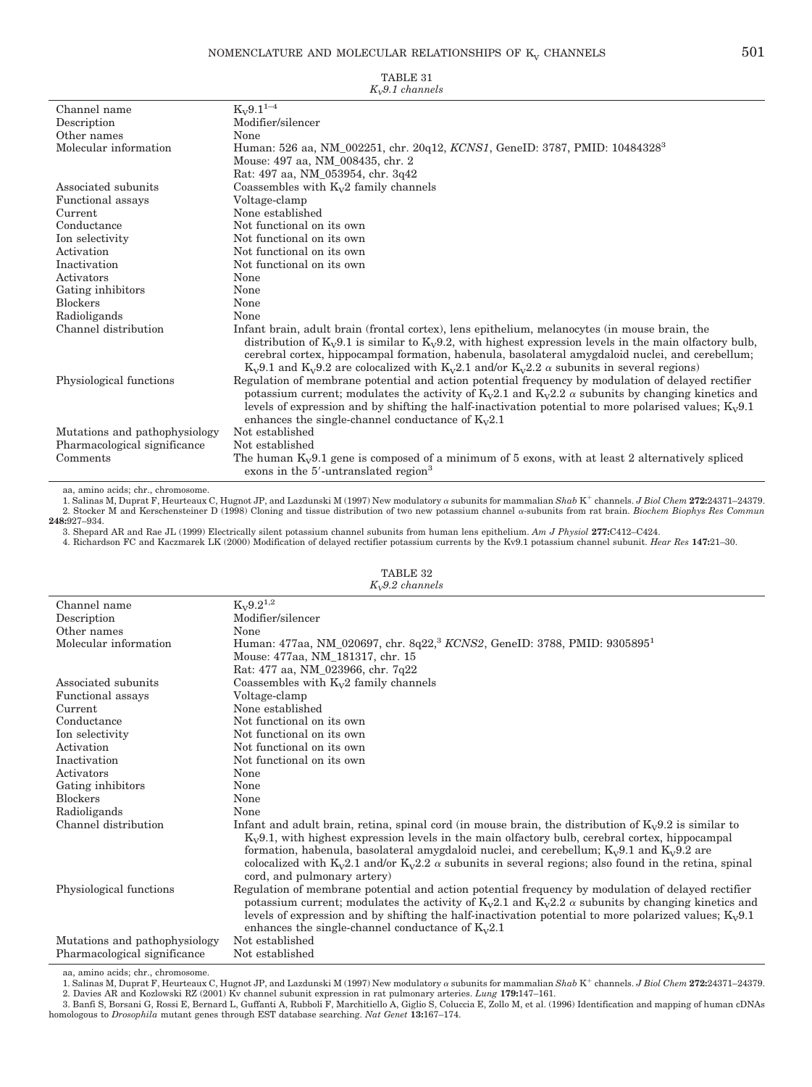| $K_v9.1$ channels             |                                                                                                                                                                                                                                                                                                                                                                                                                                |  |
|-------------------------------|--------------------------------------------------------------------------------------------------------------------------------------------------------------------------------------------------------------------------------------------------------------------------------------------------------------------------------------------------------------------------------------------------------------------------------|--|
| Channel name                  | $K_V9.1^{1-4}$                                                                                                                                                                                                                                                                                                                                                                                                                 |  |
| Description                   | Modifier/silencer                                                                                                                                                                                                                                                                                                                                                                                                              |  |
| Other names                   | None                                                                                                                                                                                                                                                                                                                                                                                                                           |  |
| Molecular information         | Human: 526 aa, NM_002251, chr. 20q12, KCNS1, GeneID: 3787, PMID: 104843283                                                                                                                                                                                                                                                                                                                                                     |  |
|                               | Mouse: 497 aa, NM 008435, chr. 2                                                                                                                                                                                                                                                                                                                                                                                               |  |
|                               | Rat: 497 aa, NM 053954, chr. 3q42                                                                                                                                                                                                                                                                                                                                                                                              |  |
| Associated subunits           | Coassembles with $K_v2$ family channels                                                                                                                                                                                                                                                                                                                                                                                        |  |
| Functional assays             | Voltage-clamp                                                                                                                                                                                                                                                                                                                                                                                                                  |  |
| Current                       | None established                                                                                                                                                                                                                                                                                                                                                                                                               |  |
| Conductance                   | Not functional on its own                                                                                                                                                                                                                                                                                                                                                                                                      |  |
| Ion selectivity               | Not functional on its own                                                                                                                                                                                                                                                                                                                                                                                                      |  |
| Activation                    | Not functional on its own                                                                                                                                                                                                                                                                                                                                                                                                      |  |
| Inactivation                  | Not functional on its own                                                                                                                                                                                                                                                                                                                                                                                                      |  |
| Activators                    | None                                                                                                                                                                                                                                                                                                                                                                                                                           |  |
| Gating inhibitors             | None                                                                                                                                                                                                                                                                                                                                                                                                                           |  |
| <b>Blockers</b>               | None                                                                                                                                                                                                                                                                                                                                                                                                                           |  |
| Radioligands                  | None                                                                                                                                                                                                                                                                                                                                                                                                                           |  |
| Channel distribution          | Infant brain, adult brain (frontal cortex), lens epithelium, melanocytes (in mouse brain, the<br>distribution of $K_v 9.1$ is similar to $K_v 9.2$ , with highest expression levels in the main olfactory bulb,<br>cerebral cortex, hippocampal formation, habenula, basolateral amygdaloid nuclei, and cerebellum;<br>$K_v9.1$ and $K_v9.2$ are colocalized with $K_v2.1$ and/or $K_v2.2 \alpha$ subunits in several regions) |  |
| Physiological functions       | Regulation of membrane potential and action potential frequency by modulation of delayed rectifier<br>potassium current; modulates the activity of $K_v2.1$ and $K_v2.2 \alpha$ subunits by changing kinetics and<br>levels of expression and by shifting the half-inactivation potential to more polarised values; $K_v9.1$<br>enhances the single-channel conductance of $K_v2.1$                                            |  |
| Mutations and pathophysiology | Not established                                                                                                                                                                                                                                                                                                                                                                                                                |  |
| Pharmacological significance  | Not established                                                                                                                                                                                                                                                                                                                                                                                                                |  |
| Comments                      | The human $K_v9.1$ gene is composed of a minimum of 5 exons, with at least 2 alternatively spliced<br>exons in the 5'-untranslated region <sup>3</sup>                                                                                                                                                                                                                                                                         |  |

aa, amino acids; chr., chromosome.

1. Salinas M, Duprat F, Heurteaux C, Hugnot JP, and Lazdunski M (1997) New modulatory subunits for mammalian *Shab* K channels. *J Biol Chem* **272:**24371–24379. 2. Stocker M and Kerschensteiner D (1998) Cloning and tissue distribution of two new potassium channel a-subunits from rat brain. *Biochem Biophys Res Commun* **248:**927–934.

3. Shepard AR and Rae JL (1999) Electrically silent potassium channel subunits from human lens epithelium. *Am J Physiol* **277:**C412–C424.

4. Richardson FC and Kaczmarek LK (2000) Modification of delayed rectifier potassium currents by the Kv9.1 potassium channel subunit. *Hear Res* **147:**21–30.

|                               | $\Lambda_{\rm W}$ <sub>2</sub> .4 c <i>hanners</i>                                                                                                                                                                                                                                                                                                                                                                                                                |  |  |
|-------------------------------|-------------------------------------------------------------------------------------------------------------------------------------------------------------------------------------------------------------------------------------------------------------------------------------------------------------------------------------------------------------------------------------------------------------------------------------------------------------------|--|--|
| Channel name                  | $K_v 9.2^{1,2}$                                                                                                                                                                                                                                                                                                                                                                                                                                                   |  |  |
| Description                   | Modifier/silencer                                                                                                                                                                                                                                                                                                                                                                                                                                                 |  |  |
| Other names                   | None                                                                                                                                                                                                                                                                                                                                                                                                                                                              |  |  |
| Molecular information         | Human: 477aa, NM_020697, chr. 8q22, <sup>3</sup> KCNS2, GeneID: 3788, PMID: 9305895 <sup>1</sup>                                                                                                                                                                                                                                                                                                                                                                  |  |  |
|                               | Mouse: 477aa, NM 181317, chr. 15                                                                                                                                                                                                                                                                                                                                                                                                                                  |  |  |
|                               | Rat: 477 aa, NM_023966, chr. 7q22                                                                                                                                                                                                                                                                                                                                                                                                                                 |  |  |
| Associated subunits           | Coassembles with $K_v2$ family channels                                                                                                                                                                                                                                                                                                                                                                                                                           |  |  |
| Functional assays             | Voltage-clamp                                                                                                                                                                                                                                                                                                                                                                                                                                                     |  |  |
| Current                       | None established                                                                                                                                                                                                                                                                                                                                                                                                                                                  |  |  |
| Conductance                   | Not functional on its own                                                                                                                                                                                                                                                                                                                                                                                                                                         |  |  |
| Ion selectivity               | Not functional on its own                                                                                                                                                                                                                                                                                                                                                                                                                                         |  |  |
| Activation                    | Not functional on its own                                                                                                                                                                                                                                                                                                                                                                                                                                         |  |  |
| Inactivation                  | Not functional on its own                                                                                                                                                                                                                                                                                                                                                                                                                                         |  |  |
| Activators                    | None                                                                                                                                                                                                                                                                                                                                                                                                                                                              |  |  |
| Gating inhibitors             | None                                                                                                                                                                                                                                                                                                                                                                                                                                                              |  |  |
| <b>Blockers</b>               | None                                                                                                                                                                                                                                                                                                                                                                                                                                                              |  |  |
| Radioligands                  | None                                                                                                                                                                                                                                                                                                                                                                                                                                                              |  |  |
| Channel distribution          | Infant and adult brain, retina, spinal cord (in mouse brain, the distribution of $K_v9.2$ is similar to<br>$K_v9.1$ , with highest expression levels in the main offactory bulb, cerebral cortex, hippocampal<br>formation, habenula, basolateral amygdaloid nuclei, and cerebellum; $K_v9.1$ and $K_v9.2$ are<br>colocalized with $K_v2.1$ and/or $K_v2.2$ $\alpha$ subunits in several regions; also found in the retina, spinal<br>cord, and pulmonary artery) |  |  |
| Physiological functions       | Regulation of membrane potential and action potential frequency by modulation of delayed rectifier<br>potassium current; modulates the activity of $K_v2.1$ and $K_v2.2$ $\alpha$ subunits by changing kinetics and<br>levels of expression and by shifting the half-inactivation potential to more polarized values; $K_v9.1$<br>enhances the single-channel conductance of $K_v2.1$                                                                             |  |  |
| Mutations and pathophysiology | Not established                                                                                                                                                                                                                                                                                                                                                                                                                                                   |  |  |
| Pharmacological significance  | Not established                                                                                                                                                                                                                                                                                                                                                                                                                                                   |  |  |
|                               |                                                                                                                                                                                                                                                                                                                                                                                                                                                                   |  |  |

TABLE 32 *KV9.2 channels*

aa, amino acids; chr., chromosome.

1. Salinas M, Duprat F, Heurteaux C, Hugnot JP, and Lazdunski M (1997) New modulatory subunits for mammalian *Shab* K channels. *J Biol Chem* **272:**24371–24379. 2. Davies AR and Kozlowski RZ (2001) Kv channel subunit expression in rat pulmonary arteries. *Lung* 1**79:**147–161.<br>3. Banfi S, Borsani G, Rossi E, Bernard L, Guffanti A, Rubboli F, Marchitiello A, Giglio S, Coluccia E, Zo

homologous to *Drosophila* mutant genes through EST database searching. *Nat Genet* **13:**167–174.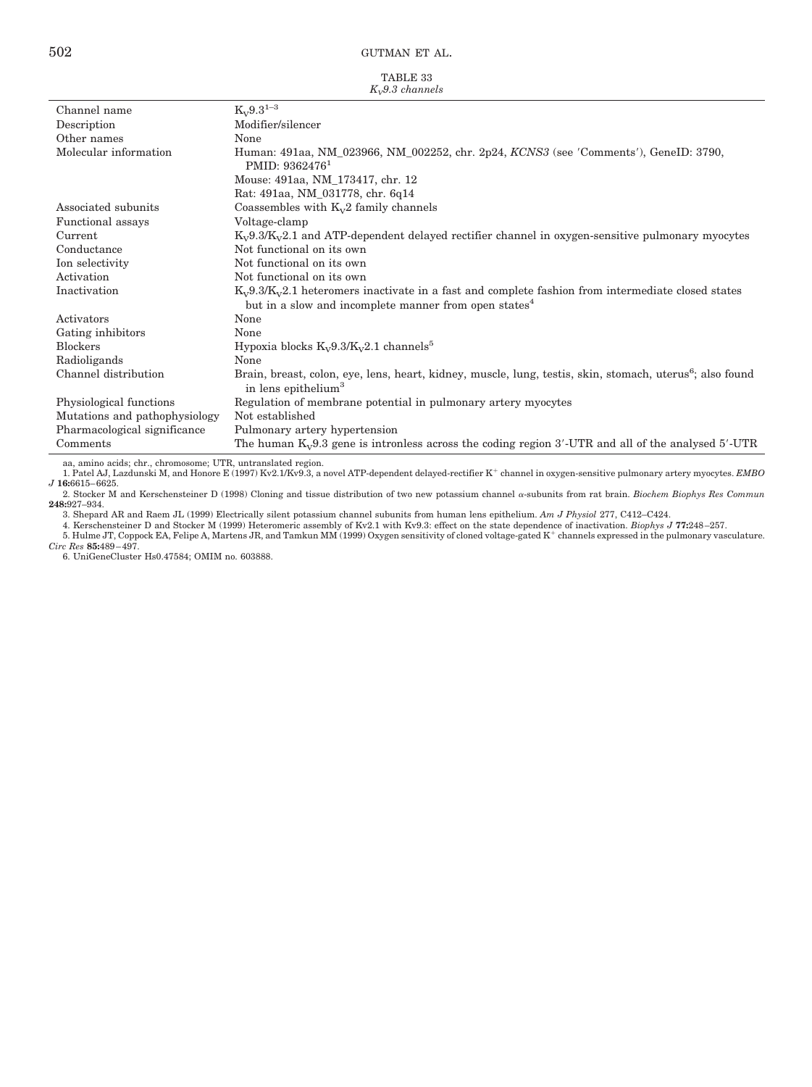TABLE 33 *K*<sub>-9</sub>3 channels

| $\mathbf{u}_1 \mathbf{v}$ . O channels |                                                                                                                                                          |  |
|----------------------------------------|----------------------------------------------------------------------------------------------------------------------------------------------------------|--|
| Channel name                           | $K_v 9.3^{1-3}$                                                                                                                                          |  |
| Description                            | Modifier/silencer                                                                                                                                        |  |
| Other names                            | None                                                                                                                                                     |  |
| Molecular information                  | Human: 491aa, NM 023966, NM 002252, chr. 2p24, KCNS3 (see 'Comments'), GeneID: 3790,<br>PMID: 9362476 <sup>1</sup>                                       |  |
|                                        | Mouse: 491aa, NM_173417, chr. 12                                                                                                                         |  |
|                                        | Rat: 491aa, NM_031778, chr. 6q14                                                                                                                         |  |
| Associated subunits                    | Coassembles with $K_v2$ family channels                                                                                                                  |  |
| Functional assays                      | Voltage-clamp                                                                                                                                            |  |
| Current                                | $K_v9.3/K_v2.1$ and ATP-dependent delayed rectifier channel in oxygen-sensitive pulmonary myocytes                                                       |  |
| Conductance                            | Not functional on its own                                                                                                                                |  |
| Ion selectivity                        | Not functional on its own                                                                                                                                |  |
| Activation                             | Not functional on its own                                                                                                                                |  |
| Inactivation                           | $K_v9.3/K_v2.1$ heteromers inactivate in a fast and complete fashion from intermediate closed states                                                     |  |
|                                        | but in a slow and incomplete manner from open states <sup>4</sup>                                                                                        |  |
| Activators                             | None                                                                                                                                                     |  |
| Gating inhibitors                      | None                                                                                                                                                     |  |
| <b>Blockers</b>                        | Hypoxia blocks $K_v9.3/K_v2.1$ channels <sup>5</sup>                                                                                                     |  |
| Radioligands                           | None                                                                                                                                                     |  |
| Channel distribution                   | Brain, breast, colon, eye, lens, heart, kidney, muscle, lung, testis, skin, stomach, uterus <sup>6</sup> ; also found<br>in lens epithelium <sup>3</sup> |  |
| Physiological functions                | Regulation of membrane potential in pulmonary artery myocytes                                                                                            |  |
| Mutations and pathophysiology          | Not established                                                                                                                                          |  |
| Pharmacological significance           | Pulmonary artery hypertension                                                                                                                            |  |
| Comments                               | The human $K_v9.3$ gene is intronless across the coding region 3'-UTR and all of the analysed 5'-UTR                                                     |  |

aa, amino acids; chr., chromosome; UTR, untranslated region.

1. Patel AJ, Lazdunski M, and Honore E (1997) Kv2.1/Kv9.3, a novel ATP-dependent delayed-rectifier K channel in oxygen-sensitive pulmonary artery myocytes. *EMBO J* **16:**6615– 6625.

2. Stocker M and Kerschensteiner D (1998) Cloning and tissue distribution of two new potassium channel *a*-subunits from rat brain. *Biochem Biophys Res Commun* 248:927–934.

3. Shepard AR and Raem JL (1999) Electrically silent potassium channel subunits from human lens epithelium. *Am J Physiol* 277, C412–C424.<br>4. Kerschensteiner D and Stocker M (1999) Heteromeric assembly of Kv2.1 with Kv9.3:

5. Hulme JT, Coppock EA, Felipe A, Martens JR, and Tamkun MM (1999) Oxygen sensitivity of cloned voltage-gated K<sup>+</sup> channels expressed in the pulmonary vasculature. *Circ Res* **85:**489 – 497.

6. UniGeneCluster Hs0.47584; OMIM no. 603888.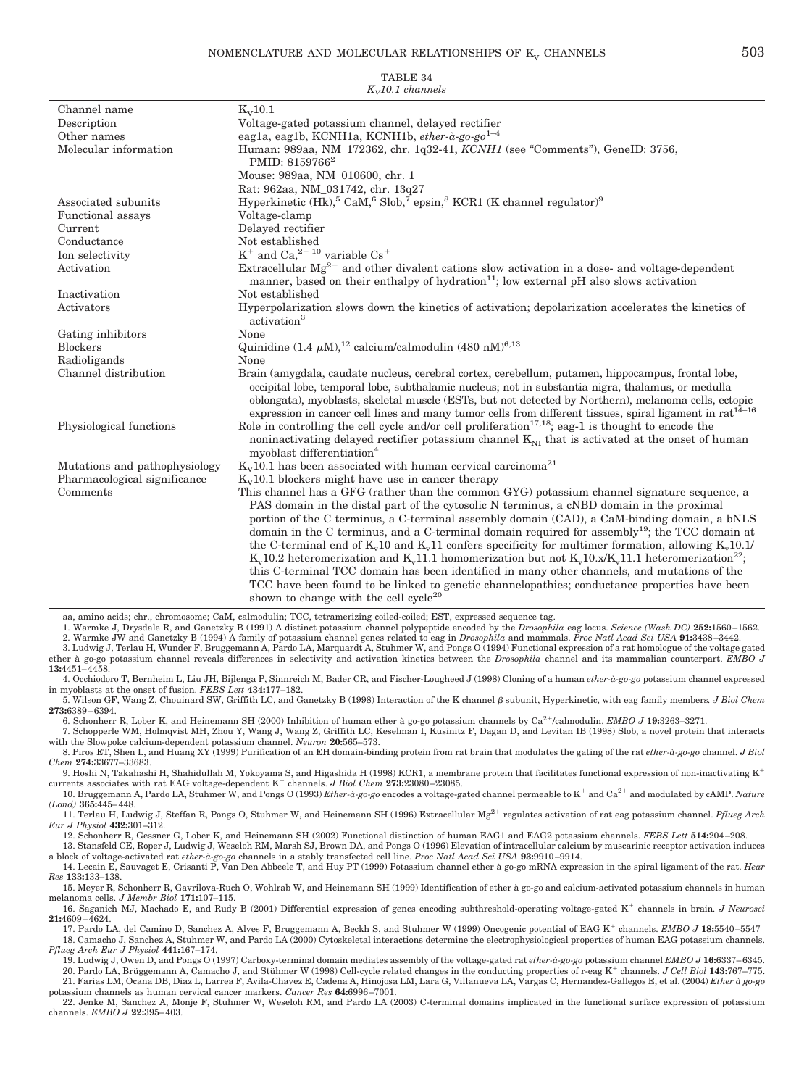| $K_v10.1$ channels            |                                                                                                                                                                                                                                                                                                                                                                                                                                                                                                                                                                                                                                                                                                                                                                                           |  |
|-------------------------------|-------------------------------------------------------------------------------------------------------------------------------------------------------------------------------------------------------------------------------------------------------------------------------------------------------------------------------------------------------------------------------------------------------------------------------------------------------------------------------------------------------------------------------------------------------------------------------------------------------------------------------------------------------------------------------------------------------------------------------------------------------------------------------------------|--|
| Channel name                  | $K_V$ 10.1                                                                                                                                                                                                                                                                                                                                                                                                                                                                                                                                                                                                                                                                                                                                                                                |  |
| Description                   | Voltage-gated potassium channel, delayed rectifier                                                                                                                                                                                                                                                                                                                                                                                                                                                                                                                                                                                                                                                                                                                                        |  |
| Other names                   | eagla, eaglb, KCNH1a, KCNH1b, ether-à-go-go <sup>1-4</sup>                                                                                                                                                                                                                                                                                                                                                                                                                                                                                                                                                                                                                                                                                                                                |  |
| Molecular information         | Human: 989aa, NM_172362, chr. 1q32-41, KCNH1 (see "Comments"), GeneID: 3756,<br>PMID: 8159766 <sup>2</sup>                                                                                                                                                                                                                                                                                                                                                                                                                                                                                                                                                                                                                                                                                |  |
|                               | Mouse: 989aa, NM_010600, chr. 1                                                                                                                                                                                                                                                                                                                                                                                                                                                                                                                                                                                                                                                                                                                                                           |  |
|                               | Rat: 962aa, NM_031742, chr. 13q27                                                                                                                                                                                                                                                                                                                                                                                                                                                                                                                                                                                                                                                                                                                                                         |  |
| Associated subunits           | Hyperkinetic $(Hk)$ , $^{5}$ CaM, $^{6}$ Slob, $^{7}$ epsin, $^{8}$ KCR1 (K channel regulator) <sup>9</sup>                                                                                                                                                                                                                                                                                                                                                                                                                                                                                                                                                                                                                                                                               |  |
| Functional assays             | Voltage-clamp                                                                                                                                                                                                                                                                                                                                                                                                                                                                                                                                                                                                                                                                                                                                                                             |  |
| Current                       | Delayed rectifier                                                                                                                                                                                                                                                                                                                                                                                                                                                                                                                                                                                                                                                                                                                                                                         |  |
| Conductance                   | Not established                                                                                                                                                                                                                                                                                                                                                                                                                                                                                                                                                                                                                                                                                                                                                                           |  |
| Ion selectivity               | $K^+$ and Ca, $2^{+10}$ variable Cs <sup>+</sup>                                                                                                                                                                                                                                                                                                                                                                                                                                                                                                                                                                                                                                                                                                                                          |  |
| Activation                    | Extracellular $Mg^{2+}$ and other divalent cations slow activation in a dose- and voltage-dependent<br>manner, based on their enthalpy of hydration <sup>11</sup> ; low external pH also slows activation                                                                                                                                                                                                                                                                                                                                                                                                                                                                                                                                                                                 |  |
| Inactivation                  | Not established                                                                                                                                                                                                                                                                                                                                                                                                                                                                                                                                                                                                                                                                                                                                                                           |  |
| Activators                    | Hyperpolarization slows down the kinetics of activation; depolarization accelerates the kinetics of<br>activation <sup>3</sup>                                                                                                                                                                                                                                                                                                                                                                                                                                                                                                                                                                                                                                                            |  |
| Gating inhibitors             | None                                                                                                                                                                                                                                                                                                                                                                                                                                                                                                                                                                                                                                                                                                                                                                                      |  |
| <b>Blockers</b>               | Quinidine $(1.4 \mu M)^{12}$ calcium/calmodulin $(480 \text{ nM})^{6,13}$                                                                                                                                                                                                                                                                                                                                                                                                                                                                                                                                                                                                                                                                                                                 |  |
| Radioligands                  | None                                                                                                                                                                                                                                                                                                                                                                                                                                                                                                                                                                                                                                                                                                                                                                                      |  |
| Channel distribution          | Brain (amygdala, caudate nucleus, cerebral cortex, cerebellum, putamen, hippocampus, frontal lobe,<br>occipital lobe, temporal lobe, subthalamic nucleus; not in substantia nigra, thalamus, or medulla<br>oblongata), myoblasts, skeletal muscle (ESTs, but not detected by Northern), melanoma cells, ectopic<br>expression in cancer cell lines and many tumor cells from different tissues, spiral ligament in rat <sup>14-16</sup>                                                                                                                                                                                                                                                                                                                                                   |  |
| Physiological functions       | Role in controlling the cell cycle and/or cell proliferation <sup>17,18</sup> ; eag-1 is thought to encode the<br>noninactivating delayed rectifier potassium channel $K_{NI}$ that is activated at the onset of human<br>myoblast differentiation <sup>4</sup>                                                                                                                                                                                                                                                                                                                                                                                                                                                                                                                           |  |
| Mutations and pathophysiology | $K_V$ 10.1 has been associated with human cervical carcinoma <sup>21</sup>                                                                                                                                                                                                                                                                                                                                                                                                                                                                                                                                                                                                                                                                                                                |  |
| Pharmacological significance  | $K_V10.1$ blockers might have use in cancer therapy                                                                                                                                                                                                                                                                                                                                                                                                                                                                                                                                                                                                                                                                                                                                       |  |
| Comments                      | This channel has a GFG (rather than the common GYG) potassium channel signature sequence, a                                                                                                                                                                                                                                                                                                                                                                                                                                                                                                                                                                                                                                                                                               |  |
|                               | PAS domain in the distal part of the cytosolic N terminus, a cNBD domain in the proximal<br>portion of the C terminus, a C-terminal assembly domain (CAD), a CaM-binding domain, a bNLS<br>domain in the C terminus, and a C-terminal domain required for assembly <sup>19</sup> ; the TCC domain at<br>the C-terminal end of $Kv10$ and $Kv11$ confers specificity for multimer formation, allowing $Kv10.1$<br>$K_v10.2$ heteromerization and $K_v11.1$ homomerization but not $K_v10.x/K_v11.1$ heteromerization <sup>22</sup> ;<br>this C-terminal TCC domain has been identified in many other channels, and mutations of the<br>TCC have been found to be linked to genetic channel opathies; conductance properties have been<br>shown to change with the cell cycle <sup>20</sup> |  |

aa, amino acids; chr., chromosome; CaM, calmodulin; TCC, tetramerizing coiled-coiled; EST, expressed sequence tag.<br>1. Warmke J, Drysdale R, and Ganetzky B (1991) A distinct potassium channel polypeptide encoded by the *Dro* 

2. Warmke JW and Ganetzky B (1994) A family of potassium channel genes related to eag in *Drosophila* and mammals. *Proc Natl Acad Sci USA* **91:**3438 –3442. 3. Ludwig J, Terlau H, Wunder F, Bruggemann A, Pardo LA, Marquardt A, Stuhmer W, and Pongs O (1994) Functional expression of a rat homologue of the voltage gated

ether à go-go potassium channel reveals differences in selectivity and activation kinetics between the *Drosophila* channel and its mammalian counterpart. *EMBO J* **13:**4451– 4458.

4. Occhiodoro T, Bernheim L, Liu JH, Bijlenga P, Sinnreich M, Bader CR, and Fischer-Lougheed J (1998) Cloning of a human *ether-à-go-go* potassium channel expressed in myoblasts at the onset of fusion. *FEBS Lett* **434:**177–182.

5. Wilson GF, Wang Z, Chouinard SW, Griffith LC, and Ganetzky B (1998) Interaction of the K channel subunit, Hyperkinetic, with eag family members*. J Biol Chem* **273:**6389 – 6394.

6. Schonherr R, Lober K, and Heinemann SH (2000) Inhibition of human ether à go-go potassium channels by Ca2/calmodulin. *EMBO J* **19:**3263–3271. 7. Schopperle WM, Holmqvist MH, Zhou Y, Wang J, Wang Z, Griffith LC, Keselman I, Kusinitz F, Dagan D, and Levitan IB (1998) Slob, a novel protein that interacts with the Slowpoke calcium-dependent potassium channel. *Neuron* **20:**565–573.

8. Piros ET, Shen L, and Huang XY (1999) Purification of an EH domain-binding protein from rat brain that modulates the gating of the rat *ether-à-go-go* channel. *J Biol Chem* **274:**33677–33683.

9. Hoshi N, Takahashi H, Shahidullah M, Yokoyama S, and Higashida H (1998) KCR1, a membrane protein that facilitates functional expression of non-inactivating K<sup>+</sup> currents associates with rat EAG voltage-dependent K<sup>+</sup> c

*(Lond)* **365:**445– 448.

11. Terlau H, Ludwig J, Steffan R, Pongs O, Stuhmer W, and Heinemann SH (1996) Extracellular Mg2 regulates activation of rat eag potassium channel. *Pflueg Arch Eur J Physiol* **432:**301–312.

12. Schonherr R, Gessner G, Lober K, and Heinemann SH (2002) Functional distinction of human EAG1 and EAG2 potassium channels. *FEBS Lett* **514:**204 –208. 13. Stansfeld CE, Roper J, Ludwig J, Weseloh RM, Marsh SJ, Brown DA, and Pongs O (1996) Elevation of intracellular calcium by muscarinic receptor activation induces

a block of voltage-activated rat ether-à-go-go channels in a stably transfected cell line. Proc Natl Acad Sci USA **93:**9910–9914.<br>14. Lecain E, Sauvaget E, Crisanti P, Van Den Abbeele T, and Huy PT (1999) Potassium channel *Res* **133:**133–138.

15. Meyer R, Schonherr R, Gavrilova-Ruch O, Wohlrab W, and Heinemann SH (1999) Identification of ether à go-go and calcium-activated potassium channels in human melanoma cells. *J Membr Biol* **171:**107–115.

16. Saganich MJ, Machado E, and Rudy B (2001) Differential expression of genes encoding subthreshold-operating voltage-gated K<sup>+</sup> channels in brain. *J Neurosci* **21:**4609 – 4624.

17. Pardo LA, del Camino D, Sanchez A, Alves F, Bruggemann A, Beckh S, and Stuhmer W (1999) Oncogenic potential of EAG K<sup>+</sup> channels. *EMBO J* 18:5540-5547 18. Camacho J, Sanchez A, Stuhmer W, and Pardo LA (2000) Cytoskeletal interactions determine the electrophysiological properties of human EAG potassium channels. *Pflueg Arch Eur J Physiol* **441:**167–174.

19. Ludwig J, Owen D, and Pongs O (1997) Carboxy-terminal domain mediates assembly of the voltage-gated rat *ether-à-go-go* potassium channel *EMBO J* **16:**6337– 6345. 20. Pardo LA, Brüggemann A, Camacho J, and Stühmer W (1998) Cell-cycle related changes in the conducting properties of r-eag K<sup>+</sup> channels. *J Cell Biol* 143:767-775.

21. Farias LM, Ocana DB, Diaz L, Larrea F, Avila-Chavez E, Cadena A, Hinojosa LM, Lara G, Villanueva LA, Vargas C, Hernandez-Gallegos E, et al. (2004) *Ether à go-go* potassium channels as human cervical cancer markers. *Cancer Res* **64:**6996 –7001.

22. Jenke M, Sanchez A, Monje F, Stuhmer W, Weseloh RM, and Pardo LA (2003) C-terminal domains implicated in the functional surface expression of potassium channels. *EMBO J* **22:**395– 403.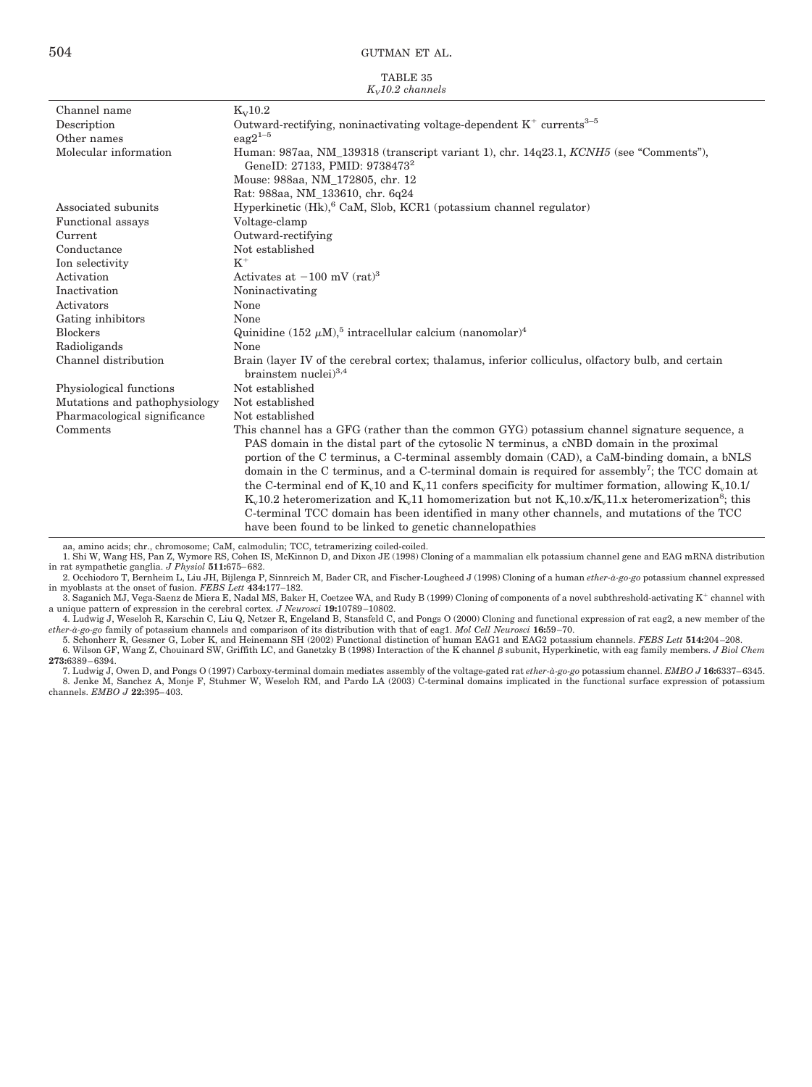| TABLE 35            |
|---------------------|
| $K_v$ 10.2 channels |

| Channel name                  | $K_V$ 10.2                                                                                                                         |
|-------------------------------|------------------------------------------------------------------------------------------------------------------------------------|
| Description                   | Outward-rectifying, noninactivating voltage-dependent $K^+$ currents <sup>3-5</sup>                                                |
| Other names                   | $eaq2^{1-5}$                                                                                                                       |
| Molecular information         | Human: 987aa, NM 139318 (transcript variant 1), chr. 14q23.1, KCNH5 (see "Comments"),<br>GeneID: 27133, PMID: 9738473 <sup>2</sup> |
|                               | Mouse: 988aa, NM 172805, chr. 12                                                                                                   |
|                               | Rat: 988aa, NM 133610, chr. 6q24                                                                                                   |
| Associated subunits           | Hyperkinetic (Hk), <sup>6</sup> CaM, Slob, KCR1 (potassium channel regulator)                                                      |
| <b>Functional</b> assays      | Voltage-clamp                                                                                                                      |
| Current                       | Outward-rectifying                                                                                                                 |
| Conductance                   | Not established                                                                                                                    |
| Ion selectivity               | $K^+$                                                                                                                              |
| Activation                    | Activates at $-100$ mV (rat) <sup>3</sup>                                                                                          |
| Inactivation                  | Noninactivating                                                                                                                    |
| Activators                    | None                                                                                                                               |
| Gating inhibitors             | None                                                                                                                               |
| <b>Blockers</b>               | Quinidine (152 $\mu$ M), <sup>5</sup> intracellular calcium (nanomolar) <sup>4</sup>                                               |
| Radioligands                  | None                                                                                                                               |
| Channel distribution          | Brain (layer IV of the cerebral cortex; thalamus, inferior colliculus, olfactory bulb, and certain<br>brainstem nuclei $)^{3,4}$   |
| Physiological functions       | Not established                                                                                                                    |
| Mutations and pathophysiology | Not established                                                                                                                    |
| Pharmacological significance  | Not established                                                                                                                    |
| Comments                      | This channel has a GFG (rather than the common GYG) potassium channel signature sequence, a                                        |
|                               | PAS domain in the distal part of the cytosolic N terminus, a cNBD domain in the proximal                                           |
|                               | portion of the C terminus, a C-terminal assembly domain (CAD), a CaM-binding domain, a bNLS                                        |
|                               | domain in the C terminus, and a C-terminal domain is required for assembly <sup>7</sup> ; the TCC domain at                        |
|                               | the C-terminal end of $K_v 10$ and $K_v 11$ confers specificity for multimer formation, allowing $K_v 10.1$                        |
|                               | $K_v10.2$ heteromerization and $K_v11$ homomerization but not $K_v10.x/K_v11.x$ heteromerization <sup>8</sup> ; this               |
|                               | C-terminal TCC domain has been identified in many other channels, and mutations of the TCC                                         |
|                               | have been found to be linked to genetic channelopathies                                                                            |
|                               |                                                                                                                                    |

aa, amino acids; chr., chromosome; CaM, calmodulin; TCC, tetramerizing coiled-coiled.

1. Shi W, Wang HS, Pan Z, Wymore RS, Cohen IS, McKinnon D, and Dixon JE (1998) Cloning of a mammalian elk potassium channel gene and EAG mRNA distribution in rat sympathetic ganglia. J Physiol 511:675–682.

in rat sympathetic ganglia. J Physiol **511:**675–682.<br>2. Occhiodoro T, Bernheim L, Liu JH, Bijlenga P, Sinnreich M, Bader CR, and Fischer-Lougheed J (1998) Cloning of a human *ether-à-go-go* potassium channel expressed<br>in m

 $3.$  Saganich MJ, Vega-Saenz de Miera E, Nadal MS, Baker H, Coetzee WA, and Rudy B (1999) Cloning of components of a novel subthreshold-activating  $K^+$  channel with a unique pattern of expression in the cerebral cortex. *J Neurosci* **19:**10789 –10802.

4. Ludwig J, Weseloh R, Karschin C, Liu Q, Netzer R, Engeland B, Stansfeld C, and Pongs O (2000) Cloning and functional expression of rat eag2, a new member of the *ether-à-go-go* family of potassium channels and comparison of its distribution with that of eag1. *Mol Cell Neurosci* **16:**59 –70.

5. Schonherr R, Gessner G, Lober K, and Heinemann SH (2002) Functional distinction of human EAG1 and EAG2 potassium channels. *FEBS Lett* **514:**204 –208. 6. Wilson GF, Wang Z, Chouinard SW, Griffith LC, and Ganetzky B (1998) Interaction of the K channel  $\beta$  subunit, Hyperkinetic, with eag family members. *J Biol Chem* **273:**6389 – 6394.

7. Ludwig J, Owen D, and Pongs O (1997) Carboxy-terminal domain mediates assembly of the voltage-gated rat ether-à-go-go potassium channel. EMBO J **16:**6337–6345.<br>8. Jenke M, Sanchez A, Monje F, Stuhmer W, Weseloh RM, and channels. *EMBO J* **22:**395– 403.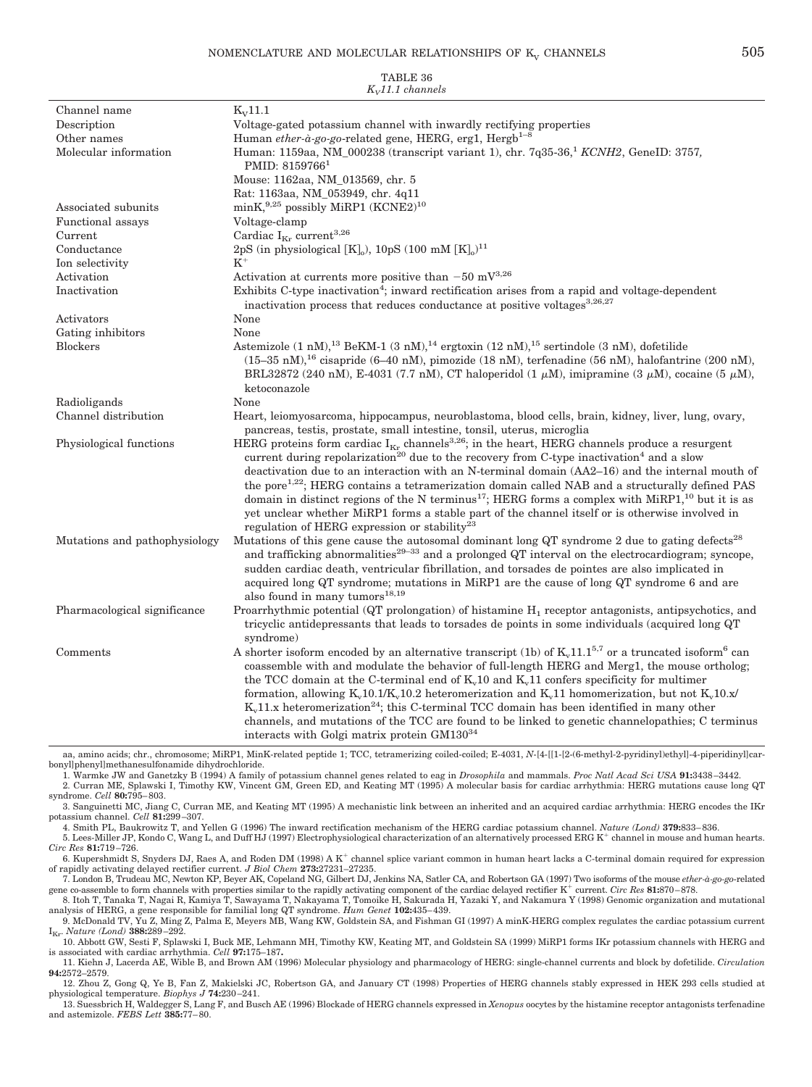### NOMENCLATURE AND MOLECULAR RELATIONSHIPS OF  $K_v$  CHANNELS  $505$

|                       | TABLE 36                                                                                                                                                                                                                                                                                                                                                                                                                                                                                                                                                                  |
|-----------------------|---------------------------------------------------------------------------------------------------------------------------------------------------------------------------------------------------------------------------------------------------------------------------------------------------------------------------------------------------------------------------------------------------------------------------------------------------------------------------------------------------------------------------------------------------------------------------|
|                       | $K_v$ 11.1 channels                                                                                                                                                                                                                                                                                                                                                                                                                                                                                                                                                       |
| Channel name          | $K_V$ 11.1                                                                                                                                                                                                                                                                                                                                                                                                                                                                                                                                                                |
| Description           | Voltage-gated potassium channel with inwardly rectifying properties                                                                                                                                                                                                                                                                                                                                                                                                                                                                                                       |
| Other names           | Human ether-à-go-go-related gene, HERG, erg1, Hergb <sup>1-8</sup>                                                                                                                                                                                                                                                                                                                                                                                                                                                                                                        |
| Molecular information | Human: 1159aa, NM_000238 (transcript variant 1), chr. 7q35-36, KCNH2, GeneID: 3757,<br>PMID: 8159766 <sup>1</sup>                                                                                                                                                                                                                                                                                                                                                                                                                                                         |
|                       | Mouse: 1162aa, NM_013569, chr. 5                                                                                                                                                                                                                                                                                                                                                                                                                                                                                                                                          |
|                       | Rat: 1163aa, NM 053949, chr. 4q11                                                                                                                                                                                                                                                                                                                                                                                                                                                                                                                                         |
| Associated subunits   | minK, $9,25$ possibly MiRP1 (KCNE2) <sup>10</sup>                                                                                                                                                                                                                                                                                                                                                                                                                                                                                                                         |
| Functional assays     | Voltage-clamp                                                                                                                                                                                                                                                                                                                                                                                                                                                                                                                                                             |
| $\rm Current$         | Cardiac $I_{\kappa_r}$ current <sup>3,26</sup>                                                                                                                                                                                                                                                                                                                                                                                                                                                                                                                            |
| Conductance           | 2pS (in physiological [K]), 10pS (100 mM [K]) <sup>11</sup>                                                                                                                                                                                                                                                                                                                                                                                                                                                                                                               |
| Ion selectivity       | $K^+$                                                                                                                                                                                                                                                                                                                                                                                                                                                                                                                                                                     |
| Activation            | Activation at currents more positive than $-50 \text{ mV}^{3,26}$                                                                                                                                                                                                                                                                                                                                                                                                                                                                                                         |
| Inactivation          | Exhibits C-type inactivation <sup>4</sup> ; inward rectification arises from a rapid and voltage-dependent<br>inactivation process that reduces conductance at positive voltages <sup>3,26,27</sup>                                                                                                                                                                                                                                                                                                                                                                       |
| Activators            | None                                                                                                                                                                                                                                                                                                                                                                                                                                                                                                                                                                      |
| Gating inhibitors     | None                                                                                                                                                                                                                                                                                                                                                                                                                                                                                                                                                                      |
| Blockers              | Astemizole $(1 \text{ nM})$ , <sup>13</sup> BeKM-1 $(3 \text{ nM})$ , <sup>14</sup> ergtoxin $(12 \text{ nM})$ , <sup>15</sup> sertindole $(3 \text{ nM})$ , dofetilide<br>$(15-35 \text{ nM})$ , <sup>16</sup> cisapride (6-40 nM), pimozide (18 nM), terfenadine (56 nM), halofantrine (200 nM),<br>$\mathbf{H} \cap \mathbf{H}$ and $\mathbf{H} \cap \mathbf{H}$ and $\mathbf{H} \cap \mathbf{H}$ and $\mathbf{H} \cap \mathbf{H}$ and $\mathbf{H} \cap \mathbf{H}$ and $\mathbf{H} \cap \mathbf{H}$ and $\mathbf{H} \cap \mathbf{H}$ and $\mathbf{H} \cap \mathbf{H}$ |

|                               | BRL32872 (240 nM), E-4031 (7.7 nM), CT haloperidol (1 $\mu$ M), imipramine (3 $\mu$ M), cocaine (5 $\mu$ M),<br>ketoconazole                                                                                                                                                                                                                                                                                                                                                                                                                                                                                                                                                                                                                     |
|-------------------------------|--------------------------------------------------------------------------------------------------------------------------------------------------------------------------------------------------------------------------------------------------------------------------------------------------------------------------------------------------------------------------------------------------------------------------------------------------------------------------------------------------------------------------------------------------------------------------------------------------------------------------------------------------------------------------------------------------------------------------------------------------|
| Radioligands                  | None                                                                                                                                                                                                                                                                                                                                                                                                                                                                                                                                                                                                                                                                                                                                             |
| Channel distribution          | Heart, leiomyosarcoma, hippocampus, neuroblastoma, blood cells, brain, kidney, liver, lung, ovary,<br>pancreas, testis, prostate, small intestine, tonsil, uterus, microglia                                                                                                                                                                                                                                                                                                                                                                                                                                                                                                                                                                     |
| Physiological functions       | HERG proteins form cardiac $I_{Kr}$ channels <sup>3,26</sup> ; in the heart, HERG channels produce a resurgent<br>current during repolarization <sup>20</sup> due to the recovery from C-type inactivation <sup>4</sup> and a slow<br>deactivation due to an interaction with an N-terminal domain (AA2-16) and the internal mouth of<br>the pore <sup>1,22</sup> ; HERG contains a tetramerization domain called NAB and a structurally defined PAS<br>domain in distinct regions of the N terminus <sup>17</sup> ; HERG forms a complex with MiRP1, <sup>10</sup> but it is as<br>yet unclear whether MiRP1 forms a stable part of the channel itself or is otherwise involved in<br>regulation of HERG expression or stability <sup>23</sup>  |
| Mutations and pathophysiology | Mutations of this gene cause the autosomal dominant long QT syndrome 2 due to gating defects <sup>28</sup><br>and trafficking abnormalities <sup>29–33</sup> and a prolonged QT interval on the electrocardiogram; syncope,<br>sudden cardiac death, ventricular fibrillation, and torsades de pointes are also implicated in<br>acquired long QT syndrome; mutations in MiRP1 are the cause of long QT syndrome 6 and are<br>also found in many tumors <sup>18,19</sup>                                                                                                                                                                                                                                                                         |
| Pharmacological significance  | Proarrhythmic potential (QT prolongation) of histamine $H_1$ receptor antagonists, antipsychotics, and<br>tricyclic antidepressants that leads to torsades de points in some individuals (acquired long QT)<br>syndrome)                                                                                                                                                                                                                                                                                                                                                                                                                                                                                                                         |
| Comments                      | A shorter isoform encoded by an alternative transcript (1b) of $K_1$ 1.1.1 <sup>5,7</sup> or a truncated isoform <sup>6</sup> can<br>coassemble with and modulate the behavior of full-length HERG and Merg1, the mouse ortholog;<br>the TCC domain at the C-terminal end of K <sub>n</sub> 10 and K <sub>n</sub> 11 confers specificity for multimer<br>formation, allowing $K_v 10.1/K_v 10.2$ heteromerization and $K_v 11$ homomerization, but not $K_v 10.x/$<br>$K_{\nu}11.x$ heteromerization <sup>24</sup> ; this C-terminal TCC domain has been identified in many other<br>channels, and mutations of the TCC are found to be linked to genetic channelopathies; C terminus<br>interacts with Golgi matrix protein GM130 <sup>34</sup> |

aa, amino acids; chr., chromosome; MiRP1, MinK-related peptide 1; TCC, tetramerizing coiled-coiled; E-4031, N-[4-[[1-[2-(6-methyl-2-pyridinyl]ethyl]-4-piperidinyl]carbonyl]phenyl]methanesulfonamide dihydrochloride.

1. Warmke JW and Ganetzky B (1994) A family of potassium channel genes related to eag in *Drosophila* and mammals. *Proc Natl Acad Sci USA* **91:**3438 –3442. 2. Curran ME, Splawski I, Timothy KW, Vincent GM, Green ED, and Keating MT (1995) A molecular basis for cardiac arrhythmia: HERG mutations cause long QT syndrome. *Cell* **80:**795– 803.

3. Sanguinetti MC, Jiang C, Curran ME, and Keating MT (1995) A mechanistic link between an inherited and an acquired cardiac arrhythmia: HERG encodes the IKr potassium channel. *Cell* **81:**299 –307.

4. Smith PL, Baukrowitz T, and Yellen G (1996) The inward rectification mechanism of the HERG cardiac potassium channel. *Nature (Lond)* **379:**833–836.<br>5. Lees-Miller JP, Kondo C, Wang L, and Duff HJ (1997) Electrophysiolo

*Circ Res* **81:**719 –726.

6. Kupershmidt S, Snyders DJ, Raes A, and Roden DM (1998) A K<sup>+</sup> channel splice variant common in human heart lacks a C-terminal domain required for expression of rapidly activating delayed rectifier current. *J Biol Chem* **273:**27231–27235.

7. London B, Trudeau MC, Newton KP, Beyer AK, Copeland NG, Gilbert DJ, Jenkins NA, Satler CA, and Robertson GA (1997) Two isoforms of the mouse *ether-à-go-go*-related gene co-assemble to form channels with properties similar to the rapidly activating component of the cardiac delayed rectifier K<sup>+</sup> current. *Circ Res* 81:870-878. 8. Itoh T, Tanaka T, Nagai R, Kamiya T, Sawayama T, Nakayama T, Tomoike H, Sakurada H, Yazaki Y, and Nakamura Y (1998) Genomic organization and mutational

analysis of HERG, a gene responsible for familial long QT syndrome. *Hum Genet* 102:435–439.<br>9. McDonald TV, Yu Z, Ming Z, Palma E, Meyers MB, Wang KW, Goldstein SA, and Fishman GI (1997) A minK-HERG complex regulates the

IKr. *Nature (Lond)* **388:**289 –292. 10. Abbott GW, Sesti F, Splawski I, Buck ME, Lehmann MH, Timothy KW, Keating MT, and Goldstein SA (1999) MiRP1 forms IKr potassium channels with HERG and is associated with cardiac arrhythmia. *Cell* **97:**175–187**.**

11. Kiehn J, Lacerda AE, Wible B, and Brown AM (1996) Molecular physiology and pharmacology of HERG: single-channel currents and block by dofetilide. *Circulation* **94:**2572–2579.

12. Zhou Z, Gong Q, Ye B, Fan Z, Makielski JC, Robertson GA, and January CT (1998) Properties of HERG channels stably expressed in HEK 293 cells studied at physiological temperature. *Biophys J 7*4:230–241.<br>13. Suessbrich H, Waldegger S, Lang F, and Busch AE (1996) Blockade of HERG channels expressed in *Xenopus* oocytes by the histamine receptor antagonists terfenadine

and astemizole. *FEBS Lett* **385:**77– 80.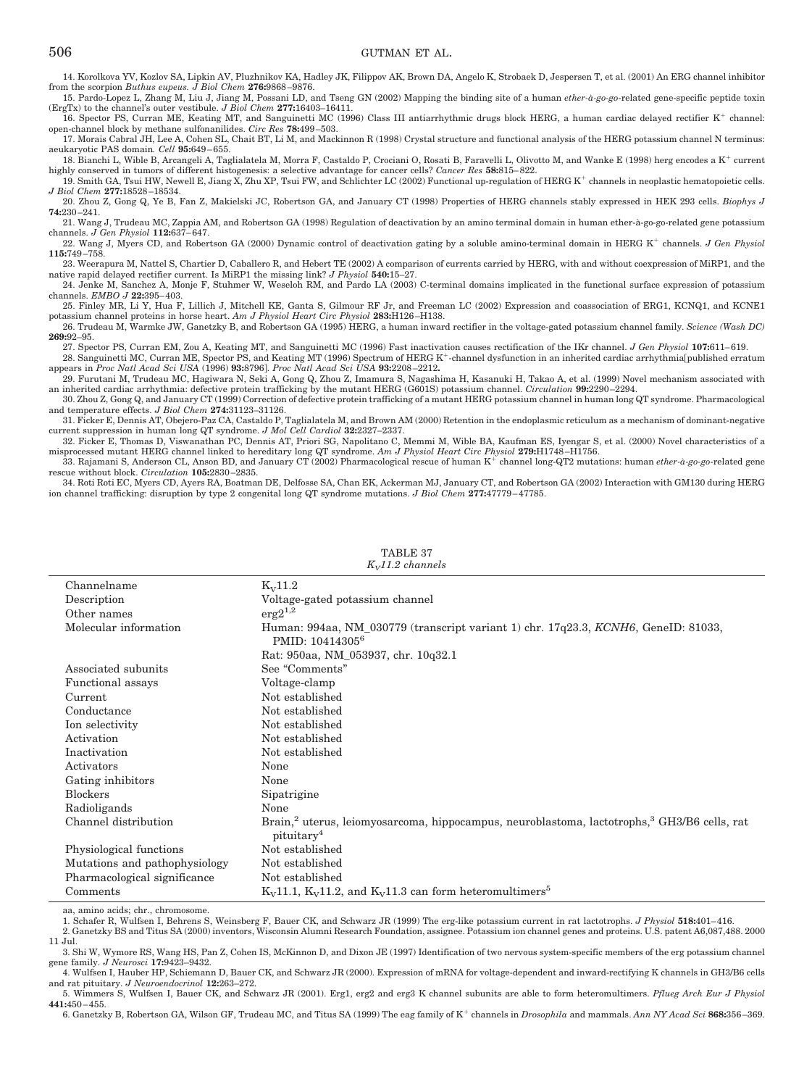14. Korolkova YV, Kozlov SA, Lipkin AV, Pluzhnikov KA, Hadley JK, Filippov AK, Brown DA, Angelo K, Strobaek D, Jespersen T, et al. (2001) An ERG channel inhibitor from the scorpion *Buthus eupeus. J Biol Chem* **276:**9868 –9876.

15. Pardo-Lopez L, Zhang M, Liu J, Jiang M, Possani LD, and Tseng GN (2002) Mapping the binding site of a human *ether-à-go-go*-related gene-specific peptide toxin (ErgTx) to the channel's outer vestibule. *J Biol Chem* **277:**16403–16411.

16. Spector PS, Curran ME, Keating MT, and Sanguinetti MC (1996) Class III antiarrhythmic drugs block HERG, a human cardiac delayed rectifier K<sup>+</sup> channel: open-channel block by methane sulfonanilides. *Circ Res* **78:**499 –503.

17. Morais Cabral JH, Lee A, Cohen SL, Chait BT, Li M, and Mackinnon R (1998) Crystal structure and functional analysis of the HERG potassium channel N terminus: aeukaryotic PAS domain*. Cell* **95:**649 – 655.

18. Bianchi L, Wible B, Arcangeli A, Taglialatela M, Morra F, Castaldo P, Crociani O, Rosati B, Faravelli L, Olivotto M, and Wanke E (1998) herg encodes a K<sup>+</sup> current highly conserved in tumors of different histogenesis: a selective advantage for cancer cells? *Cancer Res* **58:**815– 822.

19. Smith GA, Tsui HW, Newell E, Jiang X, Zhu XP, Tsui FW, and Schlichter LC (2002) Functional up-regulation of HERG K<sup>+</sup> channels in neoplastic hematopoietic cells. *J Biol Chem* **277:**18528 –18534.

20. Zhou Z, Gong Q, Ye B, Fan Z, Makielski JC, Robertson GA, and January CT (1998) Properties of HERG channels stably expressed in HEK 293 cells. *Biophys J* **74:**230 –241.

21. Wang J, Trudeau MC, Zappia AM, and Robertson GA (1998) Regulation of deactivation by an amino terminal domain in human ether-à-go-go-related gene potassium channels. *J Gen Physiol* **112:**637– 647. 22. Wang J, Myers CD, and Robertson GA (2000) Dynamic control of deactivation gating by a soluble amino-terminal domain in HERG K<sup>+</sup> channels. *J Gen Physiol* 

**115:**749 –758. 23. Weerapura M, Nattel S, Chartier D, Caballero R, and Hebert TE (2002) A comparison of currents carried by HERG, with and without coexpression of MiRP1, and the

native rapid delayed rectifier current. Is MiRP1 the missing link? *J Physiol* **540:**15–27.

24. Jenke M, Sanchez A, Monje F, Stuhmer W, Weseloh RM, and Pardo LA (2003) C-terminal domains implicated in the functional surface expression of potassium channels. *EMBO J* **22:**395– 403.

25. Finley MR, Li Y, Hua F, Lillich J, Mitchell KE, Ganta S, Gilmour RF Jr, and Freeman LC (2002) Expression and coassociation of ERG1, KCNQ1, and KCNE1 potassium channel proteins in horse heart. *Am J Physiol Heart Circ Physiol* **283:**H126 –H138.

26. Trudeau M, Warmke JW, Ganetzky B, and Robertson GA (1995) HERG, a human inward rectifier in the voltage-gated potassium channel family. *Science (Wash DC)* **269:**92–95.

27. Spector PS, Curran EM, Zou A, Keating MT, and Sanguinetti MC (1996) Fast inactivation causes rectification of the IKr channel. *J Gen Physiol* **107:**611– 619.

28. Sanguinetti MC, Curran ME, Spector PS, and Keating MT (1996) Spectrum of HERG K<sup>+</sup>-channel dysfunction in an inherited cardiac arrhythmia[published erratum appears in *Proc Natl Acad Sci USA* (1996) **93:**8796]. *Proc Natl Acad Sci USA* **93:**2208-2212.

29. Furutani M, Trudeau MC, Hagiwara N, Seki A, Gong Q, Zhou Z, Imamura S, Nagashima H, Kasanuki H, Takao A, et al. (1999) Novel mechanism associated with an inherited cardiac arrhythmia: defective protein trafficking by the mutant HERG (G601S) potassium channel. *Circulation* **99:**2290 –2294.

30. Zhou Z, Gong Q, and January CT (1999) Correction of defective protein trafficking of a mutant HERG potassium channel in human long QT syndrome. Pharmacological and temperature effects. *J Biol Chem* **274:**31123–31126.

31. Ficker E, Dennis AT, Obejero-Paz CA, Castaldo P, Taglialatela M, and Brown AM (2000) Retention in the endoplasmic reticulum as a mechanism of dominant-negative current suppression in human long QT syndrome. *J Mol Cell Cardiol* **32:**2327–2337.

32. Ficker E, Thomas D, Viswanathan PC, Dennis AT, Priori SG, Napolitano C, Memmi M, Wible BA, Kaufman ES, Iyengar S, et al. (2000) Novel characteristics of a misprocessed mutant HERG channel linked to hereditary long QT syndrome. *Am J Physiol Heart Circ Physiol* **279:**H1748 –H1756.

33. Rajamani S, Anderson CL, Anson BD, and January CT (2002) Pharmacological rescue of human K<sup>+</sup> channel long-QT2 mutations: human *ether-à-go-go-*related gene rescue without block. *Circulation* **105:**2830 –2835.

34. Roti Roti EC, Myers CD, Ayers RA, Boatman DE, Delfosse SA, Chan EK, Ackerman MJ, January CT, and Robertson GA (2002) Interaction with GM130 during HERG ion channel trafficking: disruption by type 2 congenital long QT syndrome mutations. *J Biol Chem* **277:**47779 – 47785.

| $1117112$ channels            |                                                                                                                                               |  |
|-------------------------------|-----------------------------------------------------------------------------------------------------------------------------------------------|--|
| Channelname                   | $K_{V}$ 11.2                                                                                                                                  |  |
| Description                   | Voltage-gated potassium channel                                                                                                               |  |
| Other names                   | $erg2^{1,2}$                                                                                                                                  |  |
| Molecular information         | Human: 994aa, NM_030779 (transcript variant 1) chr. 17q23.3, KCNH6, GeneID: 81033,<br>PMID: 10414305 <sup>6</sup>                             |  |
|                               | Rat: 950aa, NM_053937, chr. 10q32.1                                                                                                           |  |
| Associated subunits           | See "Comments"                                                                                                                                |  |
| Functional assays             | Voltage-clamp                                                                                                                                 |  |
| Current                       | Not established                                                                                                                               |  |
| Conductance                   | Not established                                                                                                                               |  |
| Ion selectivity               | Not established                                                                                                                               |  |
| Activation                    | Not established                                                                                                                               |  |
| Inactivation                  | Not established                                                                                                                               |  |
| Activators                    | None                                                                                                                                          |  |
| Gating inhibitors             | None                                                                                                                                          |  |
| <b>Blockers</b>               | Sipatrigine                                                                                                                                   |  |
| Radioligands                  | None                                                                                                                                          |  |
| Channel distribution          | Brain, <sup>2</sup> uterus, leiomyosarcoma, hippocampus, neuroblastoma, lactotrophs, <sup>3</sup> GH3/B6 cells, rat<br>pituitary <sup>4</sup> |  |
| Physiological functions       | Not established                                                                                                                               |  |
| Mutations and pathophysiology | Not established                                                                                                                               |  |
| Pharmacological significance  | Not established                                                                                                                               |  |
| Comments                      | $K_V$ 11.1, $K_V$ 11.2, and $K_V$ 11.3 can form heteromultimers <sup>5</sup>                                                                  |  |

TABLE 37 *KV11.2 channels*

aa, amino acids; chr., chromosome.

1. Schafer R, Wulfsen I, Behrens S, Weinsberg F, Bauer CK, and Schwarz JR (1999) The erg-like potassium current in rat lactotrophs. *J Physiol* **518:**401– 416.

2. Ganetzky BS and Titus SA (2000) inventors, Wisconsin Alumni Research Foundation, assignee. Potassium ion channel genes and proteins. U.S. patent A6,087,488. 2000 11 Jul.

3. Shi W, Wymore RS, Wang HS, Pan Z, Cohen IS, McKinnon D, and Dixon JE (1997) Identification of two nervous system-specific members of the erg potassium channel gene family. *J Neurosci* **17:**9423–9432.

4. Wulfsen I, Hauber HP, Schiemann D, Bauer CK, and Schwarz JR (2000). Expression of mRNA for voltage-dependent and inward-rectifying K channels in GH3/B6 cells and rat pituitary. *J Neuroendocrinol* **12:**263–272.

5. Wimmers S, Wulfsen I, Bauer CK, and Schwarz JR (2001). Erg1, erg2 and erg3 K channel subunits are able to form heteromultimers. *Pflueg Arch Eur J Physiol* **441:**450 – 455.

6. Ganetzky B, Robertson GA, Wilson GF, Trudeau MC, and Titus SA (1999) The eag family of K channels in *Drosophila* and mammals. *Ann NY Acad Sci* **868:**356 –369.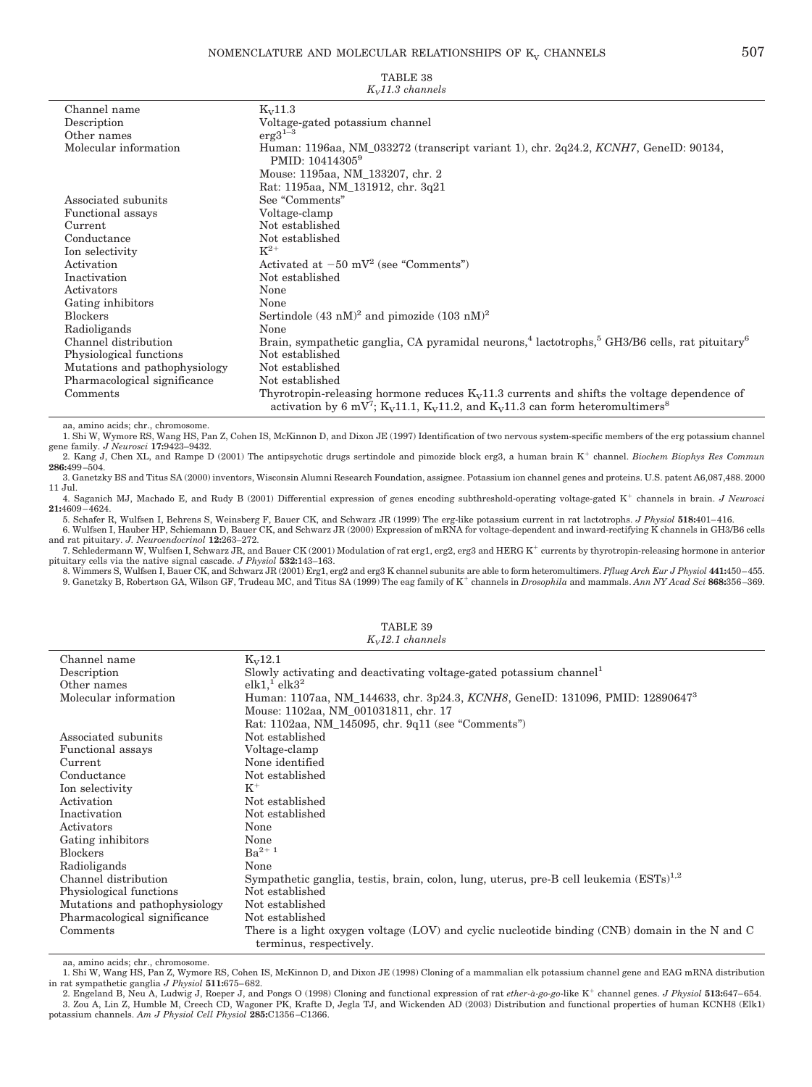|--|

| $K_v$ 11.3 channels           |                                                                                                                                                                                                                                            |  |
|-------------------------------|--------------------------------------------------------------------------------------------------------------------------------------------------------------------------------------------------------------------------------------------|--|
| Channel name                  | $K_{V}$ 11.3                                                                                                                                                                                                                               |  |
| Description                   | Voltage-gated potassium channel                                                                                                                                                                                                            |  |
| Other names                   | $\rm erg3^{1-3}$                                                                                                                                                                                                                           |  |
| Molecular information         | Human: 1196aa, NM 033272 (transcript variant 1), chr. 2q24.2, KCNH7, GeneID: 90134,<br>PMID: 10414305 <sup>9</sup>                                                                                                                         |  |
|                               | Mouse: 1195aa, NM_133207, chr. 2                                                                                                                                                                                                           |  |
|                               | Rat: 1195aa, NM_131912, chr. 3q21                                                                                                                                                                                                          |  |
| Associated subunits           | See "Comments"                                                                                                                                                                                                                             |  |
| Functional assays             | Voltage-clamp                                                                                                                                                                                                                              |  |
| Current                       | Not established                                                                                                                                                                                                                            |  |
| Conductance                   | Not established                                                                                                                                                                                                                            |  |
| Ion selectivity               | $K^{2+}$                                                                                                                                                                                                                                   |  |
| Activation                    | Activated at $-50$ mV <sup>2</sup> (see "Comments")                                                                                                                                                                                        |  |
| Inactivation                  | Not established                                                                                                                                                                                                                            |  |
| Activators                    | None                                                                                                                                                                                                                                       |  |
| Gating inhibitors             | None                                                                                                                                                                                                                                       |  |
| <b>Blockers</b>               | Sertindole $(43 \text{ nM})^2$ and pimozide $(103 \text{ nM})^2$                                                                                                                                                                           |  |
| Radioligands                  | None                                                                                                                                                                                                                                       |  |
| Channel distribution          | Brain, sympathetic ganglia, CA pyramidal neurons, <sup>4</sup> lactotrophs, <sup>5</sup> GH3/B6 cells, rat pituitary <sup>6</sup>                                                                                                          |  |
| Physiological functions       | Not established                                                                                                                                                                                                                            |  |
| Mutations and pathophysiology | Not established                                                                                                                                                                                                                            |  |
| Pharmacological significance  | Not established                                                                                                                                                                                                                            |  |
| Comments                      | Thyrotropin-releasing hormone reduces $K_v11.3$ currents and shifts the voltage dependence of<br>activation by 6 mV <sup>7</sup> ; K <sub>V</sub> 11.1, K <sub>V</sub> 11.2, and K <sub>V</sub> 11.3 can form heteromultimers <sup>8</sup> |  |

# TABLE 38

aa, amino acids; chr., chromosome.

1. Shi W, Wymore RS, Wang HS, Pan Z, Cohen IS, McKinnon D, and Dixon JE (1997) Identification of two nervous system-specific members of the erg potassium channel gene family. *J Neurosci* **17:**9423–9432.

2. Kang J, Chen XL, and Rampe D (2001) The antipsychotic drugs sertindole and pimozide block erg3, a human brain K<sup>+</sup> channel. *Biochem Biophys Res Commun* **286:**499 –504.

3. Ganetzky BS and Titus SA (2000) inventors, Wisconsin Alumni Research Foundation, assignee. Potassium ion channel genes and proteins. U.S. patent A6,087,488. 2000 11 Jul.

4. Saganich MJ, Machado E, and Rudy B (2001) Differential expression of genes encoding subthreshold-operating voltage-gated K<sup>+</sup> channels in brain. *J Neurosci* **21:**4609 – 4624.

5. Schafer R, Wulfsen I, Behrens S, Weinsberg F, Bauer CK, and Schwarz JR (1999) The erg-like potassium current in rat lactotrophs. *J Physiol* **518:**401– 416. 6. Wulfsen I, Hauber HP, Schiemann D, Bauer CK, and Schwarz JR (2000) Expression of mRNA for voltage-dependent and inward-rectifying K channels in GH3/B6 cells and rat pituitary. *J. Neuroendocrinol* **12:**263–272.

7. Schledermann W, Wulfsen I, Schwarz JR, and Bauer CK (2001) Modulation of rat erg1, erg2, erg3 and HERG K<sup>+</sup> currents by thyrotropin-releasing hormone in anterior pituitary cells via the native signal cascade. *J Physiol* **532:**143–163.

8. Wimmers S, Wulfsen I, Bauer CK, and Schwarz JR (2001) Erg1, erg2 and erg3 K channel subunits are able to form heteromultimers. *Pflueg Arch Eur J Physiol* **441:**450–455. 9. Ganetzky B, Robertson GA, Wilson GF, Trudeau MC, and Titus SA (1999) The eag family of K channels in *Drosophila* and mammals. *Ann NY Acad Sci* **868:**356 –369.

| Channel name                  | $K_V$ 12.1                                                                                          |  |
|-------------------------------|-----------------------------------------------------------------------------------------------------|--|
| Description                   | Slowly activating and deactivating voltage-gated potassium channel                                  |  |
| Other names                   | elk1 <sup>1</sup> elk3 <sup>2</sup>                                                                 |  |
| Molecular information         | Human: 1107aa, NM_144633, chr. 3p24.3, KCNH8, GeneID: 131096, PMID: 128906473                       |  |
|                               | Mouse: 1102aa, NM_001031811, chr. 17                                                                |  |
|                               | Rat: 1102aa, NM_145095, chr. 9q11 (see "Comments")                                                  |  |
| Associated subunits           | Not established                                                                                     |  |
| <b>Functional assays</b>      | Voltage-clamp                                                                                       |  |
| Current                       | None identified                                                                                     |  |
| Conductance                   | Not established                                                                                     |  |
| Ion selectivity               | $K^+$                                                                                               |  |
| Activation                    | Not established                                                                                     |  |
| Inactivation                  | Not established                                                                                     |  |
| Activators                    | None                                                                                                |  |
| Gating inhibitors             | None                                                                                                |  |
| <b>Blockers</b>               | $Ba^{2+1}$                                                                                          |  |
| Radioligands                  | None                                                                                                |  |
| Channel distribution          | Sympathetic ganglia, testis, brain, colon, lung, uterus, pre-B cell leukemia $(ESTs)^{1,2}$         |  |
| Physiological functions       | Not established                                                                                     |  |
| Mutations and pathophysiology | Not established                                                                                     |  |
| Pharmacological significance  | Not established                                                                                     |  |
| Comments                      | There is a light oxygen voltage $(LOV)$ and cyclic nucleotide binding $(CNB)$ domain in the N and C |  |
|                               | terminus, respectively.                                                                             |  |

TABLE 39 *KV12.1 channels*

aa, amino acids; chr., chromosome.<br>1. Shi W, Wang HS, Pan Z, Wymore RS, Cohen IS, McKinnon D, and Dixon JE (1998) Cloning of a mammalian elk potassium channel gene and EAG mRNA distribution in rat sympathetic ganglia *J Physiol* **511:**675– 682.

2. Engeland B, Neu A, Ludwig J, Roeper J, and Pongs O (1998) Cloning and functional expression of rat *ether-à-go-go*-like K channel genes. *J Physiol* **513:**647– 654. 3. Zou A, Lin Z, Humble M, Creech CD, Wagoner PK, Krafte D, Jegla TJ, and Wickenden AD (2003) Distribution and functional properties of human KCNH8 (Elk1) potassium channels. *Am J Physiol Cell Physiol* **285:**C1356 –C1366.